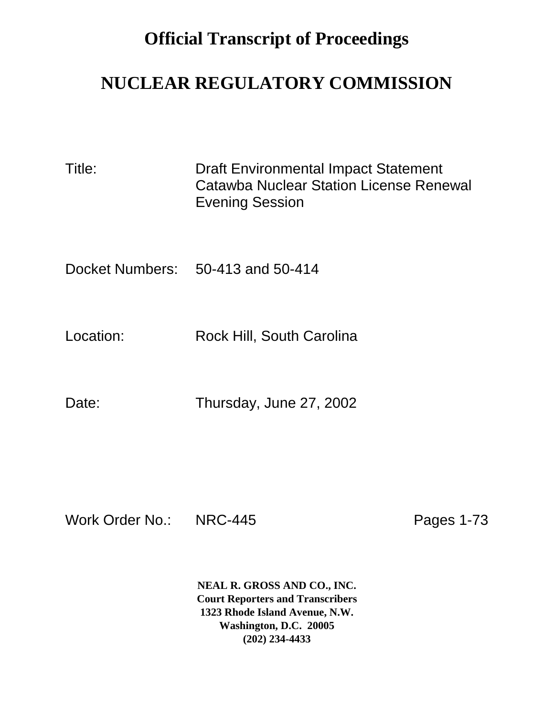## **Official Transcript of Proceedings**

## **NUCLEAR REGULATORY COMMISSION**

| Title: | <b>Draft Environmental Impact Statement</b> |
|--------|---------------------------------------------|
|        | Catawba Nuclear Station License Renewal     |
|        | <b>Evening Session</b>                      |

Docket Numbers: 50-413 and 50-414

Location: Rock Hill, South Carolina

Date: Thursday, June 27, 2002

Work Order No.: NRC-445 Pages 1-73

**NEAL R. GROSS AND CO., INC. Court Reporters and Transcribers 1323 Rhode Island Avenue, N.W. Washington, D.C. 20005 (202) 234-4433**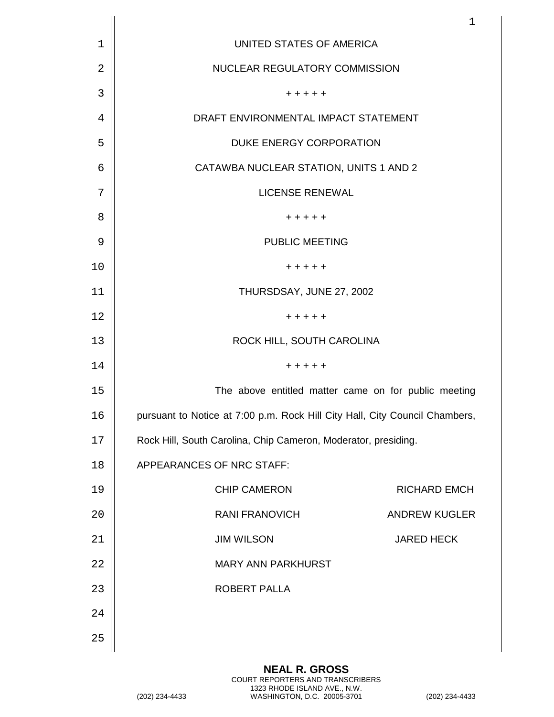|             |                                                                             | $\mathbf 1$          |
|-------------|-----------------------------------------------------------------------------|----------------------|
| $\mathbf 1$ | UNITED STATES OF AMERICA                                                    |                      |
| 2           | NUCLEAR REGULATORY COMMISSION                                               |                      |
| 3           | + + + + +                                                                   |                      |
| 4           | DRAFT ENVIRONMENTAL IMPACT STATEMENT                                        |                      |
| 5           | DUKE ENERGY CORPORATION                                                     |                      |
| 6           | CATAWBA NUCLEAR STATION, UNITS 1 AND 2                                      |                      |
| 7           | <b>LICENSE RENEWAL</b>                                                      |                      |
| 8           | + + + + +                                                                   |                      |
| 9           | <b>PUBLIC MEETING</b>                                                       |                      |
| 10          | + + + + +                                                                   |                      |
| 11          | THURSDSAY, JUNE 27, 2002                                                    |                      |
| 12          | + + + + +                                                                   |                      |
| 13          | ROCK HILL, SOUTH CAROLINA                                                   |                      |
| 14          | + + + + +                                                                   |                      |
| 15          | The above entitled matter came on for public meeting                        |                      |
| 16          | pursuant to Notice at 7:00 p.m. Rock Hill City Hall, City Council Chambers, |                      |
| 17          | Rock Hill, South Carolina, Chip Cameron, Moderator, presiding.              |                      |
| 18          | APPEARANCES OF NRC STAFF:                                                   |                      |
| 19          | <b>CHIP CAMERON</b>                                                         | <b>RICHARD EMCH</b>  |
| 20          | <b>RANI FRANOVICH</b>                                                       | <b>ANDREW KUGLER</b> |
| 21          | <b>JIM WILSON</b>                                                           | <b>JARED HECK</b>    |
| 22          | MARY ANN PARKHURST                                                          |                      |
| 23          | ROBERT PALLA                                                                |                      |
| 24          |                                                                             |                      |
| 25          |                                                                             |                      |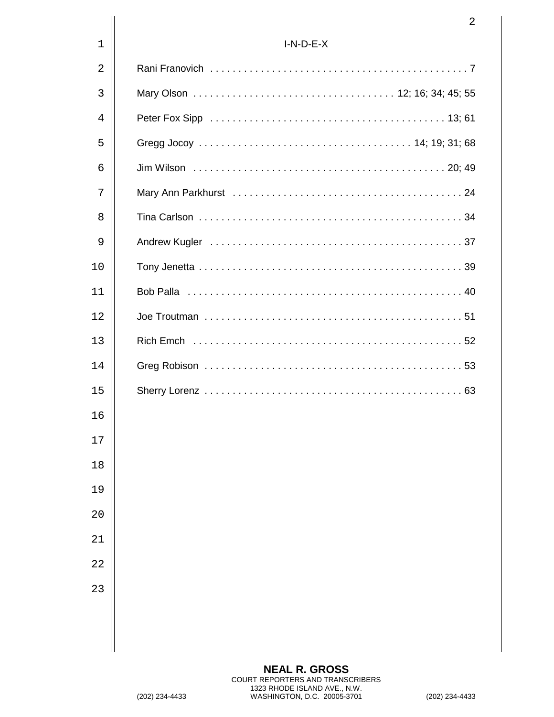|             | 2           |
|-------------|-------------|
| $\mathbf 1$ | $I-N-D-E-X$ |
| 2           |             |
| 3           |             |
| 4           |             |
| 5           |             |
| 6           |             |
| 7           |             |
| 8           |             |
| 9           |             |
| 10          |             |
| 11          |             |
| 12          |             |
| 13          |             |
| 14          |             |
| 15          |             |
| 16          |             |
| 17          |             |
| 18          |             |
| 19          |             |
| 20          |             |
| 21          |             |
| 22          |             |
| 23          |             |
|             |             |
|             |             |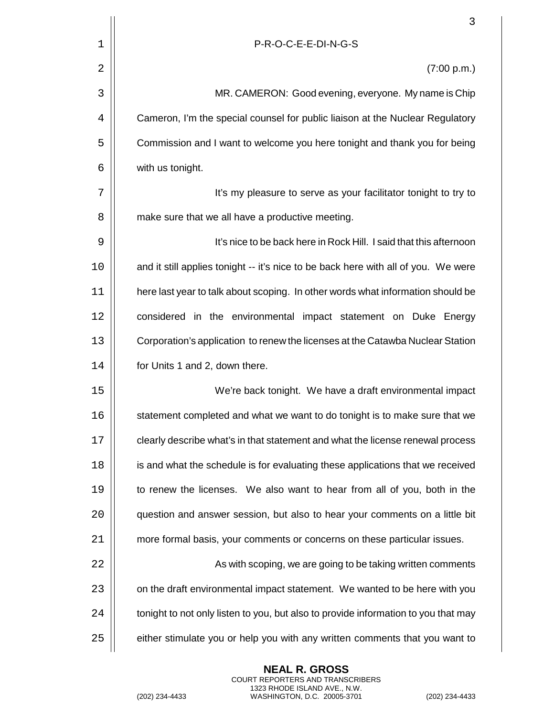|    | 3                                                                                  |
|----|------------------------------------------------------------------------------------|
| 1  | P-R-O-C-E-E-DI-N-G-S                                                               |
| 2  | (7:00 p.m.)                                                                        |
| 3  | MR. CAMERON: Good evening, everyone. My name is Chip                               |
| 4  | Cameron, I'm the special counsel for public liaison at the Nuclear Regulatory      |
| 5  | Commission and I want to welcome you here tonight and thank you for being          |
| 6  | with us tonight.                                                                   |
| 7  | It's my pleasure to serve as your facilitator tonight to try to                    |
| 8  | make sure that we all have a productive meeting.                                   |
| 9  | It's nice to be back here in Rock Hill. I said that this afternoon                 |
| 10 | and it still applies tonight -- it's nice to be back here with all of you. We were |
| 11 | here last year to talk about scoping. In other words what information should be    |
| 12 | considered in the environmental impact statement on Duke Energy                    |
| 13 | Corporation's application to renew the licenses at the Catawba Nuclear Station     |
| 14 | for Units 1 and 2, down there.                                                     |
| 15 | We're back tonight. We have a draft environmental impact                           |
| 16 | statement completed and what we want to do tonight is to make sure that we         |
| 17 | clearly describe what's in that statement and what the license renewal process     |
| 18 | is and what the schedule is for evaluating these applications that we received     |
| 19 | to renew the licenses. We also want to hear from all of you, both in the           |
| 20 | question and answer session, but also to hear your comments on a little bit        |
| 21 | more formal basis, your comments or concerns on these particular issues.           |
| 22 | As with scoping, we are going to be taking written comments                        |
| 23 | on the draft environmental impact statement. We wanted to be here with you         |
| 24 | tonight to not only listen to you, but also to provide information to you that may |
| 25 | either stimulate you or help you with any written comments that you want to        |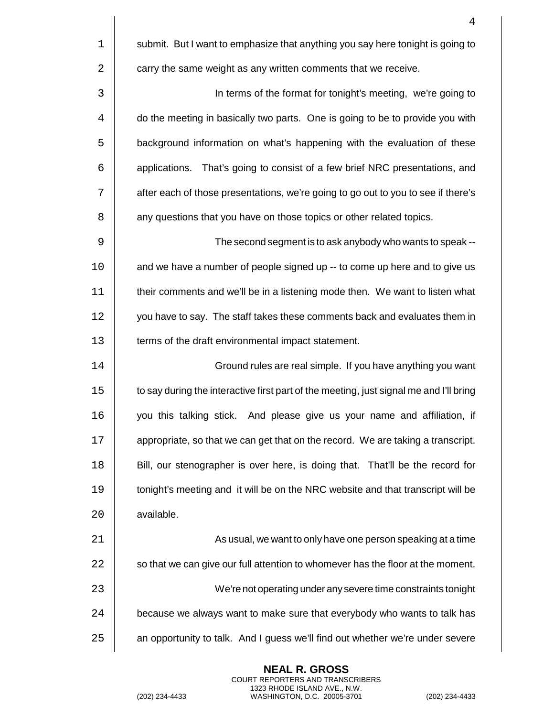4  $1 \parallel$  submit. But I want to emphasize that anything you say here tonight is going to  $2 \parallel$  carry the same weight as any written comments that we receive. 3 | In terms of the format for tonight's meeting, we're going to 4  $\parallel$  do the meeting in basically two parts. One is going to be to provide you with 5 | background information on what's happening with the evaluation of these 6 | | applications. That's going to consist of a few brief NRC presentations, and 7 | after each of those presentations, we're going to go out to you to see if there's 8 | any questions that you have on those topics or other related topics. 9 The second segment is to ask anybody who wants to speak -- 10 | and we have a number of people signed up -- to come up here and to give us 11 | their comments and we'll be in a listening mode then. We want to listen what 12 | vou have to say. The staff takes these comments back and evaluates them in 13 | terms of the draft environmental impact statement. 14 | Cround rules are real simple. If you have anything you want 15  $\parallel$  to say during the interactive first part of the meeting, just signal me and I'll bring 16 you this talking stick. And please give us your name and affiliation, if 17 | appropriate, so that we can get that on the record. We are taking a transcript. 18 **Bill**, our stenographer is over here, is doing that. That'll be the record for 19 **tonight's meeting and it will be on the NRC website and that transcript will be** 20 available. 21 As usual, we want to only have one person speaking at a time  $22$   $\parallel$  so that we can give our full attention to whomever has the floor at the moment. 23 We're not operating under any severe time constraints tonight  $24$   $\vert$  because we always want to make sure that everybody who wants to talk has

25 | an opportunity to talk. And I guess we'll find out whether we're under severe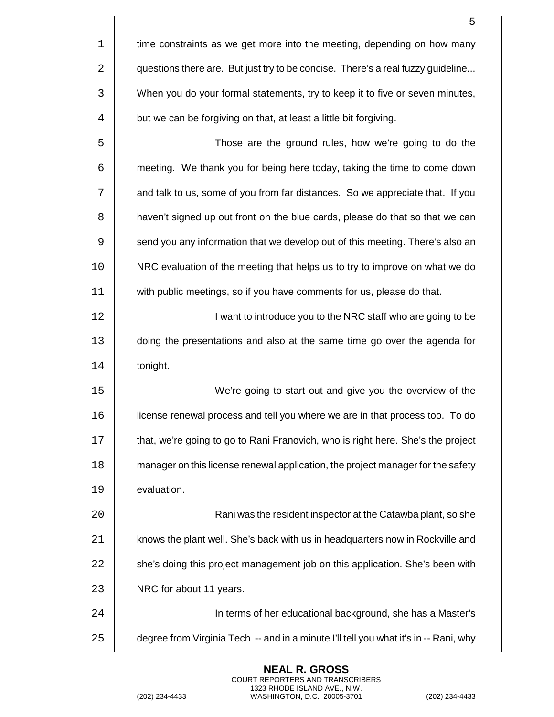|    | 5                                                                                    |
|----|--------------------------------------------------------------------------------------|
| 1  | time constraints as we get more into the meeting, depending on how many              |
| 2  | questions there are. But just try to be concise. There's a real fuzzy guideline      |
| 3  | When you do your formal statements, try to keep it to five or seven minutes,         |
| 4  | but we can be forgiving on that, at least a little bit forgiving.                    |
| 5  | Those are the ground rules, how we're going to do the                                |
| 6  | meeting. We thank you for being here today, taking the time to come down             |
| 7  | and talk to us, some of you from far distances. So we appreciate that. If you        |
| 8  | haven't signed up out front on the blue cards, please do that so that we can         |
| 9  | send you any information that we develop out of this meeting. There's also an        |
| 10 | NRC evaluation of the meeting that helps us to try to improve on what we do          |
| 11 | with public meetings, so if you have comments for us, please do that.                |
| 12 | I want to introduce you to the NRC staff who are going to be                         |
| 13 | doing the presentations and also at the same time go over the agenda for             |
| 14 | tonight.                                                                             |
| 15 | We're going to start out and give you the overview of the                            |
| 16 | license renewal process and tell you where we are in that process too. To do         |
| 17 | that, we're going to go to Rani Franovich, who is right here. She's the project      |
| 18 | manager on this license renewal application, the project manager for the safety      |
| 19 | evaluation.                                                                          |
| 20 | Rani was the resident inspector at the Catawba plant, so she                         |
| 21 | knows the plant well. She's back with us in headquarters now in Rockville and        |
| 22 | she's doing this project management job on this application. She's been with         |
| 23 | NRC for about 11 years.                                                              |
| 24 | In terms of her educational background, she has a Master's                           |
| 25 | degree from Virginia Tech -- and in a minute I'll tell you what it's in -- Rani, why |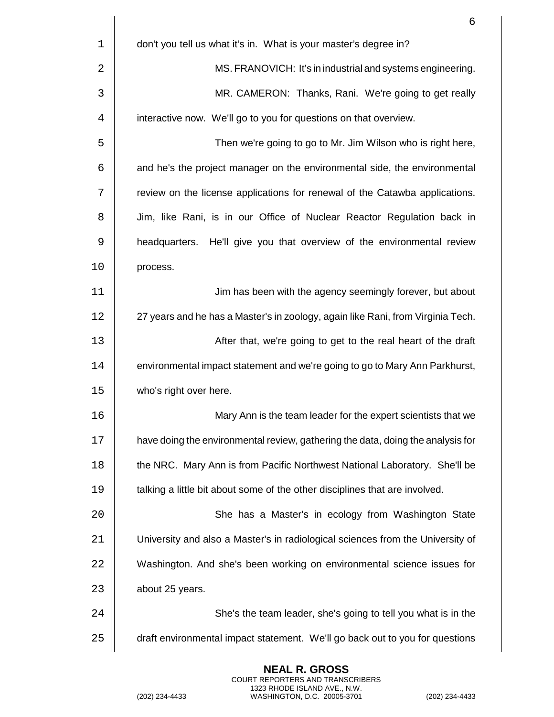|    | 6                                                                               |
|----|---------------------------------------------------------------------------------|
| 1  | don't you tell us what it's in. What is your master's degree in?                |
| 2  | MS. FRANOVICH: It's in industrial and systems engineering.                      |
| 3  | MR. CAMERON: Thanks, Rani. We're going to get really                            |
| 4  | interactive now. We'll go to you for questions on that overview.                |
| 5  | Then we're going to go to Mr. Jim Wilson who is right here,                     |
| 6  | and he's the project manager on the environmental side, the environmental       |
| 7  | review on the license applications for renewal of the Catawba applications.     |
| 8  | Jim, like Rani, is in our Office of Nuclear Reactor Regulation back in          |
| 9  | He'll give you that overview of the environmental review<br>headquarters.       |
| 10 | process.                                                                        |
| 11 | Jim has been with the agency seemingly forever, but about                       |
| 12 | 27 years and he has a Master's in zoology, again like Rani, from Virginia Tech. |
| 13 | After that, we're going to get to the real heart of the draft                   |
| 14 | environmental impact statement and we're going to go to Mary Ann Parkhurst,     |
| 15 | who's right over here.                                                          |
| 16 | Mary Ann is the team leader for the expert scientists that we                   |
| 17 | have doing the environmental review, gathering the data, doing the analysis for |
| 18 | the NRC. Mary Ann is from Pacific Northwest National Laboratory. She'll be      |
| 19 | talking a little bit about some of the other disciplines that are involved.     |
| 20 | She has a Master's in ecology from Washington State                             |
| 21 | University and also a Master's in radiological sciences from the University of  |
| 22 | Washington. And she's been working on environmental science issues for          |
| 23 | about 25 years.                                                                 |
| 24 | She's the team leader, she's going to tell you what is in the                   |
| 25 | draft environmental impact statement. We'll go back out to you for questions    |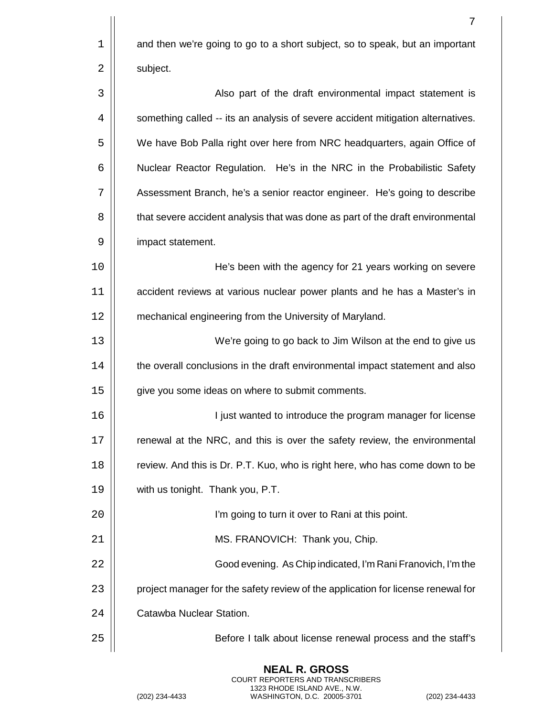|             | 7                                                                                |
|-------------|----------------------------------------------------------------------------------|
| $\mathbf 1$ | and then we're going to go to a short subject, so to speak, but an important     |
| 2           | subject.                                                                         |
| 3           | Also part of the draft environmental impact statement is                         |
| 4           | something called -- its an analysis of severe accident mitigation alternatives.  |
| 5           | We have Bob Palla right over here from NRC headquarters, again Office of         |
| 6           | Nuclear Reactor Regulation. He's in the NRC in the Probabilistic Safety          |
| 7           | Assessment Branch, he's a senior reactor engineer. He's going to describe        |
| 8           | that severe accident analysis that was done as part of the draft environmental   |
| 9           | impact statement.                                                                |
| 10          | He's been with the agency for 21 years working on severe                         |
| 11          | accident reviews at various nuclear power plants and he has a Master's in        |
| 12          | mechanical engineering from the University of Maryland.                          |
| 13          | We're going to go back to Jim Wilson at the end to give us                       |
| 14          | the overall conclusions in the draft environmental impact statement and also     |
| 15          | give you some ideas on where to submit comments.                                 |
| 16          | I just wanted to introduce the program manager for license                       |
| 17          | renewal at the NRC, and this is over the safety review, the environmental        |
| 18          | review. And this is Dr. P.T. Kuo, who is right here, who has come down to be     |
| 19          | with us tonight. Thank you, P.T.                                                 |
| 20          | I'm going to turn it over to Rani at this point.                                 |
| 21          | MS. FRANOVICH: Thank you, Chip.                                                  |
| 22          | Good evening. As Chip indicated, I'm Rani Franovich, I'm the                     |
| 23          | project manager for the safety review of the application for license renewal for |
| 24          | Catawba Nuclear Station.                                                         |
| 25          | Before I talk about license renewal process and the staff's                      |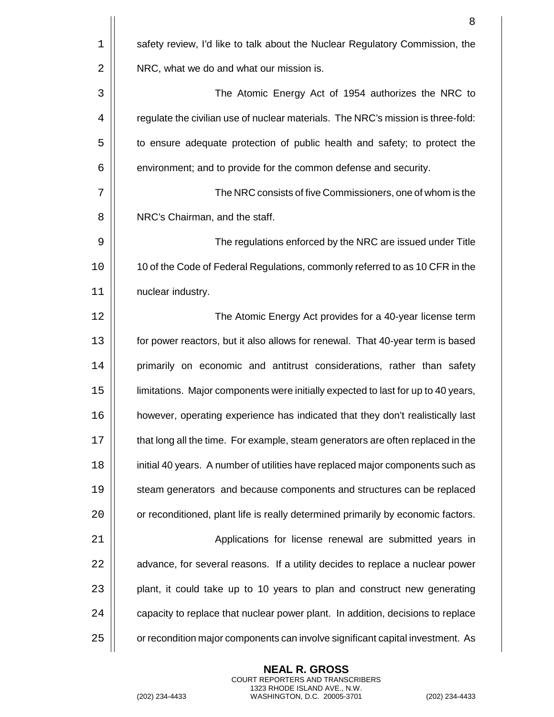|    | 8                                                                                 |
|----|-----------------------------------------------------------------------------------|
| 1  | safety review, I'd like to talk about the Nuclear Regulatory Commission, the      |
| 2  | NRC, what we do and what our mission is.                                          |
| 3  | The Atomic Energy Act of 1954 authorizes the NRC to                               |
| 4  | regulate the civilian use of nuclear materials. The NRC's mission is three-fold:  |
| 5  | to ensure adequate protection of public health and safety; to protect the         |
| 6  | environment; and to provide for the common defense and security.                  |
| 7  | The NRC consists of five Commissioners, one of whom is the                        |
| 8  | NRC's Chairman, and the staff.                                                    |
| 9  | The regulations enforced by the NRC are issued under Title                        |
| 10 | 10 of the Code of Federal Regulations, commonly referred to as 10 CFR in the      |
| 11 | nuclear industry.                                                                 |
| 12 | The Atomic Energy Act provides for a 40-year license term                         |
| 13 | for power reactors, but it also allows for renewal. That 40-year term is based    |
| 14 | primarily on economic and antitrust considerations, rather than safety            |
| 15 | limitations. Major components were initially expected to last for up to 40 years, |
| 16 | however, operating experience has indicated that they don't realistically last    |
| 17 | that long all the time. For example, steam generators are often replaced in the   |
| 18 | initial 40 years. A number of utilities have replaced major components such as    |
| 19 | steam generators and because components and structures can be replaced            |
| 20 | or reconditioned, plant life is really determined primarily by economic factors.  |
| 21 | Applications for license renewal are submitted years in                           |
| 22 | advance, for several reasons. If a utility decides to replace a nuclear power     |
| 23 | plant, it could take up to 10 years to plan and construct new generating          |
| 24 | capacity to replace that nuclear power plant. In addition, decisions to replace   |
| 25 | or recondition major components can involve significant capital investment. As    |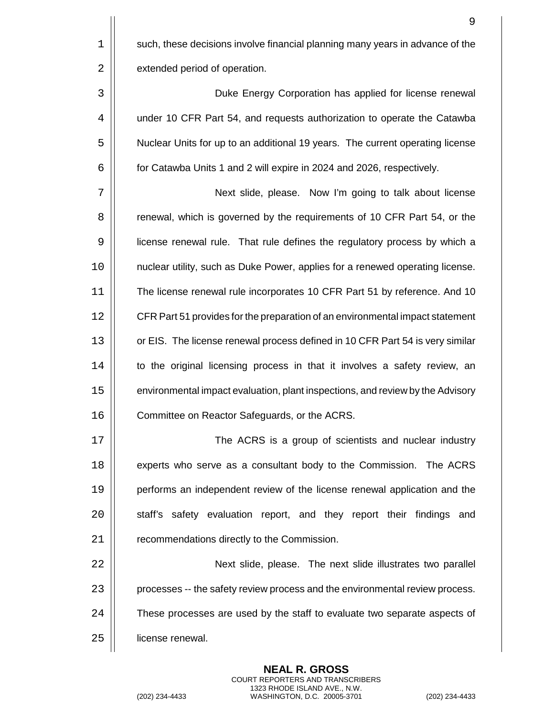$1 \parallel$  such, these decisions involve financial planning many years in advance of the 2 | extended period of operation.

3 Duke Energy Corporation has applied for license renewal 4 | under 10 CFR Part 54, and requests authorization to operate the Catawba 5  $\vert$  Nuclear Units for up to an additional 19 years. The current operating license  $6 \mid$  for Catawba Units 1 and 2 will expire in 2024 and 2026, respectively.

7 Next slide, please. Now I'm going to talk about license 8 | renewal, which is governed by the requirements of 10 CFR Part 54, or the 9 license renewal rule. That rule defines the regulatory process by which a 10 nuclear utility, such as Duke Power, applies for a renewed operating license. 11 The license renewal rule incorporates 10 CFR Part 51 by reference. And 10 12 | CFR Part 51 provides for the preparation of an environmental impact statement 13 | or EIS. The license renewal process defined in 10 CFR Part 54 is very similar 14 | to the original licensing process in that it involves a safety review, an 15 environmental impact evaluation, plant inspections, and review by the Advisory 16 | Committee on Reactor Safeguards, or the ACRS.

17 | Consumer The ACRS is a group of scientists and nuclear industry 18 **experts who serve as a consultant body to the Commission.** The ACRS 19 **performs** an independent review of the license renewal application and the 20 | staff's safety evaluation report, and they report their findings and 21 | recommendations directly to the Commission.

22 | Next slide, please. The next slide illustrates two parallel 23 | processes -- the safety review process and the environmental review process. 24  $\vert$  These processes are used by the staff to evaluate two separate aspects of 25 | license renewal.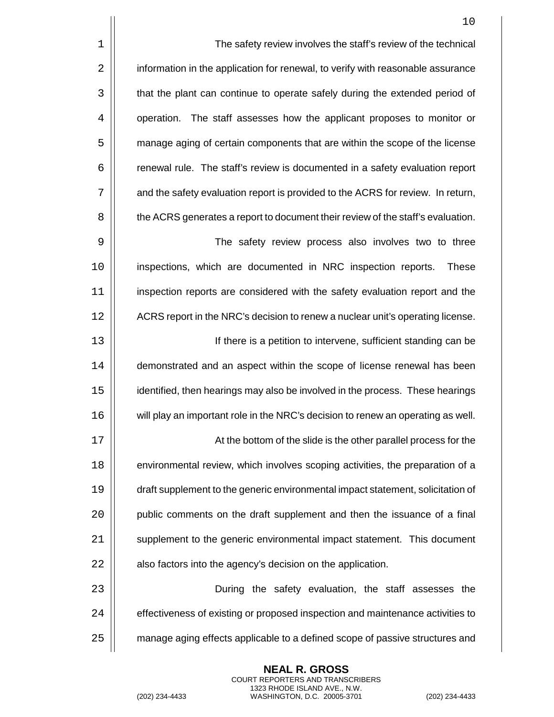|             | 10                                                                               |
|-------------|----------------------------------------------------------------------------------|
| $\mathbf 1$ | The safety review involves the staff's review of the technical                   |
| 2           | information in the application for renewal, to verify with reasonable assurance  |
| 3           | that the plant can continue to operate safely during the extended period of      |
| 4           | operation. The staff assesses how the applicant proposes to monitor or           |
| 5           | manage aging of certain components that are within the scope of the license      |
| 6           | renewal rule. The staff's review is documented in a safety evaluation report     |
| 7           | and the safety evaluation report is provided to the ACRS for review. In return,  |
| 8           | the ACRS generates a report to document their review of the staff's evaluation.  |
| 9           | The safety review process also involves two to three                             |
| 10          | inspections, which are documented in NRC inspection reports.<br><b>These</b>     |
| 11          | inspection reports are considered with the safety evaluation report and the      |
| 12          | ACRS report in the NRC's decision to renew a nuclear unit's operating license.   |
| 13          | If there is a petition to intervene, sufficient standing can be                  |
| 14          | demonstrated and an aspect within the scope of license renewal has been          |
| 15          | identified, then hearings may also be involved in the process. These hearings    |
| 16          | will play an important role in the NRC's decision to renew an operating as well. |
| 17          | At the bottom of the slide is the other parallel process for the                 |
| 18          | environmental review, which involves scoping activities, the preparation of a    |
| 19          | draft supplement to the generic environmental impact statement, solicitation of  |
| 20          | public comments on the draft supplement and then the issuance of a final         |
| 21          | supplement to the generic environmental impact statement. This document          |
| 22          | also factors into the agency's decision on the application.                      |
| 23          | During the safety evaluation, the staff assesses the                             |
| 24          | effectiveness of existing or proposed inspection and maintenance activities to   |
| 25          | manage aging effects applicable to a defined scope of passive structures and     |
|             |                                                                                  |

(202) 234-4433 WASHINGTON, D.C. 20005-3701 (202) 234-4433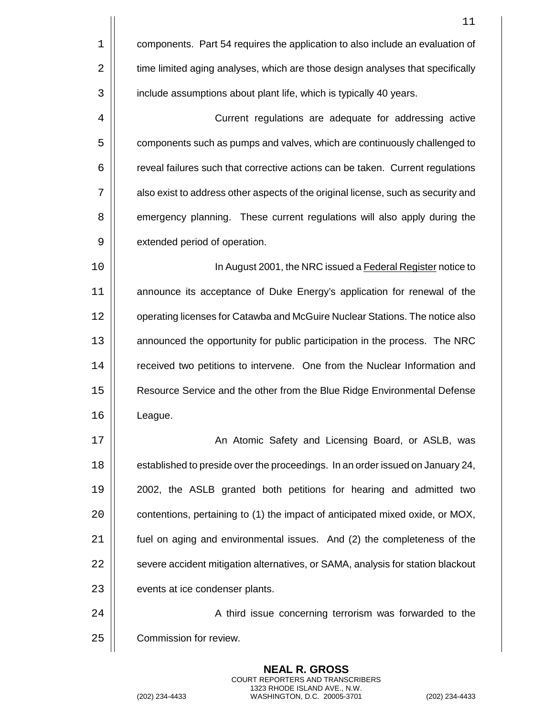|    | 11                                                                                |
|----|-----------------------------------------------------------------------------------|
| 1  | components. Part 54 requires the application to also include an evaluation of     |
| 2  | time limited aging analyses, which are those design analyses that specifically    |
| 3  | include assumptions about plant life, which is typically 40 years.                |
| 4  | Current regulations are adequate for addressing active                            |
| 5  | components such as pumps and valves, which are continuously challenged to         |
| 6  | reveal failures such that corrective actions can be taken. Current regulations    |
| 7  | also exist to address other aspects of the original license, such as security and |
| 8  | emergency planning. These current regulations will also apply during the          |
| 9  | extended period of operation.                                                     |
| 10 | In August 2001, the NRC issued a Federal Register notice to                       |
| 11 | announce its acceptance of Duke Energy's application for renewal of the           |
| 12 | operating licenses for Catawba and McGuire Nuclear Stations. The notice also      |
| 13 | announced the opportunity for public participation in the process. The NRC        |
| 14 | received two petitions to intervene. One from the Nuclear Information and         |
| 15 | Resource Service and the other from the Blue Ridge Environmental Defense          |
| 16 | League.                                                                           |
| 17 | An Atomic Safety and Licensing Board, or ASLB, was                                |
| 18 | established to preside over the proceedings. In an order issued on January 24,    |
| 19 | 2002, the ASLB granted both petitions for hearing and admitted two                |
| 20 | contentions, pertaining to (1) the impact of anticipated mixed oxide, or MOX,     |
| 21 | fuel on aging and environmental issues. And (2) the completeness of the           |
| 22 | severe accident mitigation alternatives, or SAMA, analysis for station blackout   |
| 23 | events at ice condenser plants.                                                   |
| 24 | A third issue concerning terrorism was forwarded to the                           |
| 25 | Commission for review.                                                            |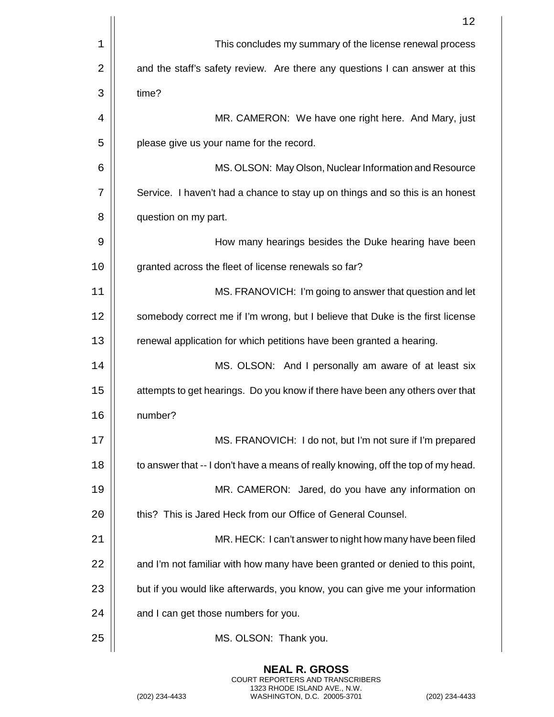|    | 12                                                                                |
|----|-----------------------------------------------------------------------------------|
| 1  | This concludes my summary of the license renewal process                          |
| 2  | and the staff's safety review. Are there any questions I can answer at this       |
| 3  | time?                                                                             |
| 4  | MR. CAMERON: We have one right here. And Mary, just                               |
| 5  | please give us your name for the record.                                          |
| 6  | MS. OLSON: May Olson, Nuclear Information and Resource                            |
| 7  | Service. I haven't had a chance to stay up on things and so this is an honest     |
| 8  | question on my part.                                                              |
| 9  | How many hearings besides the Duke hearing have been                              |
| 10 | granted across the fleet of license renewals so far?                              |
| 11 | MS. FRANOVICH: I'm going to answer that question and let                          |
| 12 | somebody correct me if I'm wrong, but I believe that Duke is the first license    |
| 13 | renewal application for which petitions have been granted a hearing.              |
| 14 | MS. OLSON: And I personally am aware of at least six                              |
| 15 | attempts to get hearings. Do you know if there have been any others over that     |
| 16 | number?                                                                           |
| 17 | MS. FRANOVICH: I do not, but I'm not sure if I'm prepared                         |
| 18 | to answer that -- I don't have a means of really knowing, off the top of my head. |
| 19 | MR. CAMERON: Jared, do you have any information on                                |
| 20 | this? This is Jared Heck from our Office of General Counsel.                      |
| 21 | MR. HECK: I can't answer to night how many have been filed                        |
| 22 | and I'm not familiar with how many have been granted or denied to this point,     |
| 23 | but if you would like afterwards, you know, you can give me your information      |
| 24 | and I can get those numbers for you.                                              |
| 25 | MS. OLSON: Thank you.                                                             |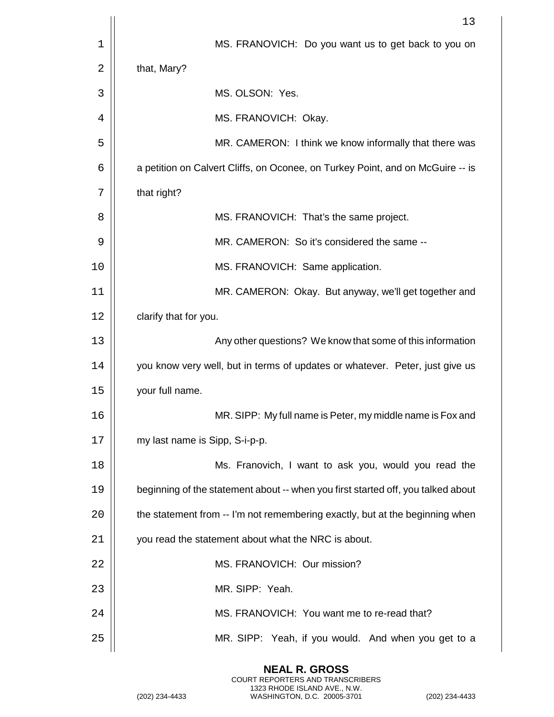|    | 13                                                                               |
|----|----------------------------------------------------------------------------------|
| 1  | MS. FRANOVICH: Do you want us to get back to you on                              |
| 2  | that, Mary?                                                                      |
| 3  | MS. OLSON: Yes.                                                                  |
| 4  | MS. FRANOVICH: Okay.                                                             |
| 5  | MR. CAMERON: I think we know informally that there was                           |
| 6  | a petition on Calvert Cliffs, on Oconee, on Turkey Point, and on McGuire -- is   |
| 7  | that right?                                                                      |
| 8  | MS. FRANOVICH: That's the same project.                                          |
| 9  | MR. CAMERON: So it's considered the same --                                      |
| 10 | MS. FRANOVICH: Same application.                                                 |
| 11 | MR. CAMERON: Okay. But anyway, we'll get together and                            |
| 12 | clarify that for you.                                                            |
| 13 | Any other questions? We know that some of this information                       |
| 14 | you know very well, but in terms of updates or whatever. Peter, just give us     |
| 15 | your full name.                                                                  |
| 16 | MR. SIPP: My full name is Peter, my middle name is Fox and                       |
| 17 | my last name is Sipp, S-i-p-p.                                                   |
| 18 | Ms. Franovich, I want to ask you, would you read the                             |
| 19 | beginning of the statement about -- when you first started off, you talked about |
| 20 | the statement from -- I'm not remembering exactly, but at the beginning when     |
| 21 | you read the statement about what the NRC is about.                              |
| 22 | MS. FRANOVICH: Our mission?                                                      |
| 23 | MR. SIPP: Yeah.                                                                  |
| 24 | MS. FRANOVICH: You want me to re-read that?                                      |
| 25 | MR. SIPP: Yeah, if you would. And when you get to a                              |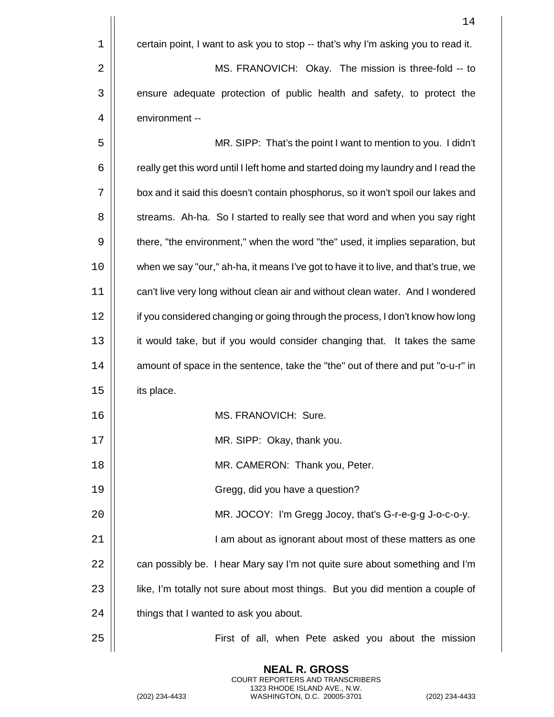|             | 14                                                                                  |
|-------------|-------------------------------------------------------------------------------------|
| $\mathbf 1$ | certain point, I want to ask you to stop -- that's why I'm asking you to read it.   |
| 2           | MS. FRANOVICH: Okay. The mission is three-fold -- to                                |
| 3           | ensure adequate protection of public health and safety, to protect the              |
| 4           | environment --                                                                      |
| 5           | MR. SIPP: That's the point I want to mention to you. I didn't                       |
| 6           | really get this word until I left home and started doing my laundry and I read the  |
| 7           | box and it said this doesn't contain phosphorus, so it won't spoil our lakes and    |
| 8           | streams. Ah-ha. So I started to really see that word and when you say right         |
| 9           | there, "the environment," when the word "the" used, it implies separation, but      |
| 10          | when we say "our," ah-ha, it means I've got to have it to live, and that's true, we |
| 11          | can't live very long without clean air and without clean water. And I wondered      |
| 12          | if you considered changing or going through the process, I don't know how long      |
| 13          | it would take, but if you would consider changing that. It takes the same           |
| 14          | amount of space in the sentence, take the "the" out of there and put "o-u-r" in     |
| 15          | its place.                                                                          |
| 16          | MS. FRANOVICH: Sure.                                                                |
| 17          | MR. SIPP: Okay, thank you.                                                          |
| 18          | MR. CAMERON: Thank you, Peter.                                                      |
| 19          | Gregg, did you have a question?                                                     |
| 20          | MR. JOCOY: I'm Gregg Jocoy, that's G-r-e-g-g J-o-c-o-y.                             |
| 21          | I am about as ignorant about most of these matters as one                           |
| 22          | can possibly be. I hear Mary say I'm not quite sure about something and I'm         |
| 23          | like, I'm totally not sure about most things. But you did mention a couple of       |
| 24          | things that I wanted to ask you about.                                              |
| 25          | First of all, when Pete asked you about the mission                                 |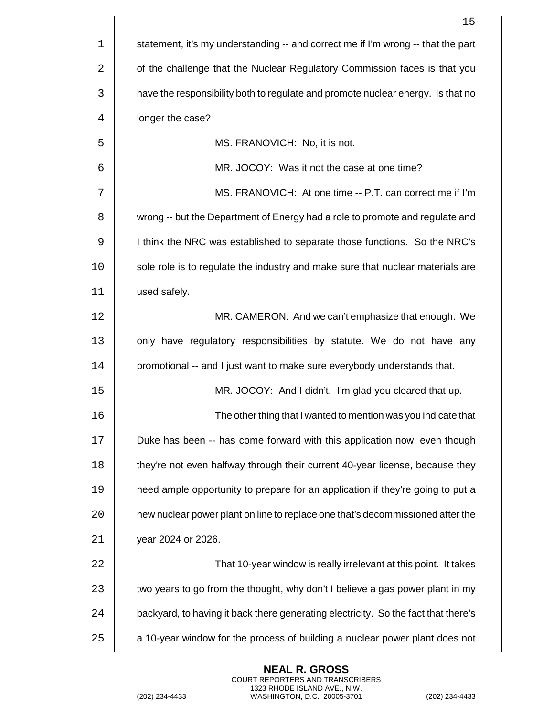|    | 15                                                                                 |
|----|------------------------------------------------------------------------------------|
| 1  | statement, it's my understanding -- and correct me if I'm wrong -- that the part   |
| 2  | of the challenge that the Nuclear Regulatory Commission faces is that you          |
| 3  | have the responsibility both to regulate and promote nuclear energy. Is that no    |
| 4  | longer the case?                                                                   |
| 5  | MS. FRANOVICH: No, it is not.                                                      |
| 6  | MR. JOCOY: Was it not the case at one time?                                        |
| 7  | MS. FRANOVICH: At one time -- P.T. can correct me if I'm                           |
| 8  | wrong -- but the Department of Energy had a role to promote and regulate and       |
| 9  | I think the NRC was established to separate those functions. So the NRC's          |
| 10 | sole role is to regulate the industry and make sure that nuclear materials are     |
| 11 | used safely.                                                                       |
| 12 | MR. CAMERON: And we can't emphasize that enough. We                                |
| 13 | only have regulatory responsibilities by statute. We do not have any               |
| 14 | promotional -- and I just want to make sure everybody understands that.            |
| 15 | MR. JOCOY: And I didn't. I'm glad you cleared that up.                             |
| 16 | The other thing that I wanted to mention was you indicate that                     |
| 17 | Duke has been -- has come forward with this application now, even though           |
| 18 | they're not even halfway through their current 40-year license, because they       |
| 19 | need ample opportunity to prepare for an application if they're going to put a     |
| 20 | new nuclear power plant on line to replace one that's decommissioned after the     |
| 21 | year 2024 or 2026.                                                                 |
| 22 | That 10-year window is really irrelevant at this point. It takes                   |
| 23 | two years to go from the thought, why don't I believe a gas power plant in my      |
| 24 | backyard, to having it back there generating electricity. So the fact that there's |
| 25 | a 10-year window for the process of building a nuclear power plant does not        |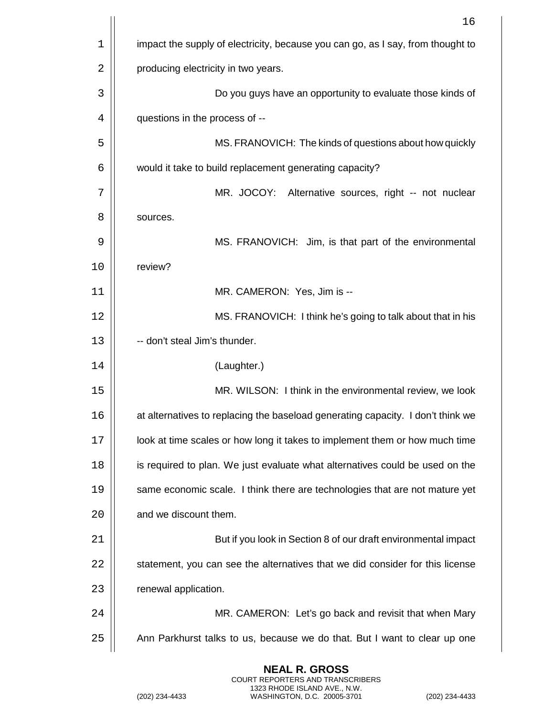|    | 16                                                                              |
|----|---------------------------------------------------------------------------------|
| 1  | impact the supply of electricity, because you can go, as I say, from thought to |
| 2  | producing electricity in two years.                                             |
| 3  | Do you guys have an opportunity to evaluate those kinds of                      |
| 4  | questions in the process of --                                                  |
| 5  | MS. FRANOVICH: The kinds of questions about how quickly                         |
| 6  | would it take to build replacement generating capacity?                         |
| 7  | MR. JOCOY: Alternative sources, right -- not nuclear                            |
| 8  | sources.                                                                        |
| 9  | MS. FRANOVICH: Jim, is that part of the environmental                           |
| 10 | review?                                                                         |
| 11 | MR. CAMERON: Yes, Jim is --                                                     |
| 12 | MS. FRANOVICH: I think he's going to talk about that in his                     |
| 13 | -- don't steal Jim's thunder.                                                   |
| 14 | (Laughter.)                                                                     |
| 15 | MR. WILSON: I think in the environmental review, we look                        |
| 16 | at alternatives to replacing the baseload generating capacity. I don't think we |
| 17 | look at time scales or how long it takes to implement them or how much time     |
| 18 | is required to plan. We just evaluate what alternatives could be used on the    |
| 19 | same economic scale. I think there are technologies that are not mature yet     |
| 20 | and we discount them.                                                           |
| 21 | But if you look in Section 8 of our draft environmental impact                  |
| 22 | statement, you can see the alternatives that we did consider for this license   |
| 23 | renewal application.                                                            |
| 24 | MR. CAMERON: Let's go back and revisit that when Mary                           |
| 25 | Ann Parkhurst talks to us, because we do that. But I want to clear up one       |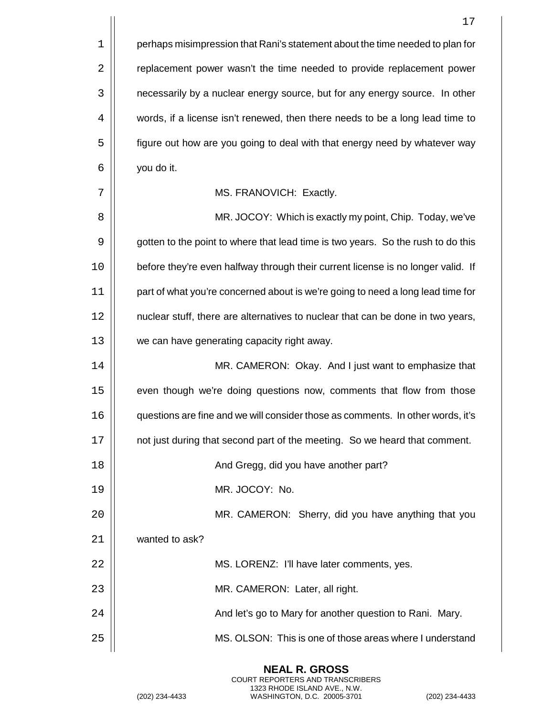|             | 17                                                                               |
|-------------|----------------------------------------------------------------------------------|
| $\mathbf 1$ | perhaps misimpression that Rani's statement about the time needed to plan for    |
| 2           | replacement power wasn't the time needed to provide replacement power            |
| 3           | necessarily by a nuclear energy source, but for any energy source. In other      |
| 4           | words, if a license isn't renewed, then there needs to be a long lead time to    |
| 5           | figure out how are you going to deal with that energy need by whatever way       |
| 6           | you do it.                                                                       |
| 7           | MS. FRANOVICH: Exactly.                                                          |
| 8           | MR. JOCOY: Which is exactly my point, Chip. Today, we've                         |
| 9           | gotten to the point to where that lead time is two years. So the rush to do this |
| 10          | before they're even halfway through their current license is no longer valid. If |
| 11          | part of what you're concerned about is we're going to need a long lead time for  |
| 12          | nuclear stuff, there are alternatives to nuclear that can be done in two years,  |
| 13          | we can have generating capacity right away.                                      |
| 14          | MR. CAMERON: Okay. And I just want to emphasize that                             |
| 15          | even though we're doing questions now, comments that flow from those             |
| 16          | questions are fine and we will consider those as comments. In other words, it's  |
| 17          | not just during that second part of the meeting. So we heard that comment.       |
| 18          | And Gregg, did you have another part?                                            |
| 19          | MR. JOCOY: No.                                                                   |
| 20          | MR. CAMERON: Sherry, did you have anything that you                              |
| 21          | wanted to ask?                                                                   |
| 22          | MS. LORENZ: I'll have later comments, yes.                                       |
| 23          | MR. CAMERON: Later, all right.                                                   |
| 24          | And let's go to Mary for another question to Rani. Mary.                         |
| 25          | MS. OLSON: This is one of those areas where I understand                         |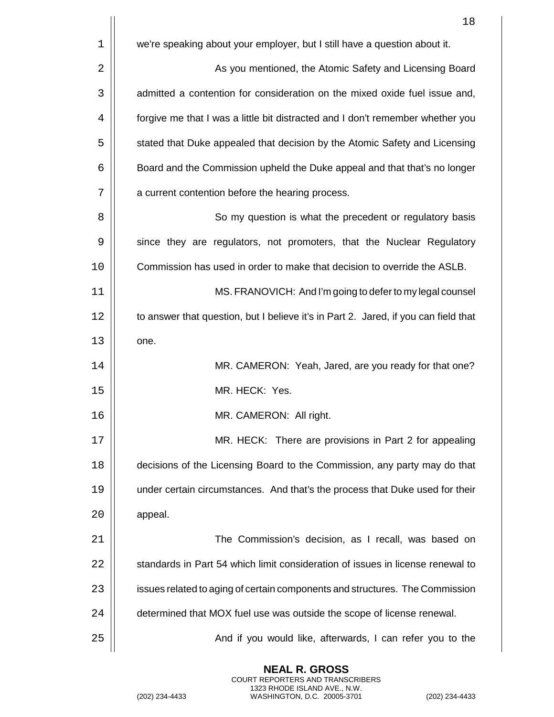|    | 18                                                                                  |
|----|-------------------------------------------------------------------------------------|
| 1  | we're speaking about your employer, but I still have a question about it.           |
| 2  | As you mentioned, the Atomic Safety and Licensing Board                             |
| 3  | admitted a contention for consideration on the mixed oxide fuel issue and,          |
| 4  | forgive me that I was a little bit distracted and I don't remember whether you      |
| 5  | stated that Duke appealed that decision by the Atomic Safety and Licensing          |
| 6  | Board and the Commission upheld the Duke appeal and that that's no longer           |
| 7  | a current contention before the hearing process.                                    |
| 8  | So my question is what the precedent or regulatory basis                            |
| 9  | since they are regulators, not promoters, that the Nuclear Regulatory               |
| 10 | Commission has used in order to make that decision to override the ASLB.            |
| 11 | MS. FRANOVICH: And I'm going to defer to my legal counsel                           |
| 12 | to answer that question, but I believe it's in Part 2. Jared, if you can field that |
| 13 | one.                                                                                |
| 14 | MR. CAMERON: Yeah, Jared, are you ready for that one?                               |
| 15 | MR. HECK: Yes.                                                                      |
| 16 | MR. CAMERON: All right.                                                             |
| 17 | MR. HECK: There are provisions in Part 2 for appealing                              |
| 18 | decisions of the Licensing Board to the Commission, any party may do that           |
| 19 | under certain circumstances. And that's the process that Duke used for their        |
| 20 | appeal.                                                                             |
| 21 | The Commission's decision, as I recall, was based on                                |
| 22 | standards in Part 54 which limit consideration of issues in license renewal to      |
| 23 | issues related to aging of certain components and structures. The Commission        |
| 24 | determined that MOX fuel use was outside the scope of license renewal.              |
| 25 | And if you would like, afterwards, I can refer you to the                           |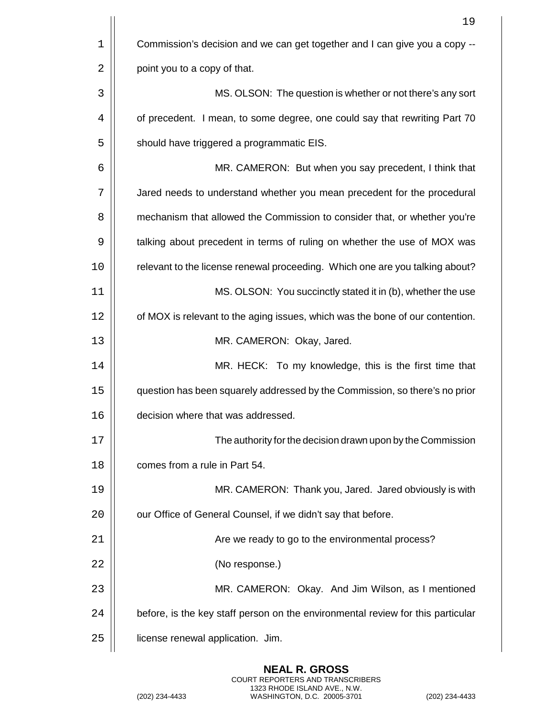|    | 19                                                                              |
|----|---------------------------------------------------------------------------------|
| 1  | Commission's decision and we can get together and I can give you a copy --      |
| 2  | point you to a copy of that.                                                    |
| 3  | MS. OLSON: The question is whether or not there's any sort                      |
| 4  | of precedent. I mean, to some degree, one could say that rewriting Part 70      |
| 5  | should have triggered a programmatic EIS.                                       |
| 6  | MR. CAMERON: But when you say precedent, I think that                           |
| 7  | Jared needs to understand whether you mean precedent for the procedural         |
| 8  | mechanism that allowed the Commission to consider that, or whether you're       |
| 9  | talking about precedent in terms of ruling on whether the use of MOX was        |
| 10 | relevant to the license renewal proceeding. Which one are you talking about?    |
| 11 | MS. OLSON: You succinctly stated it in (b), whether the use                     |
| 12 | of MOX is relevant to the aging issues, which was the bone of our contention.   |
| 13 | MR. CAMERON: Okay, Jared.                                                       |
| 14 | MR. HECK: To my knowledge, this is the first time that                          |
| 15 | question has been squarely addressed by the Commission, so there's no prior     |
| 16 | decision where that was addressed.                                              |
| 17 | The authority for the decision drawn upon by the Commission                     |
| 18 | comes from a rule in Part 54.                                                   |
| 19 | MR. CAMERON: Thank you, Jared. Jared obviously is with                          |
| 20 | our Office of General Counsel, if we didn't say that before.                    |
| 21 | Are we ready to go to the environmental process?                                |
| 22 | (No response.)                                                                  |
| 23 | MR. CAMERON: Okay. And Jim Wilson, as I mentioned                               |
| 24 | before, is the key staff person on the environmental review for this particular |
| 25 | license renewal application. Jim.                                               |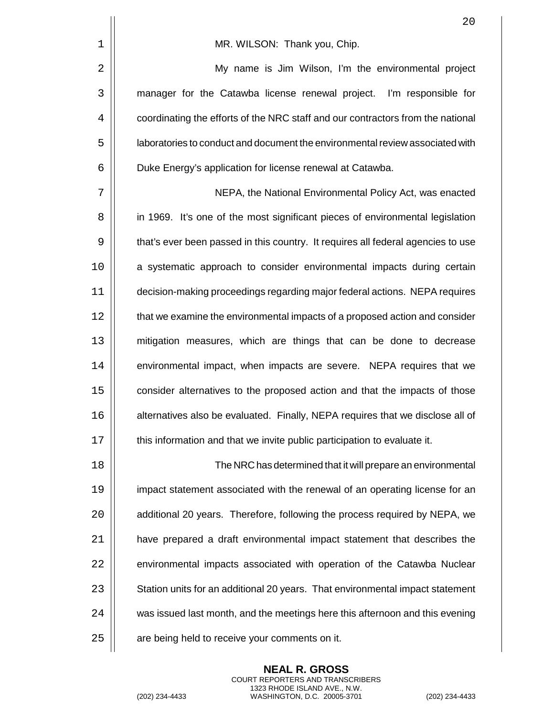|    | 20                                                                               |
|----|----------------------------------------------------------------------------------|
| 1  | MR. WILSON: Thank you, Chip.                                                     |
| 2  | My name is Jim Wilson, I'm the environmental project                             |
| 3  | manager for the Catawba license renewal project. I'm responsible for             |
| 4  | coordinating the efforts of the NRC staff and our contractors from the national  |
| 5  | laboratories to conduct and document the environmental review associated with    |
| 6  | Duke Energy's application for license renewal at Catawba.                        |
| 7  | NEPA, the National Environmental Policy Act, was enacted                         |
| 8  | in 1969. It's one of the most significant pieces of environmental legislation    |
| 9  | that's ever been passed in this country. It requires all federal agencies to use |
| 10 | a systematic approach to consider environmental impacts during certain           |
| 11 | decision-making proceedings regarding major federal actions. NEPA requires       |
| 12 | that we examine the environmental impacts of a proposed action and consider      |
| 13 | mitigation measures, which are things that can be done to decrease               |
| 14 | environmental impact, when impacts are severe. NEPA requires that we             |
| 15 | consider alternatives to the proposed action and that the impacts of those       |
| 16 | alternatives also be evaluated. Finally, NEPA requires that we disclose all of   |
| 17 | this information and that we invite public participation to evaluate it.         |
| 18 | The NRC has determined that it will prepare an environmental                     |
| 19 | impact statement associated with the renewal of an operating license for an      |
| 20 | additional 20 years. Therefore, following the process required by NEPA, we       |
| 21 | have prepared a draft environmental impact statement that describes the          |
| 22 | environmental impacts associated with operation of the Catawba Nuclear           |
| 23 | Station units for an additional 20 years. That environmental impact statement    |
| 24 | was issued last month, and the meetings here this afternoon and this evening     |
| 25 | are being held to receive your comments on it.                                   |

**NEAL R. GROSS** COURT REPORTERS AND TRANSCRIBERS 1323 RHODE ISLAND AVE., N.W. (202) 234-4433 WASHINGTON, D.C. 20005-3701 (202) 234-4433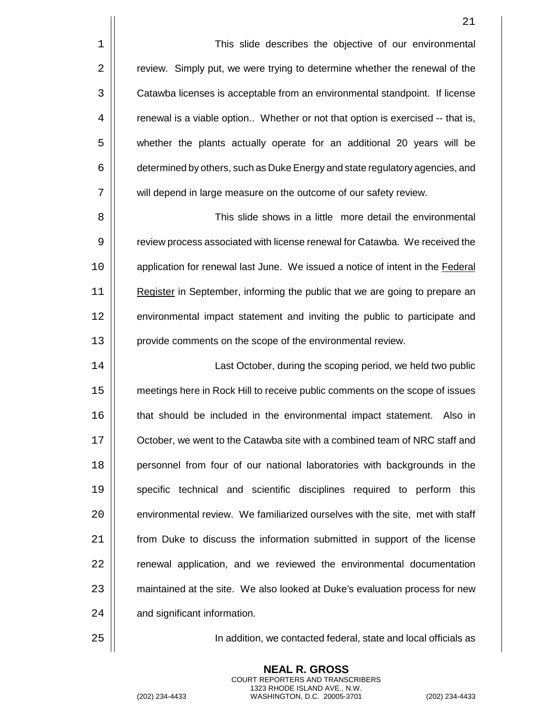1 | This slide describes the objective of our environmental 2 | review. Simply put, we were trying to determine whether the renewal of the 3 **Catawba licenses is acceptable from an environmental standpoint.** If license 4 | renewal is a viable option.. Whether or not that option is exercised -- that is, 5 | whether the plants actually operate for an additional 20 years will be 6  $\vert\vert$  determined by others, such as Duke Energy and state regulatory agencies, and 7 | will depend in large measure on the outcome of our safety review.

8 | Southeast Controller State shows in a little more detail the environmental in the state of the State Times 9  $\vert\vert$  review process associated with license renewal for Catawba. We received the 10 | application for renewal last June. We issued a notice of intent in the Federal 11 Register in September, informing the public that we are going to prepare an 12 | environmental impact statement and inviting the public to participate and 13 | provide comments on the scope of the environmental review.

 Last October, during the scoping period, we held two public meetings here in Rock Hill to receive public comments on the scope of issues 16 | that should be included in the environmental impact statement. Also in  $\parallel$  October, we went to the Catawba site with a combined team of NRC staff and **personnel from four of our national laboratories with backgrounds in the Specific technical and scientific disciplines required to perform this**  $\parallel$  environmental review. We familiarized ourselves with the site, met with staff **from Duke to discuss the information submitted in support of the license** 22 | renewal application, and we reviewed the environmental documentation 23 | maintained at the site. We also looked at Duke's evaluation process for new 24 | and significant information.

25 In addition, we contacted federal, state and local officials as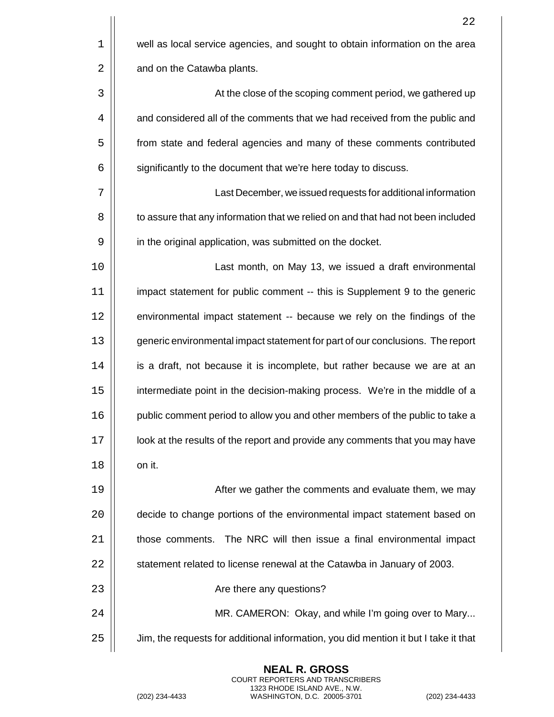|    | 22                                                                                  |
|----|-------------------------------------------------------------------------------------|
| 1  | well as local service agencies, and sought to obtain information on the area        |
| 2  | and on the Catawba plants.                                                          |
| 3  | At the close of the scoping comment period, we gathered up                          |
| 4  | and considered all of the comments that we had received from the public and         |
| 5  | from state and federal agencies and many of these comments contributed              |
| 6  | significantly to the document that we're here today to discuss.                     |
| 7  | Last December, we issued requests for additional information                        |
| 8  | to assure that any information that we relied on and that had not been included     |
| 9  | in the original application, was submitted on the docket.                           |
| 10 | Last month, on May 13, we issued a draft environmental                              |
| 11 | impact statement for public comment -- this is Supplement 9 to the generic          |
| 12 | environmental impact statement -- because we rely on the findings of the            |
| 13 | generic environmental impact statement for part of our conclusions. The report      |
| 14 | is a draft, not because it is incomplete, but rather because we are at an           |
| 15 | intermediate point in the decision-making process. We're in the middle of a         |
| 16 | public comment period to allow you and other members of the public to take a        |
| 17 | look at the results of the report and provide any comments that you may have        |
| 18 | on it.                                                                              |
| 19 | After we gather the comments and evaluate them, we may                              |
| 20 | decide to change portions of the environmental impact statement based on            |
| 21 | The NRC will then issue a final environmental impact<br>those comments.             |
| 22 | statement related to license renewal at the Catawba in January of 2003.             |
| 23 | Are there any questions?                                                            |
| 24 | MR. CAMERON: Okay, and while I'm going over to Mary                                 |
| 25 | Jim, the requests for additional information, you did mention it but I take it that |

(202) 234-4433 WASHINGTON, D.C. 20005-3701 (202) 234-4433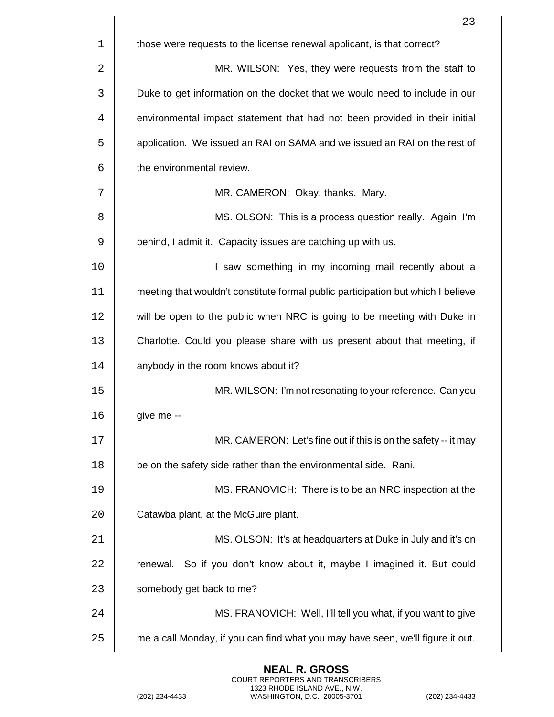|             | 23                                                                               |
|-------------|----------------------------------------------------------------------------------|
| $\mathbf 1$ | those were requests to the license renewal applicant, is that correct?           |
| 2           | MR. WILSON: Yes, they were requests from the staff to                            |
| 3           | Duke to get information on the docket that we would need to include in our       |
| 4           | environmental impact statement that had not been provided in their initial       |
| 5           | application. We issued an RAI on SAMA and we issued an RAI on the rest of        |
| 6           | the environmental review.                                                        |
| 7           | MR. CAMERON: Okay, thanks. Mary.                                                 |
| 8           | MS. OLSON: This is a process question really. Again, I'm                         |
| 9           | behind, I admit it. Capacity issues are catching up with us.                     |
| 10          | I saw something in my incoming mail recently about a                             |
| 11          | meeting that wouldn't constitute formal public participation but which I believe |
| 12          | will be open to the public when NRC is going to be meeting with Duke in          |
| 13          | Charlotte. Could you please share with us present about that meeting, if         |
| 14          | anybody in the room knows about it?                                              |
| 15          | MR. WILSON: I'm not resonating to your reference. Can you                        |
| 16          | give me --                                                                       |
| 17          | MR. CAMERON: Let's fine out if this is on the safety -- it may                   |
| 18          | be on the safety side rather than the environmental side. Rani.                  |
| 19          | MS. FRANOVICH: There is to be an NRC inspection at the                           |
| 20          | Catawba plant, at the McGuire plant.                                             |
| 21          | MS. OLSON: It's at headquarters at Duke in July and it's on                      |
| 22          | renewal. So if you don't know about it, maybe I imagined it. But could           |
| 23          | somebody get back to me?                                                         |
| 24          | MS. FRANOVICH: Well, I'll tell you what, if you want to give                     |
| 25          | me a call Monday, if you can find what you may have seen, we'll figure it out.   |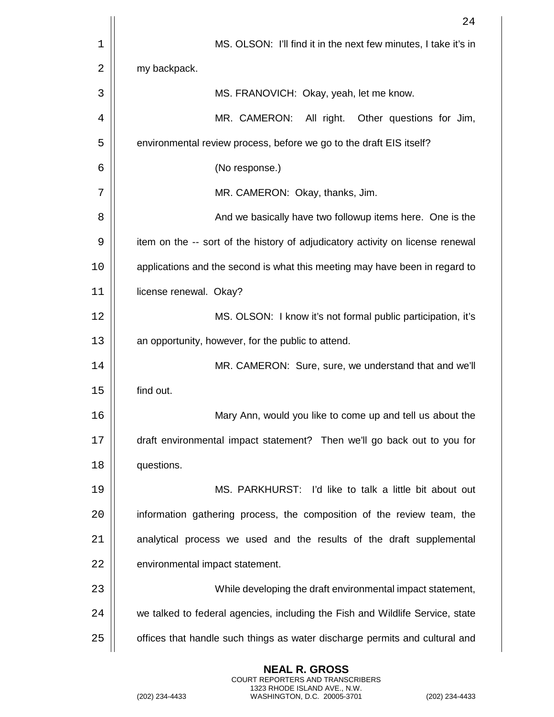|    | 24                                                                             |
|----|--------------------------------------------------------------------------------|
| 1  | MS. OLSON: I'll find it in the next few minutes, I take it's in                |
| 2  | my backpack.                                                                   |
| 3  | MS. FRANOVICH: Okay, yeah, let me know.                                        |
| 4  | MR. CAMERON:<br>All right.<br>Other questions for Jim,                         |
| 5  | environmental review process, before we go to the draft EIS itself?            |
| 6  | (No response.)                                                                 |
| 7  | MR. CAMERON: Okay, thanks, Jim.                                                |
| 8  | And we basically have two followup items here. One is the                      |
| 9  | item on the -- sort of the history of adjudicatory activity on license renewal |
| 10 | applications and the second is what this meeting may have been in regard to    |
| 11 | license renewal. Okay?                                                         |
| 12 | MS. OLSON: I know it's not formal public participation, it's                   |
| 13 | an opportunity, however, for the public to attend.                             |
| 14 | MR. CAMERON: Sure, sure, we understand that and we'll                          |
| 15 | find out.                                                                      |
| 16 | Mary Ann, would you like to come up and tell us about the                      |
| 17 | draft environmental impact statement? Then we'll go back out to you for        |
| 18 | questions.                                                                     |
| 19 | MS. PARKHURST: I'd like to talk a little bit about out                         |
| 20 | information gathering process, the composition of the review team, the         |
| 21 | analytical process we used and the results of the draft supplemental           |
| 22 | environmental impact statement.                                                |
| 23 | While developing the draft environmental impact statement,                     |
| 24 | we talked to federal agencies, including the Fish and Wildlife Service, state  |
| 25 | offices that handle such things as water discharge permits and cultural and    |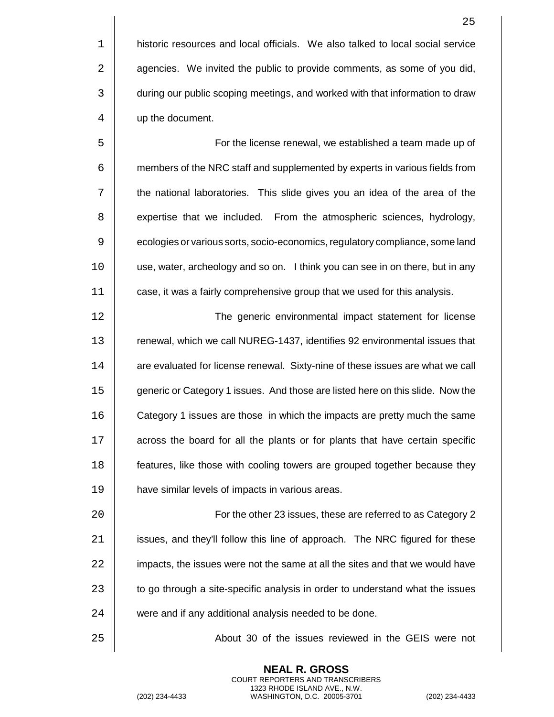1 historic resources and local officials. We also talked to local social service 2 | agencies. We invited the public to provide comments, as some of you did, 3  $\vert$  during our public scoping meetings, and worked with that information to draw 4 | up the document.

5 | Soleman For the license renewal, we established a team made up of 6  $\vert\vert$  members of the NRC staff and supplemented by experts in various fields from 7 the national laboratories. This slide gives you an idea of the area of the 8 | expertise that we included. From the atmospheric sciences, hydrology, 9  $\vert\vert$  ecologies or various sorts, socio-economics, regulatory compliance, some land 10 use, water, archeology and so on. I think you can see in on there, but in any 11 | case, it was a fairly comprehensive group that we used for this analysis.

 The generic environmental impact statement for license 13 | renewal, which we call NUREG-1437, identifies 92 environmental issues that 14 | are evaluated for license renewal. Sixty-nine of these issues are what we call **generic or Category 1 issues.** And those are listed here on this slide. Now the **Category 1** issues are those in which the impacts are pretty much the same 17 | across the board for all the plants or for plants that have certain specific **features**, like those with cooling towers are grouped together because they have similar levels of impacts in various areas.

20 | For the other 23 issues, these are referred to as Category 2  $21$  | issues, and they'll follow this line of approach. The NRC figured for these 22 | impacts, the issues were not the same at all the sites and that we would have  $23$   $\parallel$  to go through a site-specific analysis in order to understand what the issues 24 | were and if any additional analysis needed to be done.

> **NEAL R. GROSS** COURT REPORTERS AND TRANSCRIBERS 1323 RHODE ISLAND AVE., N.W.

25 About 30 of the issues reviewed in the GEIS were not

25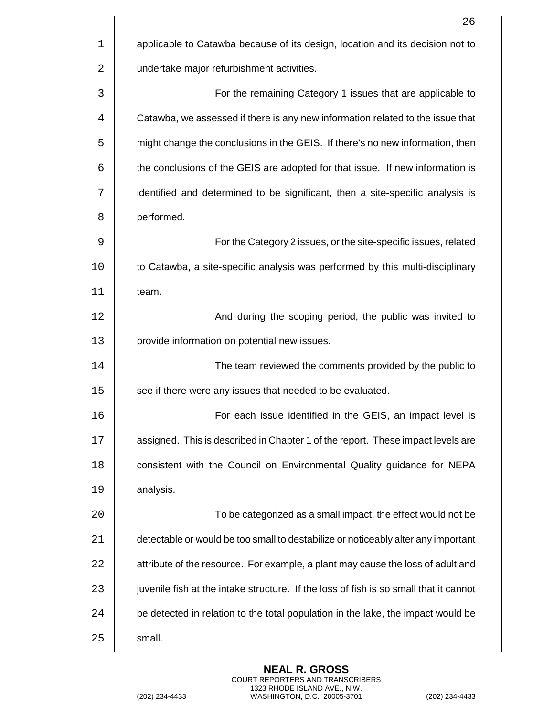|    | 26                                                                                    |
|----|---------------------------------------------------------------------------------------|
| 1  | applicable to Catawba because of its design, location and its decision not to         |
| 2  | undertake major refurbishment activities.                                             |
| 3  | For the remaining Category 1 issues that are applicable to                            |
| 4  | Catawba, we assessed if there is any new information related to the issue that        |
| 5  | might change the conclusions in the GEIS. If there's no new information, then         |
| 6  | the conclusions of the GEIS are adopted for that issue. If new information is         |
| 7  | identified and determined to be significant, then a site-specific analysis is         |
| 8  | performed.                                                                            |
| 9  | For the Category 2 issues, or the site-specific issues, related                       |
| 10 | to Catawba, a site-specific analysis was performed by this multi-disciplinary         |
| 11 | team.                                                                                 |
| 12 | And during the scoping period, the public was invited to                              |
| 13 | provide information on potential new issues.                                          |
| 14 | The team reviewed the comments provided by the public to                              |
| 15 | see if there were any issues that needed to be evaluated.                             |
| 16 | For each issue identified in the GEIS, an impact level is                             |
| 17 | assigned. This is described in Chapter 1 of the report. These impact levels are       |
| 18 | consistent with the Council on Environmental Quality guidance for NEPA                |
| 19 | analysis.                                                                             |
| 20 | To be categorized as a small impact, the effect would not be                          |
| 21 | detectable or would be too small to destabilize or noticeably alter any important     |
| 22 | attribute of the resource. For example, a plant may cause the loss of adult and       |
| 23 | juvenile fish at the intake structure. If the loss of fish is so small that it cannot |
| 24 | be detected in relation to the total population in the lake, the impact would be      |
| 25 | small.                                                                                |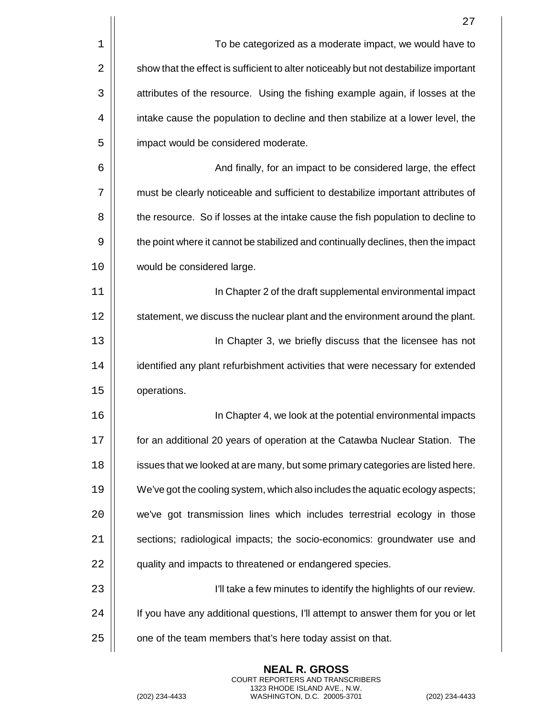|    | 27                                                                                   |
|----|--------------------------------------------------------------------------------------|
| 1  | To be categorized as a moderate impact, we would have to                             |
| 2  | show that the effect is sufficient to alter noticeably but not destabilize important |
| 3  | attributes of the resource. Using the fishing example again, if losses at the        |
| 4  | intake cause the population to decline and then stabilize at a lower level, the      |
| 5  | impact would be considered moderate.                                                 |
| 6  | And finally, for an impact to be considered large, the effect                        |
| 7  | must be clearly noticeable and sufficient to destabilize important attributes of     |
| 8  | the resource. So if losses at the intake cause the fish population to decline to     |
| 9  | the point where it cannot be stabilized and continually declines, then the impact    |
| 10 | would be considered large.                                                           |
| 11 | In Chapter 2 of the draft supplemental environmental impact                          |
| 12 | statement, we discuss the nuclear plant and the environment around the plant.        |
| 13 | In Chapter 3, we briefly discuss that the licensee has not                           |
| 14 | identified any plant refurbishment activities that were necessary for extended       |
| 15 | operations.                                                                          |
| 16 | In Chapter 4, we look at the potential environmental impacts                         |
| 17 | for an additional 20 years of operation at the Catawba Nuclear Station. The          |
| 18 | issues that we looked at are many, but some primary categories are listed here.      |
| 19 | We've got the cooling system, which also includes the aquatic ecology aspects;       |
| 20 | we've got transmission lines which includes terrestrial ecology in those             |
| 21 | sections; radiological impacts; the socio-economics: groundwater use and             |
| 22 | quality and impacts to threatened or endangered species.                             |
| 23 | I'll take a few minutes to identify the highlights of our review.                    |
| 24 | If you have any additional questions, I'll attempt to answer them for you or let     |
| 25 | one of the team members that's here today assist on that.                            |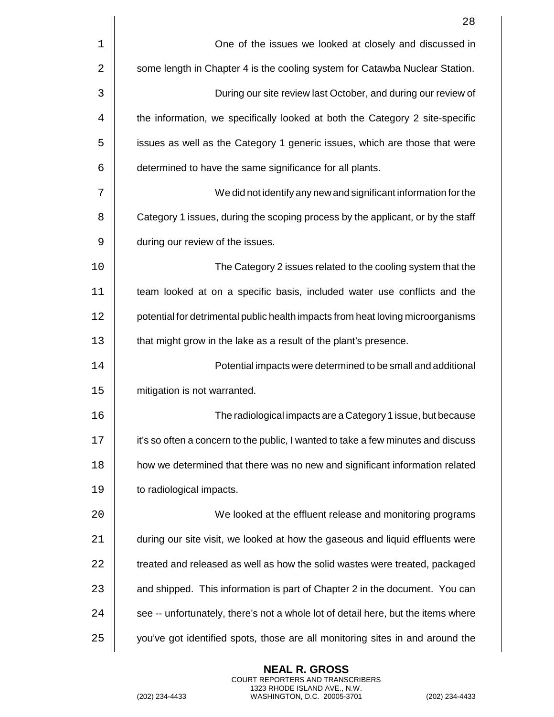|    | 28                                                                                |
|----|-----------------------------------------------------------------------------------|
| 1  | One of the issues we looked at closely and discussed in                           |
| 2  | some length in Chapter 4 is the cooling system for Catawba Nuclear Station.       |
| 3  | During our site review last October, and during our review of                     |
| 4  | the information, we specifically looked at both the Category 2 site-specific      |
| 5  | issues as well as the Category 1 generic issues, which are those that were        |
| 6  | determined to have the same significance for all plants.                          |
| 7  | We did not identify any new and significant information for the                   |
| 8  | Category 1 issues, during the scoping process by the applicant, or by the staff   |
| 9  | during our review of the issues.                                                  |
| 10 | The Category 2 issues related to the cooling system that the                      |
| 11 | team looked at on a specific basis, included water use conflicts and the          |
| 12 | potential for detrimental public health impacts from heat loving microorganisms   |
| 13 | that might grow in the lake as a result of the plant's presence.                  |
| 14 | Potential impacts were determined to be small and additional                      |
| 15 | mitigation is not warranted.                                                      |
| 16 | The radiological impacts are a Category 1 issue, but because                      |
| 17 | it's so often a concern to the public, I wanted to take a few minutes and discuss |
| 18 | how we determined that there was no new and significant information related       |
| 19 | to radiological impacts.                                                          |
| 20 | We looked at the effluent release and monitoring programs                         |
| 21 | during our site visit, we looked at how the gaseous and liquid effluents were     |
| 22 | treated and released as well as how the solid wastes were treated, packaged       |
| 23 | and shipped. This information is part of Chapter 2 in the document. You can       |
| 24 | see -- unfortunately, there's not a whole lot of detail here, but the items where |
| 25 | you've got identified spots, those are all monitoring sites in and around the     |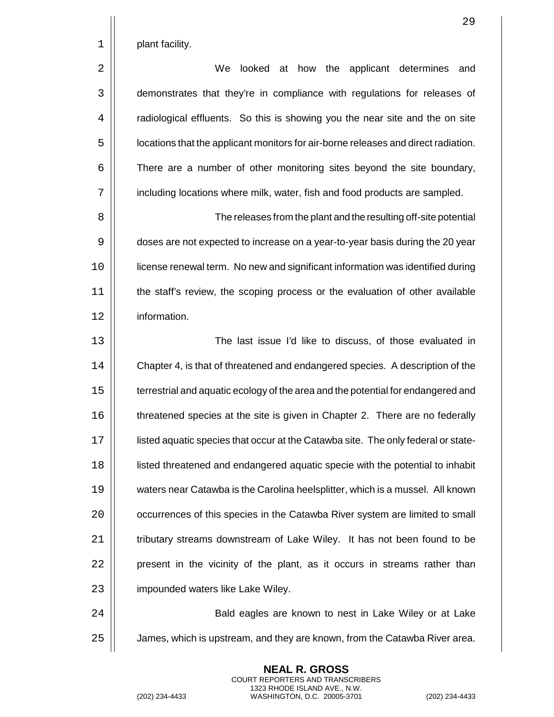1 | plant facility.

2 We looked at how the applicant determines and 3 | demonstrates that they're in compliance with regulations for releases of 4 | radiological effluents. So this is showing you the near site and the on site 5  $\vert\vert$  locations that the applicant monitors for air-borne releases and direct radiation.  $6$   $\vert$  There are a number of other monitoring sites beyond the site boundary, 7 | including locations where milk, water, fish and food products are sampled.

 The releases from the plant and the resulting off-site potential  $\vert\vert$  doses are not expected to increase on a year-to-year basis during the 20 year license renewal term. No new and significant information was identified during the staff's review, the scoping process or the evaluation of other available information.

13 The last issue I'd like to discuss, of those evaluated in 14  $\vert\vert$  Chapter 4, is that of threatened and endangered species. A description of the 15 | terrestrial and aquatic ecology of the area and the potential for endangered and 16 **threatened species at the site is given in Chapter 2.** There are no federally 17 | isted aquatic species that occur at the Catawba site. The only federal or state-18 listed threatened and endangered aquatic specie with the potential to inhabit 19 waters near Catawba is the Carolina heelsplitter, which is a mussel. All known 20 | occurrences of this species in the Catawba River system are limited to small 21 | tributary streams downstream of Lake Wiley. It has not been found to be  $22$  | present in the vicinity of the plant, as it occurs in streams rather than 23 | impounded waters like Lake Wiley.

24 | Bald eagles are known to nest in Lake Wiley or at Lake  $25$   $\parallel$  James, which is upstream, and they are known, from the Catawba River area.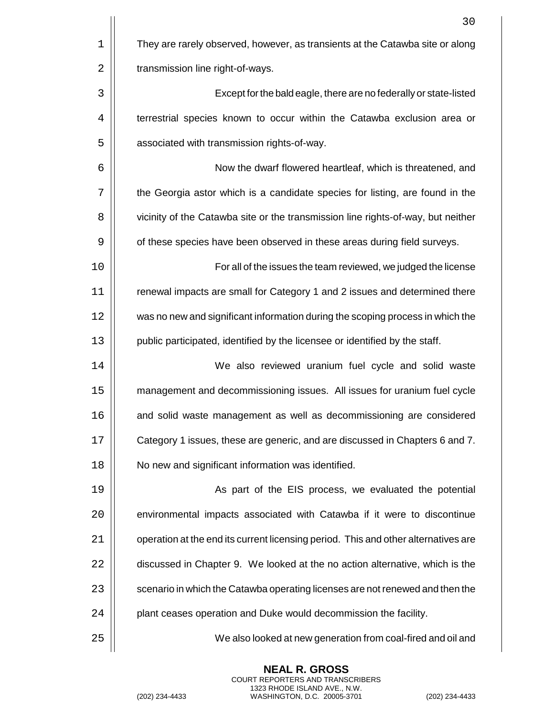|    | 30                                                                                 |
|----|------------------------------------------------------------------------------------|
| 1  | They are rarely observed, however, as transients at the Catawba site or along      |
| 2  | transmission line right-of-ways.                                                   |
| 3  | Except for the bald eagle, there are no federally or state-listed                  |
| 4  | terrestrial species known to occur within the Catawba exclusion area or            |
| 5  | associated with transmission rights-of-way.                                        |
| 6  | Now the dwarf flowered heartleaf, which is threatened, and                         |
| 7  | the Georgia astor which is a candidate species for listing, are found in the       |
| 8  | vicinity of the Catawba site or the transmission line rights-of-way, but neither   |
| 9  | of these species have been observed in these areas during field surveys.           |
| 10 | For all of the issues the team reviewed, we judged the license                     |
| 11 | renewal impacts are small for Category 1 and 2 issues and determined there         |
| 12 | was no new and significant information during the scoping process in which the     |
| 13 | public participated, identified by the licensee or identified by the staff.        |
| 14 | We also reviewed uranium fuel cycle and solid waste                                |
| 15 | management and decommissioning issues. All issues for uranium fuel cycle           |
| 16 | and solid waste management as well as decommissioning are considered               |
| 17 | Category 1 issues, these are generic, and are discussed in Chapters 6 and 7.       |
| 18 | No new and significant information was identified.                                 |
| 19 | As part of the EIS process, we evaluated the potential                             |
| 20 | environmental impacts associated with Catawba if it were to discontinue            |
| 21 | operation at the end its current licensing period. This and other alternatives are |
| 22 | discussed in Chapter 9. We looked at the no action alternative, which is the       |
| 23 | scenario in which the Catawba operating licenses are not renewed and then the      |
| 24 | plant ceases operation and Duke would decommission the facility.                   |
| 25 | We also looked at new generation from coal-fired and oil and                       |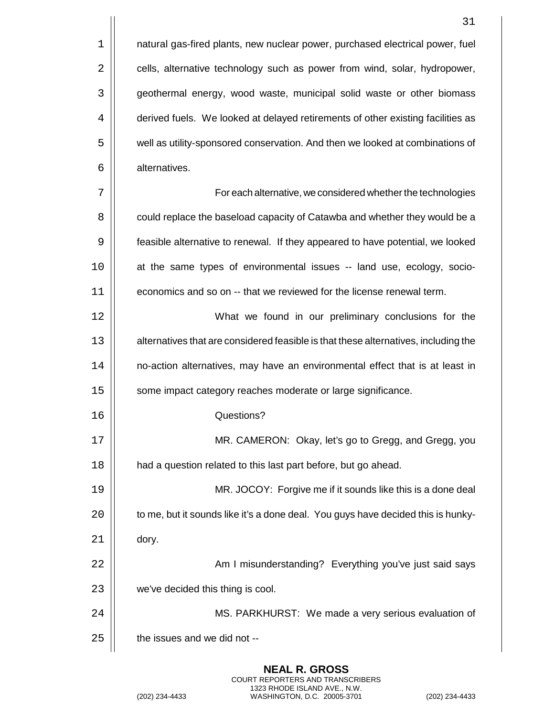1 | natural gas-fired plants, new nuclear power, purchased electrical power, fuel 2 **cells, alternative technology such as power from wind, solar, hydropower,** 3 | geothermal energy, wood waste, municipal solid waste or other biomass 4  $\parallel$  derived fuels. We looked at delayed retirements of other existing facilities as 5  $\vert$  well as utility-sponsored conservation. And then we looked at combinations of 6 | alternatives.

 For each alternative, we considered whether the technologies  $\vert\vert$  could replace the baseload capacity of Catawba and whether they would be a feasible alternative to renewal. If they appeared to have potential, we looked at the same types of environmental issues -- land use, ecology, socio-economics and so on -- that we reviewed for the license renewal term.

12 What we found in our preliminary conclusions for the 13 | alternatives that are considered feasible is that these alternatives, including the 14 | | no-action alternatives, may have an environmental effect that is at least in 15 | some impact category reaches moderate or large significance.

16 Questions?

17 MR. CAMERON: Okay, let's go to Gregg, and Gregg, you 18 | had a question related to this last part before, but go ahead.

19 MR. JOCOY: Forgive me if it sounds like this is a done deal  $20$   $\vert$  to me, but it sounds like it's a done deal. You guys have decided this is hunky- $21$   $\parallel$  dory.

22 | | Am I misunderstanding? Everything you've just said says  $23$   $\parallel$  we've decided this thing is cool.

24 MS. PARKHURST: We made a very serious evaluation of  $25$   $\parallel$  the issues and we did not --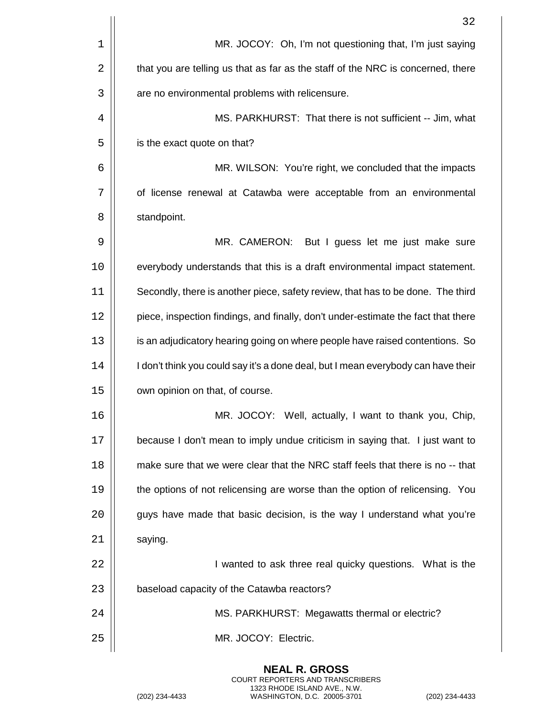|    | 32                                                                                |
|----|-----------------------------------------------------------------------------------|
| 1  | MR. JOCOY: Oh, I'm not questioning that, I'm just saying                          |
| 2  | that you are telling us that as far as the staff of the NRC is concerned, there   |
| 3  | are no environmental problems with relicensure.                                   |
| 4  | MS. PARKHURST: That there is not sufficient -- Jim, what                          |
| 5  | is the exact quote on that?                                                       |
| 6  | MR. WILSON: You're right, we concluded that the impacts                           |
| 7  | of license renewal at Catawba were acceptable from an environmental               |
| 8  | standpoint.                                                                       |
| 9  | MR. CAMERON:<br>But I guess let me just make sure                                 |
| 10 | everybody understands that this is a draft environmental impact statement.        |
| 11 | Secondly, there is another piece, safety review, that has to be done. The third   |
| 12 | piece, inspection findings, and finally, don't under-estimate the fact that there |
| 13 | is an adjudicatory hearing going on where people have raised contentions. So      |
| 14 | I don't think you could say it's a done deal, but I mean everybody can have their |
| 15 | own opinion on that, of course.                                                   |
| 16 | MR. JOCOY: Well, actually, I want to thank you, Chip,                             |
| 17 | because I don't mean to imply undue criticism in saying that. I just want to      |
| 18 | make sure that we were clear that the NRC staff feels that there is no -- that    |
| 19 | the options of not relicensing are worse than the option of relicensing. You      |
| 20 | guys have made that basic decision, is the way I understand what you're           |
| 21 | saying.                                                                           |
| 22 | I wanted to ask three real quicky questions. What is the                          |
| 23 | baseload capacity of the Catawba reactors?                                        |
| 24 | MS. PARKHURST: Megawatts thermal or electric?                                     |
| 25 | MR. JOCOY: Electric.                                                              |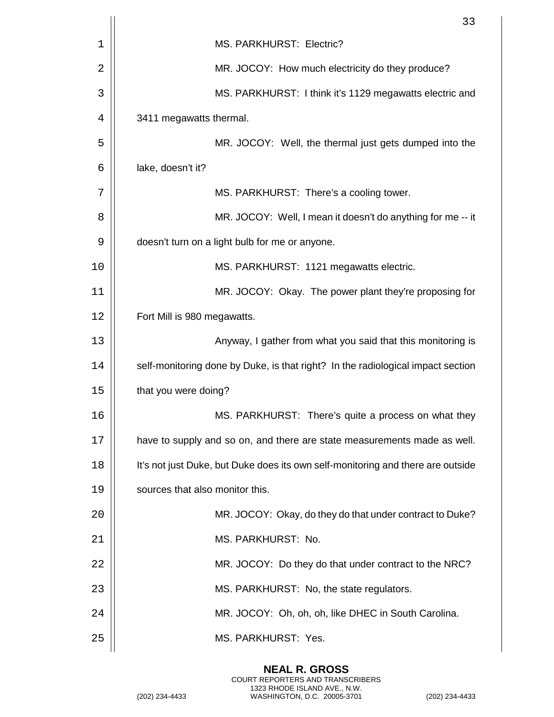|    | 33                                                                              |
|----|---------------------------------------------------------------------------------|
| 1  | MS. PARKHURST: Electric?                                                        |
| 2  | MR. JOCOY: How much electricity do they produce?                                |
| 3  | MS. PARKHURST: I think it's 1129 megawatts electric and                         |
| 4  | 3411 megawatts thermal.                                                         |
| 5  | MR. JOCOY: Well, the thermal just gets dumped into the                          |
| 6  | lake, doesn't it?                                                               |
| 7  | MS. PARKHURST: There's a cooling tower.                                         |
| 8  | MR. JOCOY: Well, I mean it doesn't do anything for me -- it                     |
| 9  | doesn't turn on a light bulb for me or anyone.                                  |
| 10 | MS. PARKHURST: 1121 megawatts electric.                                         |
| 11 | MR. JOCOY: Okay. The power plant they're proposing for                          |
| 12 | Fort Mill is 980 megawatts.                                                     |
| 13 | Anyway, I gather from what you said that this monitoring is                     |
| 14 | self-monitoring done by Duke, is that right? In the radiological impact section |
| 15 | that you were doing?                                                            |
| 16 | MS. PARKHURST: There's quite a process on what they                             |
| 17 | have to supply and so on, and there are state measurements made as well.        |
| 18 | It's not just Duke, but Duke does its own self-monitoring and there are outside |
| 19 | sources that also monitor this.                                                 |
| 20 | MR. JOCOY: Okay, do they do that under contract to Duke?                        |
| 21 | MS. PARKHURST: No.                                                              |
| 22 | MR. JOCOY: Do they do that under contract to the NRC?                           |
| 23 | MS. PARKHURST: No, the state regulators.                                        |
| 24 | MR. JOCOY: Oh, oh, oh, like DHEC in South Carolina.                             |
| 25 | MS. PARKHURST: Yes.                                                             |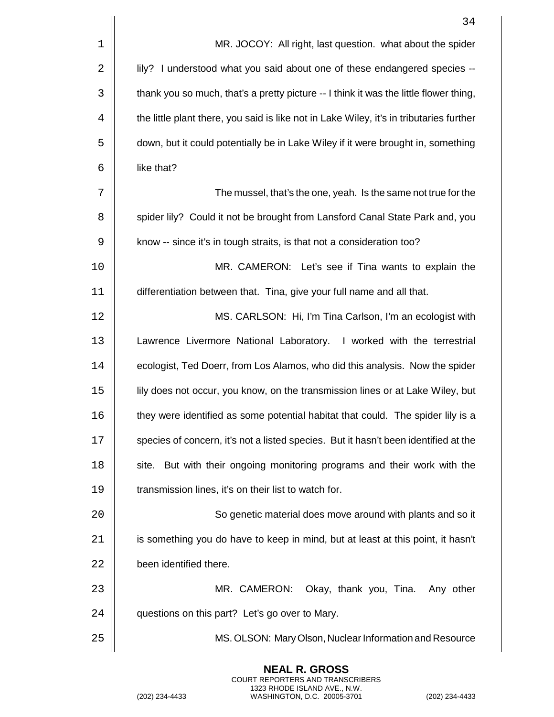|    | 34                                                                                      |
|----|-----------------------------------------------------------------------------------------|
| 1  | MR. JOCOY: All right, last question. what about the spider                              |
| 2  | lily? I understood what you said about one of these endangered species --               |
| 3  | thank you so much, that's a pretty picture -- I think it was the little flower thing,   |
| 4  | the little plant there, you said is like not in Lake Wiley, it's in tributaries further |
| 5  | down, but it could potentially be in Lake Wiley if it were brought in, something        |
| 6  | like that?                                                                              |
| 7  | The mussel, that's the one, yeah. Is the same not true for the                          |
| 8  | spider lily? Could it not be brought from Lansford Canal State Park and, you            |
| 9  | know -- since it's in tough straits, is that not a consideration too?                   |
| 10 | MR. CAMERON: Let's see if Tina wants to explain the                                     |
| 11 | differentiation between that. Tina, give your full name and all that.                   |
| 12 | MS. CARLSON: Hi, I'm Tina Carlson, I'm an ecologist with                                |
| 13 | Lawrence Livermore National Laboratory. I worked with the terrestrial                   |
| 14 | ecologist, Ted Doerr, from Los Alamos, who did this analysis. Now the spider            |
| 15 | lily does not occur, you know, on the transmission lines or at Lake Wiley, but          |
| 16 | they were identified as some potential habitat that could. The spider lily is a         |
| 17 | species of concern, it's not a listed species. But it hasn't been identified at the     |
| 18 | site. But with their ongoing monitoring programs and their work with the                |
| 19 | transmission lines, it's on their list to watch for.                                    |
| 20 | So genetic material does move around with plants and so it                              |
| 21 | is something you do have to keep in mind, but at least at this point, it hasn't         |
| 22 | been identified there.                                                                  |
| 23 | MR. CAMERON:<br>Okay, thank you, Tina. Any other                                        |
| 24 | questions on this part? Let's go over to Mary.                                          |
| 25 | MS. OLSON: Mary Olson, Nuclear Information and Resource                                 |

**NEAL R. GROSS**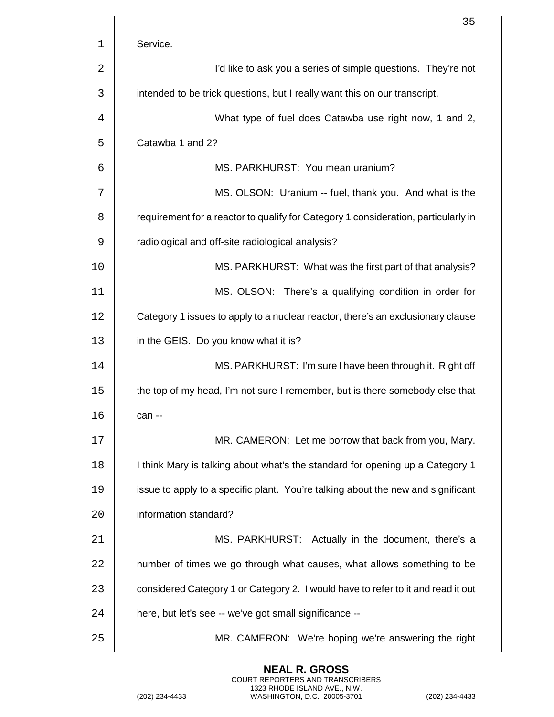|    | 35                                                                                 |
|----|------------------------------------------------------------------------------------|
| 1  | Service.                                                                           |
| 2  | I'd like to ask you a series of simple questions. They're not                      |
| 3  | intended to be trick questions, but I really want this on our transcript.          |
| 4  | What type of fuel does Catawba use right now, 1 and 2,                             |
| 5  | Catawba 1 and 2?                                                                   |
| 6  | MS. PARKHURST: You mean uranium?                                                   |
| 7  | MS. OLSON: Uranium -- fuel, thank you. And what is the                             |
| 8  | requirement for a reactor to qualify for Category 1 consideration, particularly in |
| 9  | radiological and off-site radiological analysis?                                   |
| 10 | MS. PARKHURST: What was the first part of that analysis?                           |
| 11 | MS. OLSON: There's a qualifying condition in order for                             |
| 12 | Category 1 issues to apply to a nuclear reactor, there's an exclusionary clause    |
| 13 | in the GEIS. Do you know what it is?                                               |
| 14 | MS. PARKHURST: I'm sure I have been through it. Right off                          |
| 15 | the top of my head, I'm not sure I remember, but is there somebody else that       |
| 16 | can --                                                                             |
| 17 | MR. CAMERON: Let me borrow that back from you, Mary.                               |
| 18 | I think Mary is talking about what's the standard for opening up a Category 1      |
| 19 | issue to apply to a specific plant. You're talking about the new and significant   |
| 20 | information standard?                                                              |
| 21 | MS. PARKHURST: Actually in the document, there's a                                 |
| 22 | number of times we go through what causes, what allows something to be             |
| 23 | considered Category 1 or Category 2. I would have to refer to it and read it out   |
| 24 | here, but let's see -- we've got small significance --                             |
| 25 | MR. CAMERON: We're hoping we're answering the right                                |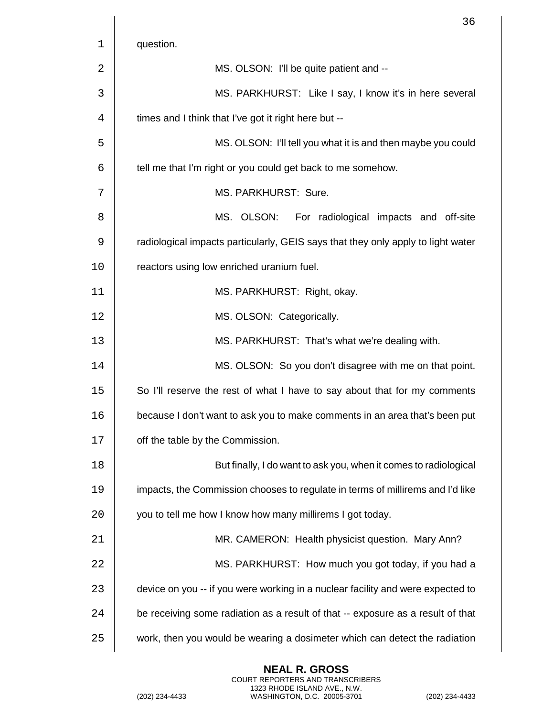|    | 36                                                                               |
|----|----------------------------------------------------------------------------------|
| 1  | question.                                                                        |
| 2  | MS. OLSON: I'll be quite patient and --                                          |
| 3  | MS. PARKHURST: Like I say, I know it's in here several                           |
| 4  | times and I think that I've got it right here but --                             |
| 5  | MS. OLSON: I'll tell you what it is and then maybe you could                     |
| 6  | tell me that I'm right or you could get back to me somehow.                      |
| 7  | MS. PARKHURST: Sure.                                                             |
| 8  | MS. OLSON:<br>For radiological impacts and off-site                              |
| 9  | radiological impacts particularly, GEIS says that they only apply to light water |
| 10 | reactors using low enriched uranium fuel.                                        |
| 11 | MS. PARKHURST: Right, okay.                                                      |
| 12 | MS. OLSON: Categorically.                                                        |
| 13 | MS. PARKHURST: That's what we're dealing with.                                   |
| 14 | MS. OLSON: So you don't disagree with me on that point.                          |
| 15 | So I'll reserve the rest of what I have to say about that for my comments        |
| 16 | because I don't want to ask you to make comments in an area that's been put      |
| 17 | off the table by the Commission.                                                 |
| 18 | But finally, I do want to ask you, when it comes to radiological                 |
| 19 | impacts, the Commission chooses to regulate in terms of millirems and I'd like   |
| 20 | you to tell me how I know how many millirems I got today.                        |
| 21 | MR. CAMERON: Health physicist question. Mary Ann?                                |
| 22 | MS. PARKHURST: How much you got today, if you had a                              |
| 23 | device on you -- if you were working in a nuclear facility and were expected to  |
| 24 | be receiving some radiation as a result of that -- exposure as a result of that  |
| 25 | work, then you would be wearing a dosimeter which can detect the radiation       |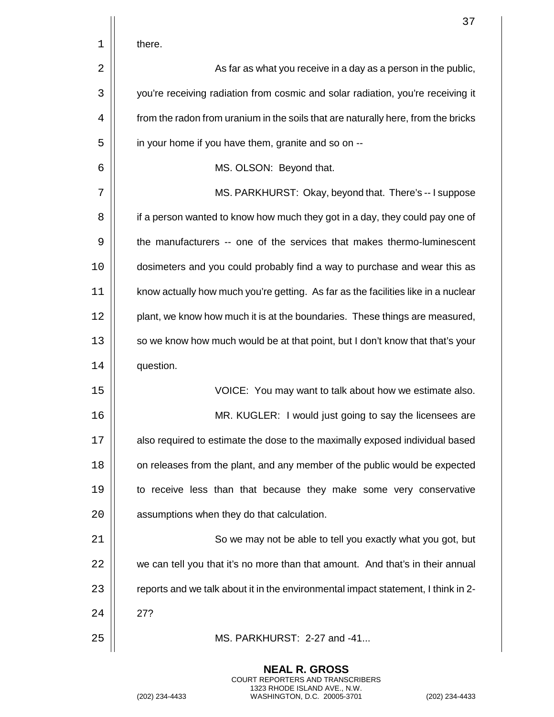|    | 37                                                                                |
|----|-----------------------------------------------------------------------------------|
| 1  | there.                                                                            |
| 2  | As far as what you receive in a day as a person in the public,                    |
| 3  | you're receiving radiation from cosmic and solar radiation, you're receiving it   |
| 4  | from the radon from uranium in the soils that are naturally here, from the bricks |
| 5  | in your home if you have them, granite and so on --                               |
| 6  | MS. OLSON: Beyond that.                                                           |
| 7  | MS. PARKHURST: Okay, beyond that. There's -- I suppose                            |
| 8  | if a person wanted to know how much they got in a day, they could pay one of      |
| 9  | the manufacturers -- one of the services that makes thermo-luminescent            |
| 10 | dosimeters and you could probably find a way to purchase and wear this as         |
| 11 | know actually how much you're getting. As far as the facilities like in a nuclear |
| 12 | plant, we know how much it is at the boundaries. These things are measured,       |
| 13 | so we know how much would be at that point, but I don't know that that's your     |
| 14 | question.                                                                         |
| 15 | VOICE: You may want to talk about how we estimate also.                           |
| 16 | MR. KUGLER: I would just going to say the licensees are                           |
| 17 | also required to estimate the dose to the maximally exposed individual based      |
| 18 | on releases from the plant, and any member of the public would be expected        |
| 19 | to receive less than that because they make some very conservative                |
| 20 | assumptions when they do that calculation.                                        |
| 21 | So we may not be able to tell you exactly what you got, but                       |
| 22 | we can tell you that it's no more than that amount. And that's in their annual    |
| 23 | reports and we talk about it in the environmental impact statement, I think in 2- |
| 24 | 27?                                                                               |
| 25 | MS. PARKHURST: 2-27 and -41                                                       |

**NEAL R. GROSS** COURT REPORTERS AND TRANSCRIBERS

1323 RHODE ISLAND AVE., N.W. (202) 234-4433 WASHINGTON, D.C. 20005-3701 (202) 234-4433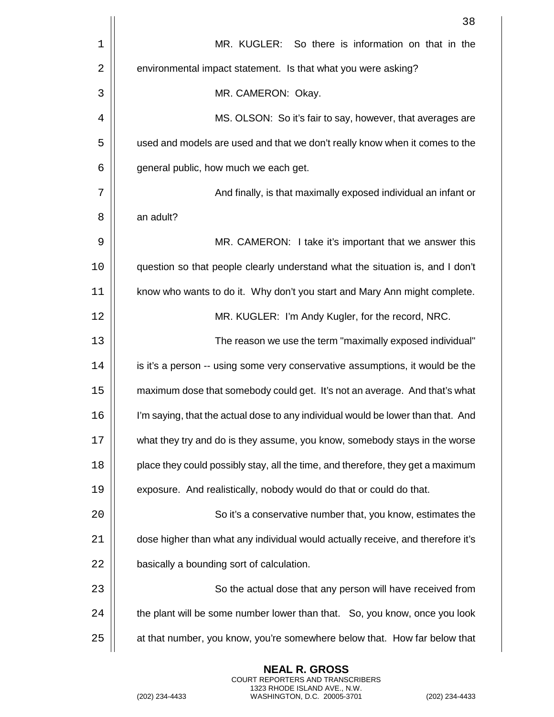|    | 38                                                                               |
|----|----------------------------------------------------------------------------------|
| 1  | MR. KUGLER: So there is information on that in the                               |
| 2  | environmental impact statement. Is that what you were asking?                    |
| 3  | MR. CAMERON: Okay.                                                               |
| 4  | MS. OLSON: So it's fair to say, however, that averages are                       |
| 5  | used and models are used and that we don't really know when it comes to the      |
| 6  | general public, how much we each get.                                            |
| 7  | And finally, is that maximally exposed individual an infant or                   |
| 8  | an adult?                                                                        |
| 9  | MR. CAMERON: I take it's important that we answer this                           |
| 10 | question so that people clearly understand what the situation is, and I don't    |
| 11 | know who wants to do it. Why don't you start and Mary Ann might complete.        |
| 12 | MR. KUGLER: I'm Andy Kugler, for the record, NRC.                                |
| 13 | The reason we use the term "maximally exposed individual"                        |
| 14 | is it's a person -- using some very conservative assumptions, it would be the    |
| 15 | maximum dose that somebody could get. It's not an average. And that's what       |
| 16 | I'm saying, that the actual dose to any individual would be lower than that. And |
| 17 | what they try and do is they assume, you know, somebody stays in the worse       |
| 18 | place they could possibly stay, all the time, and therefore, they get a maximum  |
| 19 | exposure. And realistically, nobody would do that or could do that.              |
| 20 | So it's a conservative number that, you know, estimates the                      |
| 21 | dose higher than what any individual would actually receive, and therefore it's  |
| 22 | basically a bounding sort of calculation.                                        |
| 23 | So the actual dose that any person will have received from                       |
| 24 | the plant will be some number lower than that. So, you know, once you look       |
| 25 | at that number, you know, you're somewhere below that. How far below that        |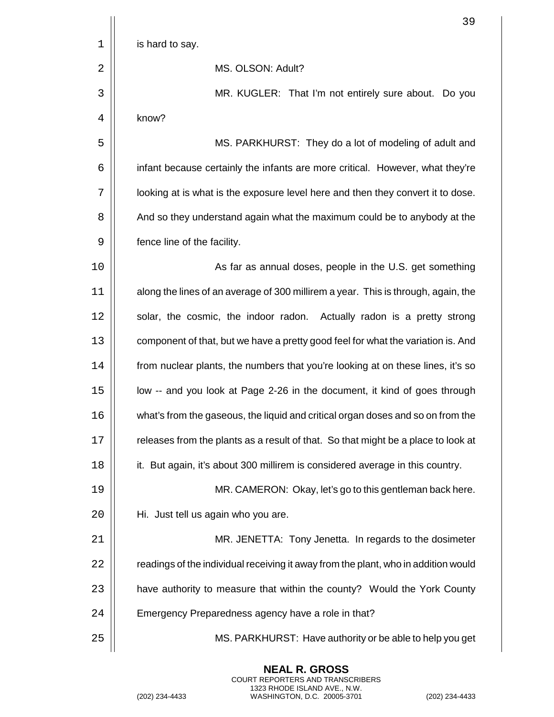| 39                                                                                 |
|------------------------------------------------------------------------------------|
| is hard to say.                                                                    |
| MS. OLSON: Adult?                                                                  |
| MR. KUGLER: That I'm not entirely sure about. Do you                               |
| know?                                                                              |
| MS. PARKHURST: They do a lot of modeling of adult and                              |
| infant because certainly the infants are more critical. However, what they're      |
| looking at is what is the exposure level here and then they convert it to dose.    |
| And so they understand again what the maximum could be to anybody at the           |
| fence line of the facility.                                                        |
| As far as annual doses, people in the U.S. get something                           |
| along the lines of an average of 300 millirem a year. This is through, again, the  |
| solar, the cosmic, the indoor radon. Actually radon is a pretty strong             |
| component of that, but we have a pretty good feel for what the variation is. And   |
| from nuclear plants, the numbers that you're looking at on these lines, it's so    |
| low -- and you look at Page 2-26 in the document, it kind of goes through          |
| what's from the gaseous, the liquid and critical organ doses and so on from the    |
| releases from the plants as a result of that. So that might be a place to look at  |
| it. But again, it's about 300 millirem is considered average in this country.      |
| MR. CAMERON: Okay, let's go to this gentleman back here.                           |
| Hi. Just tell us again who you are.                                                |
| MR. JENETTA: Tony Jenetta. In regards to the dosimeter                             |
| readings of the individual receiving it away from the plant, who in addition would |
| have authority to measure that within the county? Would the York County            |
| Emergency Preparedness agency have a role in that?                                 |
| MS. PARKHURST: Have authority or be able to help you get                           |
|                                                                                    |

(202) 234-4433 WASHINGTON, D.C. 20005-3701 (202) 234-4433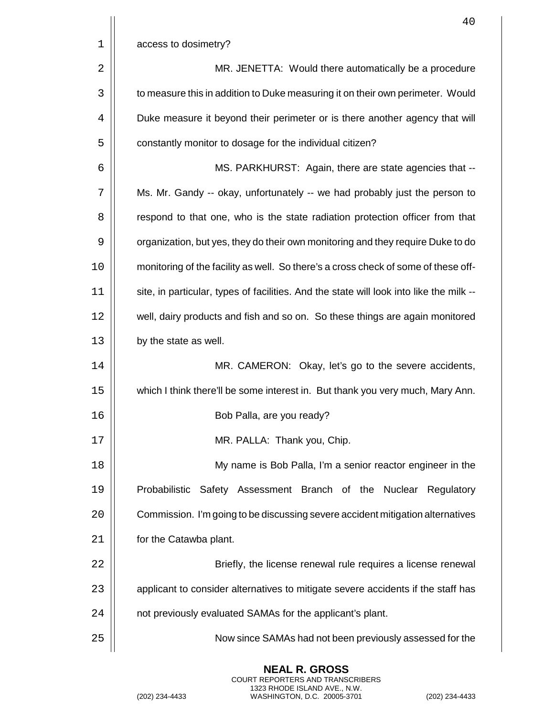|    | 40                                                                                      |
|----|-----------------------------------------------------------------------------------------|
| 1  | access to dosimetry?                                                                    |
| 2  | MR. JENETTA: Would there automatically be a procedure                                   |
| 3  | to measure this in addition to Duke measuring it on their own perimeter. Would          |
| 4  | Duke measure it beyond their perimeter or is there another agency that will             |
| 5  | constantly monitor to dosage for the individual citizen?                                |
| 6  | MS. PARKHURST: Again, there are state agencies that --                                  |
| 7  | Ms. Mr. Gandy -- okay, unfortunately -- we had probably just the person to              |
| 8  | respond to that one, who is the state radiation protection officer from that            |
| 9  | organization, but yes, they do their own monitoring and they require Duke to do         |
| 10 | monitoring of the facility as well. So there's a cross check of some of these off-      |
| 11 | site, in particular, types of facilities. And the state will look into like the milk -- |
| 12 | well, dairy products and fish and so on. So these things are again monitored            |
| 13 | by the state as well.                                                                   |
| 14 | MR. CAMERON: Okay, let's go to the severe accidents,                                    |
| 15 | which I think there'll be some interest in. But thank you very much, Mary Ann.          |
| 16 | Bob Palla, are you ready?                                                               |
| 17 | MR. PALLA: Thank you, Chip.                                                             |
| 18 | My name is Bob Palla, I'm a senior reactor engineer in the                              |
| 19 | Probabilistic Safety Assessment Branch of the Nuclear Regulatory                        |
| 20 | Commission. I'm going to be discussing severe accident mitigation alternatives          |
| 21 | for the Catawba plant.                                                                  |
| 22 | Briefly, the license renewal rule requires a license renewal                            |
| 23 | applicant to consider alternatives to mitigate severe accidents if the staff has        |
| 24 | not previously evaluated SAMAs for the applicant's plant.                               |
| 25 | Now since SAMAs had not been previously assessed for the                                |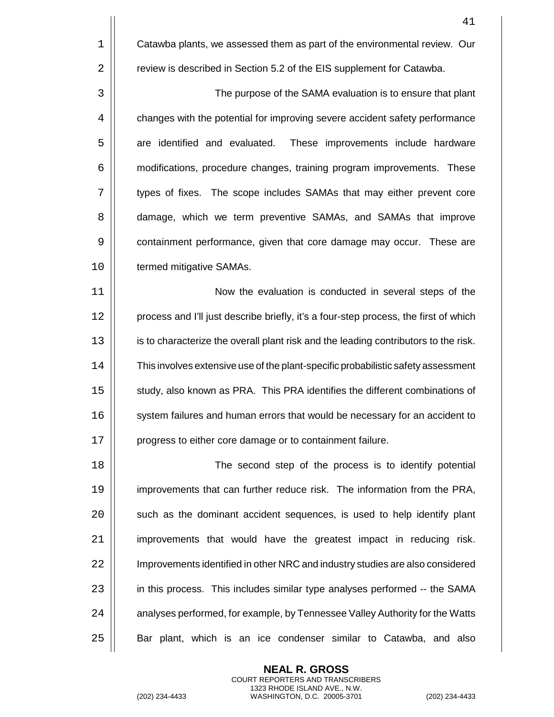1 **Catawba plants, we assessed them as part of the environmental review. Our** 2 **Fig.** review is described in Section 5.2 of the EIS supplement for Catawba.

3 The purpose of the SAMA evaluation is to ensure that plant 4  $\parallel$  changes with the potential for improving severe accident safety performance 5 | are identified and evaluated. These improvements include hardware 6 **6** modifications, procedure changes, training program improvements. These 7 types of fixes. The scope includes SAMAs that may either prevent core 8 | damage, which we term preventive SAMAs, and SAMAs that improve 9 | containment performance, given that core damage may occur. These are 10 | termed mitigative SAMAs.

11 Now the evaluation is conducted in several steps of the 12 | process and I'll just describe briefly, it's a four-step process, the first of which 13 | is to characterize the overall plant risk and the leading contributors to the risk. 14 | This involves extensive use of the plant-specific probabilistic safety assessment 15 | study, also known as PRA. This PRA identifies the different combinations of 16 | system failures and human errors that would be necessary for an accident to 17 | progress to either core damage or to containment failure.

18 The second step of the process is to identify potential 19 improvements that can further reduce risk. The information from the PRA,  $20$   $\vert$  such as the dominant accident sequences, is used to help identify plant  $21$  | improvements that would have the greatest impact in reducing risk. 22 | Improvements identified in other NRC and industry studies are also considered 23 | in this process. This includes similar type analyses performed -- the SAMA 24 | analyses performed, for example, by Tennessee Valley Authority for the Watts 25 | Bar plant, which is an ice condenser similar to Catawba, and also

> **NEAL R. GROSS** COURT REPORTERS AND TRANSCRIBERS 1323 RHODE ISLAND AVE., N.W.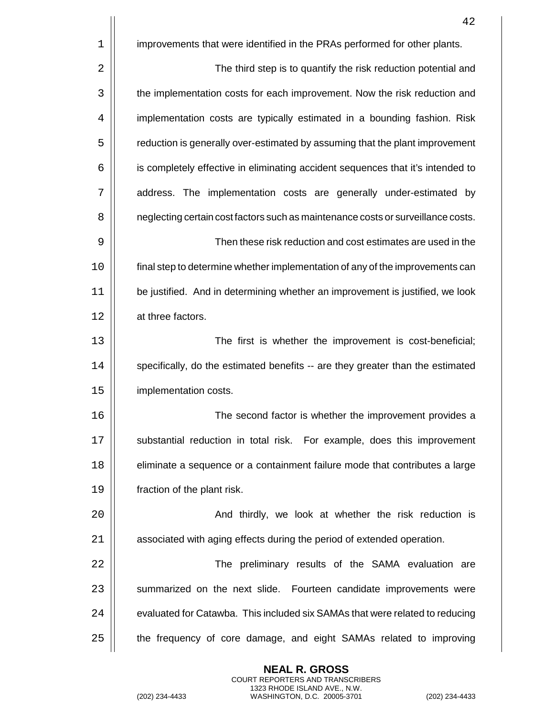|    | 42                                                                               |
|----|----------------------------------------------------------------------------------|
| 1  | improvements that were identified in the PRAs performed for other plants.        |
| 2  | The third step is to quantify the risk reduction potential and                   |
| 3  | the implementation costs for each improvement. Now the risk reduction and        |
| 4  | implementation costs are typically estimated in a bounding fashion. Risk         |
| 5  | reduction is generally over-estimated by assuming that the plant improvement     |
| 6  | is completely effective in eliminating accident sequences that it's intended to  |
| 7  | address. The implementation costs are generally under-estimated by               |
| 8  | neglecting certain cost factors such as maintenance costs or surveillance costs. |
| 9  | Then these risk reduction and cost estimates are used in the                     |
| 10 | final step to determine whether implementation of any of the improvements can    |
| 11 | be justified. And in determining whether an improvement is justified, we look    |
| 12 | at three factors.                                                                |
| 13 | The first is whether the improvement is cost-beneficial;                         |
| 14 | specifically, do the estimated benefits -- are they greater than the estimated   |
| 15 | implementation costs.                                                            |
| 16 | The second factor is whether the improvement provides a                          |
| 17 | substantial reduction in total risk. For example, does this improvement          |
| 18 | eliminate a sequence or a containment failure mode that contributes a large      |
| 19 | fraction of the plant risk.                                                      |
| 20 | And thirdly, we look at whether the risk reduction is                            |
| 21 | associated with aging effects during the period of extended operation.           |
| 22 | The preliminary results of the SAMA evaluation are                               |
| 23 | summarized on the next slide. Fourteen candidate improvements were               |
| 24 | evaluated for Catawba. This included six SAMAs that were related to reducing     |
| 25 | the frequency of core damage, and eight SAMAs related to improving               |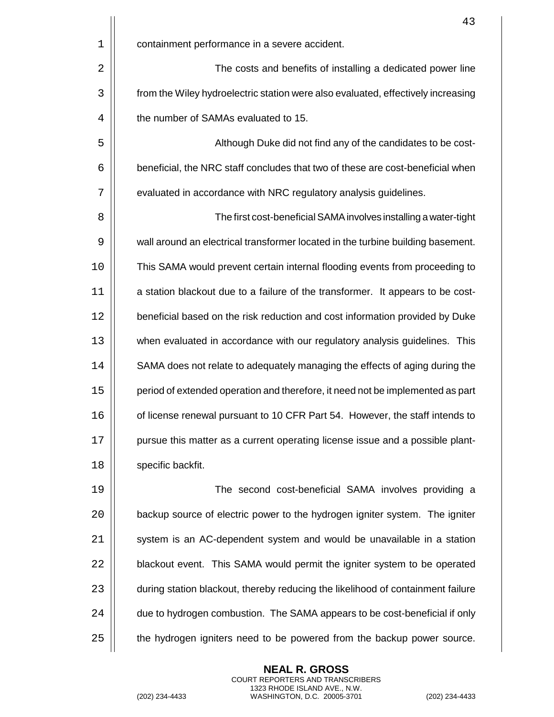|    | 43                                                                               |
|----|----------------------------------------------------------------------------------|
| 1  | containment performance in a severe accident.                                    |
| 2  | The costs and benefits of installing a dedicated power line                      |
| 3  | from the Wiley hydroelectric station were also evaluated, effectively increasing |
| 4  | the number of SAMAs evaluated to 15.                                             |
| 5  | Although Duke did not find any of the candidates to be cost-                     |
| 6  | beneficial, the NRC staff concludes that two of these are cost-beneficial when   |
| 7  | evaluated in accordance with NRC regulatory analysis guidelines.                 |
| 8  | The first cost-beneficial SAMA involves installing a water-tight                 |
| 9  | wall around an electrical transformer located in the turbine building basement.  |
| 10 | This SAMA would prevent certain internal flooding events from proceeding to      |
| 11 | a station blackout due to a failure of the transformer. It appears to be cost-   |
| 12 | beneficial based on the risk reduction and cost information provided by Duke     |
| 13 | when evaluated in accordance with our regulatory analysis guidelines. This       |
| 14 | SAMA does not relate to adequately managing the effects of aging during the      |
| 15 | period of extended operation and therefore, it need not be implemented as part   |
| 16 | of license renewal pursuant to 10 CFR Part 54. However, the staff intends to     |
| 17 | pursue this matter as a current operating license issue and a possible plant-    |
| 18 | specific backfit.                                                                |
| 19 | The second cost-beneficial SAMA involves providing a                             |
| 20 | backup source of electric power to the hydrogen igniter system. The igniter      |
| 21 | system is an AC-dependent system and would be unavailable in a station           |
| 22 | blackout event. This SAMA would permit the igniter system to be operated         |
| 23 | during station blackout, thereby reducing the likelihood of containment failure  |
| 24 | due to hydrogen combustion. The SAMA appears to be cost-beneficial if only       |
| 25 | the hydrogen igniters need to be powered from the backup power source.           |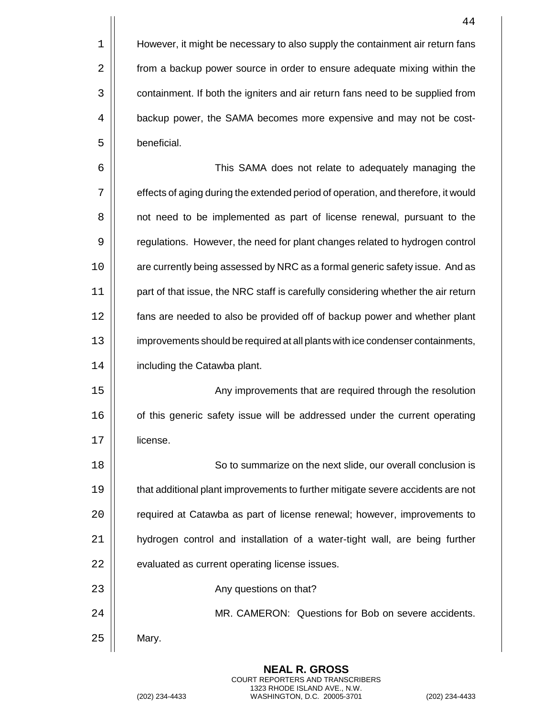|    | 44                                                                                |
|----|-----------------------------------------------------------------------------------|
| 1  | However, it might be necessary to also supply the containment air return fans     |
| 2  | from a backup power source in order to ensure adequate mixing within the          |
| 3  | containment. If both the igniters and air return fans need to be supplied from    |
| 4  | backup power, the SAMA becomes more expensive and may not be cost-                |
| 5  | beneficial.                                                                       |
| 6  | This SAMA does not relate to adequately managing the                              |
| 7  | effects of aging during the extended period of operation, and therefore, it would |
| 8  | not need to be implemented as part of license renewal, pursuant to the            |
| 9  | regulations. However, the need for plant changes related to hydrogen control      |
| 10 | are currently being assessed by NRC as a formal generic safety issue. And as      |
| 11 | part of that issue, the NRC staff is carefully considering whether the air return |
| 12 | fans are needed to also be provided off of backup power and whether plant         |
| 13 | improvements should be required at all plants with ice condenser containments,    |
| 14 | including the Catawba plant.                                                      |
| 15 | Any improvements that are required through the resolution                         |
| 16 | of this generic safety issue will be addressed under the current operating        |
| 17 | license.                                                                          |
| 18 | So to summarize on the next slide, our overall conclusion is                      |
| 19 | that additional plant improvements to further mitigate severe accidents are not   |
| 20 | required at Catawba as part of license renewal; however, improvements to          |
| 21 | hydrogen control and installation of a water-tight wall, are being further        |
| 22 | evaluated as current operating license issues.                                    |
| 23 | Any questions on that?                                                            |
| 24 | MR. CAMERON: Questions for Bob on severe accidents.                               |

Mary.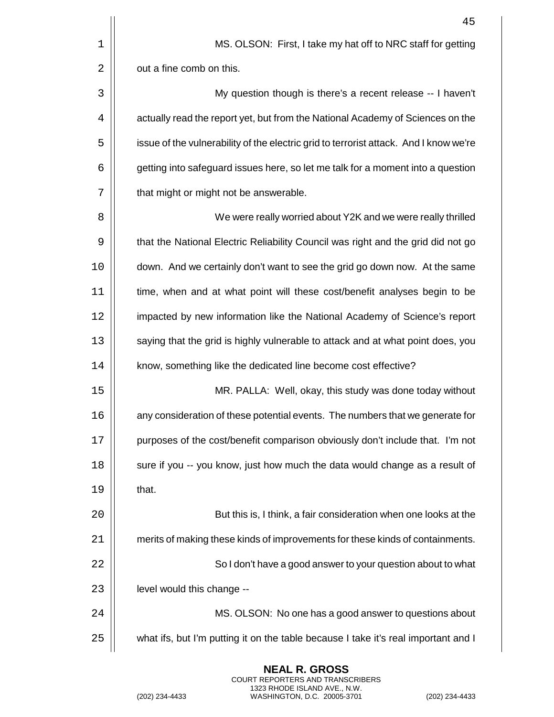|    | 45                                                                                    |
|----|---------------------------------------------------------------------------------------|
| 1  | MS. OLSON: First, I take my hat off to NRC staff for getting                          |
| 2  | out a fine comb on this.                                                              |
| 3  | My question though is there's a recent release -- I haven't                           |
| 4  | actually read the report yet, but from the National Academy of Sciences on the        |
| 5  | issue of the vulnerability of the electric grid to terrorist attack. And I know we're |
| 6  | getting into safeguard issues here, so let me talk for a moment into a question       |
| 7  | that might or might not be answerable.                                                |
| 8  | We were really worried about Y2K and we were really thrilled                          |
| 9  | that the National Electric Reliability Council was right and the grid did not go      |
| 10 | down. And we certainly don't want to see the grid go down now. At the same            |
| 11 | time, when and at what point will these cost/benefit analyses begin to be             |
| 12 | impacted by new information like the National Academy of Science's report             |
| 13 | saying that the grid is highly vulnerable to attack and at what point does, you       |
| 14 | know, something like the dedicated line become cost effective?                        |
| 15 | MR. PALLA: Well, okay, this study was done today without                              |
| 16 | any consideration of these potential events. The numbers that we generate for         |
| 17 | purposes of the cost/benefit comparison obviously don't include that. I'm not         |
| 18 | sure if you -- you know, just how much the data would change as a result of           |
| 19 | that.                                                                                 |
| 20 | But this is, I think, a fair consideration when one looks at the                      |
| 21 | merits of making these kinds of improvements for these kinds of containments.         |
| 22 | So I don't have a good answer to your question about to what                          |
| 23 | level would this change --                                                            |
| 24 | MS. OLSON: No one has a good answer to questions about                                |
| 25 | what ifs, but I'm putting it on the table because I take it's real important and I    |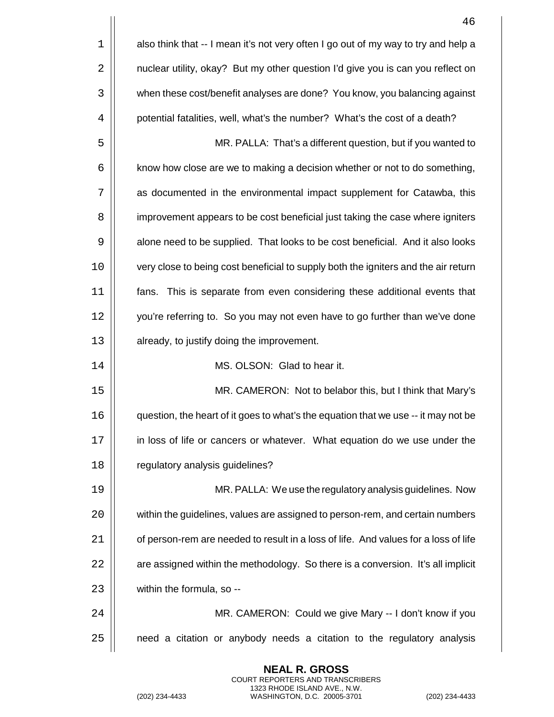|    | 46                                                                                  |
|----|-------------------------------------------------------------------------------------|
| 1  | also think that -- I mean it's not very often I go out of my way to try and help a  |
| 2  | nuclear utility, okay? But my other question I'd give you is can you reflect on     |
| 3  | when these cost/benefit analyses are done? You know, you balancing against          |
| 4  | potential fatalities, well, what's the number? What's the cost of a death?          |
| 5  | MR. PALLA: That's a different question, but if you wanted to                        |
| 6  | know how close are we to making a decision whether or not to do something,          |
| 7  | as documented in the environmental impact supplement for Catawba, this              |
| 8  | improvement appears to be cost beneficial just taking the case where igniters       |
| 9  | alone need to be supplied. That looks to be cost beneficial. And it also looks      |
| 10 | very close to being cost beneficial to supply both the igniters and the air return  |
| 11 | fans. This is separate from even considering these additional events that           |
| 12 | you're referring to. So you may not even have to go further than we've done         |
| 13 | already, to justify doing the improvement.                                          |
| 14 | MS. OLSON: Glad to hear it.                                                         |
| 15 | MR. CAMERON: Not to belabor this, but I think that Mary's                           |
| 16 | question, the heart of it goes to what's the equation that we use -- it may not be  |
| 17 | in loss of life or cancers or whatever. What equation do we use under the           |
| 18 | regulatory analysis guidelines?                                                     |
| 19 | MR. PALLA: We use the regulatory analysis guidelines. Now                           |
| 20 | within the guidelines, values are assigned to person-rem, and certain numbers       |
| 21 | of person-rem are needed to result in a loss of life. And values for a loss of life |
| 22 | are assigned within the methodology. So there is a conversion. It's all implicit    |
| 23 | within the formula, so --                                                           |
| 24 | MR. CAMERON: Could we give Mary -- I don't know if you                              |
| 25 | need a citation or anybody needs a citation to the regulatory analysis              |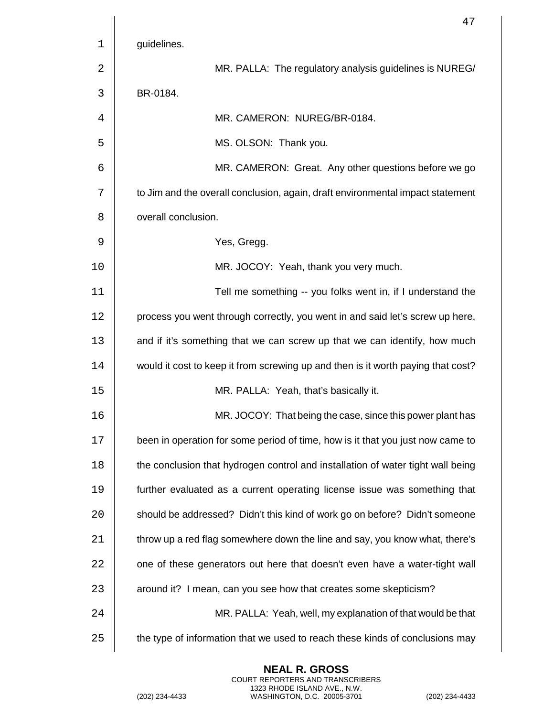|    | 47                                                                               |
|----|----------------------------------------------------------------------------------|
| 1  | guidelines.                                                                      |
| 2  | MR. PALLA: The regulatory analysis guidelines is NUREG/                          |
| 3  | BR-0184.                                                                         |
| 4  | MR. CAMERON: NUREG/BR-0184.                                                      |
| 5  | MS. OLSON: Thank you.                                                            |
| 6  | MR. CAMERON: Great. Any other questions before we go                             |
| 7  | to Jim and the overall conclusion, again, draft environmental impact statement   |
| 8  | overall conclusion.                                                              |
| 9  | Yes, Gregg.                                                                      |
| 10 | MR. JOCOY: Yeah, thank you very much.                                            |
| 11 | Tell me something -- you folks went in, if I understand the                      |
| 12 | process you went through correctly, you went in and said let's screw up here,    |
| 13 | and if it's something that we can screw up that we can identify, how much        |
| 14 | would it cost to keep it from screwing up and then is it worth paying that cost? |
| 15 | MR. PALLA: Yeah, that's basically it.                                            |
| 16 | MR. JOCOY: That being the case, since this power plant has                       |
| 17 | been in operation for some period of time, how is it that you just now came to   |
| 18 | the conclusion that hydrogen control and installation of water tight wall being  |
| 19 | further evaluated as a current operating license issue was something that        |
| 20 | should be addressed? Didn't this kind of work go on before? Didn't someone       |
| 21 | throw up a red flag somewhere down the line and say, you know what, there's      |
| 22 | one of these generators out here that doesn't even have a water-tight wall       |
| 23 | around it? I mean, can you see how that creates some skepticism?                 |
| 24 | MR. PALLA: Yeah, well, my explanation of that would be that                      |
| 25 | the type of information that we used to reach these kinds of conclusions may     |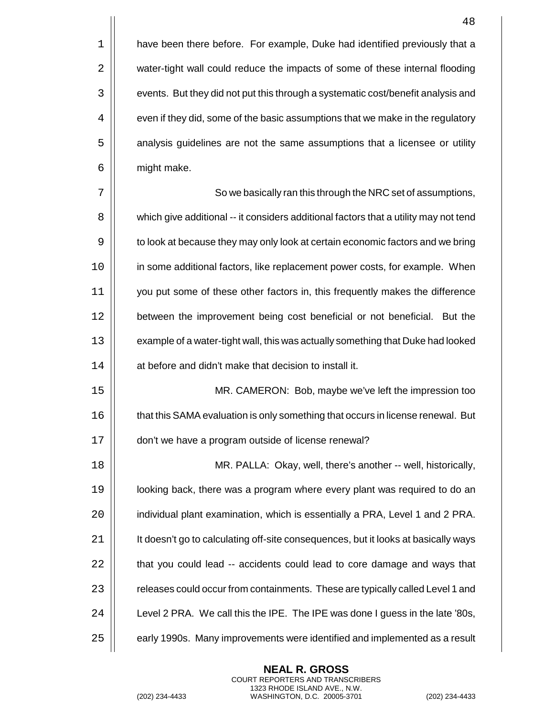$1$  | have been there before. For example, Duke had identified previously that a 2 | water-tight wall could reduce the impacts of some of these internal flooding 3  $\vert\vert$  events. But they did not put this through a systematic cost/benefit analysis and  $4 \mid \mid$  even if they did, some of the basic assumptions that we make in the regulatory 5 | analysis guidelines are not the same assumptions that a licensee or utility 6 | might make.

7 || So we basically ran this through the NRC set of assumptions, 8  $\vert\vert$  which give additional -- it considers additional factors that a utility may not tend 9  $\vert\vert$  to look at because they may only look at certain economic factors and we bring 10 | in some additional factors, like replacement power costs, for example. When 11 you put some of these other factors in, this frequently makes the difference 12 | between the improvement being cost beneficial or not beneficial. But the 13  $\vert\vert$  example of a water-tight wall, this was actually something that Duke had looked 14 | at before and didn't make that decision to install it.

15 MR. CAMERON: Bob, maybe we've left the impression too 16  $\vert\vert$  that this SAMA evaluation is only something that occurs in license renewal. But 17 | don't we have a program outside of license renewal?

 MR. PALLA: Okay, well, there's another -- well, historically, looking back, there was a program where every plant was required to do an 20 | individual plant examination, which is essentially a PRA, Level 1 and 2 PRA. 21 | It doesn't go to calculating off-site consequences, but it looks at basically ways  $\parallel$  that you could lead  $-$  accidents could lead to core damage and ways that 23 | releases could occur from containments. These are typically called Level 1 and  $\vert$  Level 2 PRA. We call this the IPE. The IPE was done I guess in the late '80s,  $\vert$  early 1990s. Many improvements were identified and implemented as a result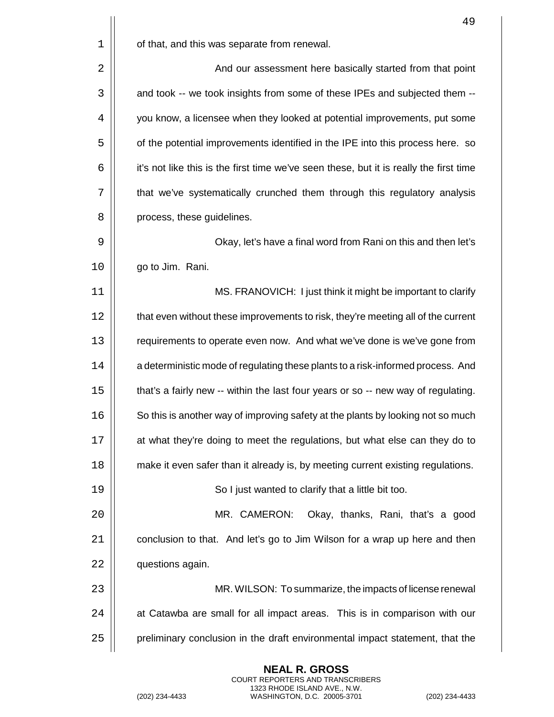|      | 49                                                                                     |
|------|----------------------------------------------------------------------------------------|
| 1    | of that, and this was separate from renewal.                                           |
| 2    | And our assessment here basically started from that point                              |
| 3    | and took -- we took insights from some of these IPEs and subjected them --             |
| 4    | you know, a licensee when they looked at potential improvements, put some              |
| 5    | of the potential improvements identified in the IPE into this process here. so         |
| 6    | it's not like this is the first time we've seen these, but it is really the first time |
| 7    | that we've systematically crunched them through this regulatory analysis               |
| 8    | process, these guidelines.                                                             |
| 9    | Okay, let's have a final word from Rani on this and then let's                         |
| 10   | go to Jim. Rani.                                                                       |
| 11   | MS. FRANOVICH: I just think it might be important to clarify                           |
| 12   | that even without these improvements to risk, they're meeting all of the current       |
| 13   | requirements to operate even now. And what we've done is we've gone from               |
| 14   | a deterministic mode of regulating these plants to a risk-informed process. And        |
| 15   | that's a fairly new -- within the last four years or so -- new way of regulating.      |
| 16   | So this is another way of improving safety at the plants by looking not so much        |
| $17$ | at what they're doing to meet the regulations, but what else can they do to            |
| 18   | make it even safer than it already is, by meeting current existing regulations.        |
| 19   | So I just wanted to clarify that a little bit too.                                     |
| 20   | MR. CAMERON:<br>Okay, thanks, Rani, that's a good                                      |
| 21   | conclusion to that. And let's go to Jim Wilson for a wrap up here and then             |
| 22   | questions again.                                                                       |
| 23   | MR. WILSON: To summarize, the impacts of license renewal                               |
| 24   | at Catawba are small for all impact areas. This is in comparison with our              |
| 25   | preliminary conclusion in the draft environmental impact statement, that the           |

(202) 234-4433 WASHINGTON, D.C. 20005-3701 (202) 234-4433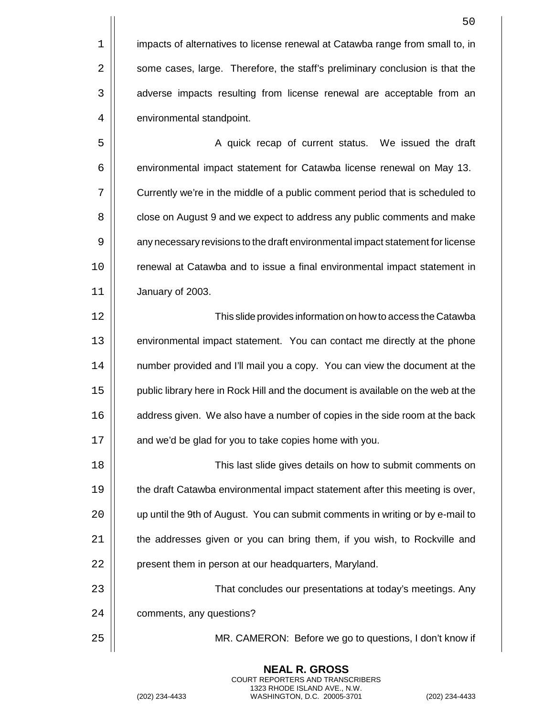$1$  | impacts of alternatives to license renewal at Catawba range from small to, in  $2 \parallel$  some cases, large. Therefore, the staff's preliminary conclusion is that the 3 | adverse impacts resulting from license renewal are acceptable from an 4 | environmental standpoint.

5 A quick recap of current status. We issued the draft 6 | environmental impact statement for Catawba license renewal on May 13. 7 Currently we're in the middle of a public comment period that is scheduled to 8  $\vert$  close on August 9 and we expect to address any public comments and make 9 | any necessary revisions to the draft environmental impact statement for license 10 | renewal at Catawba and to issue a final environmental impact statement in 11 January of 2003.

12 This slide provides information on how to access the Catawba 13 | environmental impact statement. You can contact me directly at the phone 14 | number provided and I'll mail you a copy. You can view the document at the 15 | public library here in Rock Hill and the document is available on the web at the 16 | address given. We also have a number of copies in the side room at the back  $17$  | and we'd be glad for you to take copies home with you.

18 This last slide gives details on how to submit comments on 19 **the draft Catawba environmental impact statement after this meeting is over,** 20 | up until the 9th of August. You can submit comments in writing or by e-mail to  $21$   $\parallel$  the addresses given or you can bring them, if you wish, to Rockville and 22 | present them in person at our headquarters, Maryland.

23 | Concludes our presentations at today's meetings. Any 24 | comments, any questions?

> **NEAL R. GROSS** COURT REPORTERS AND TRANSCRIBERS 1323 RHODE ISLAND AVE., N.W.

25 MR. CAMERON: Before we go to questions, I don't know if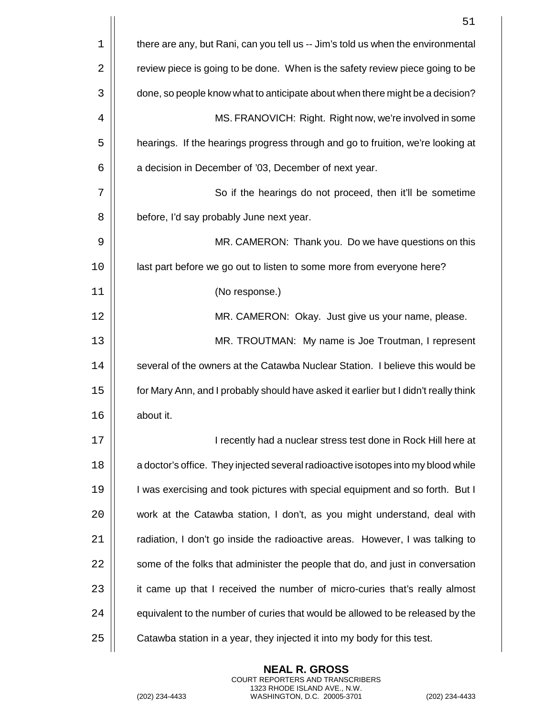|    | 51                                                                                  |
|----|-------------------------------------------------------------------------------------|
| 1  | there are any, but Rani, can you tell us -- Jim's told us when the environmental    |
| 2  | review piece is going to be done. When is the safety review piece going to be       |
| 3  | done, so people know what to anticipate about when there might be a decision?       |
| 4  | MS. FRANOVICH: Right. Right now, we're involved in some                             |
| 5  | hearings. If the hearings progress through and go to fruition, we're looking at     |
| 6  | a decision in December of '03, December of next year.                               |
| 7  | So if the hearings do not proceed, then it'll be sometime                           |
| 8  | before, I'd say probably June next year.                                            |
| 9  | MR. CAMERON: Thank you. Do we have questions on this                                |
| 10 | last part before we go out to listen to some more from everyone here?               |
| 11 | (No response.)                                                                      |
| 12 | MR. CAMERON: Okay. Just give us your name, please.                                  |
| 13 | MR. TROUTMAN: My name is Joe Troutman, I represent                                  |
| 14 | several of the owners at the Catawba Nuclear Station. I believe this would be       |
| 15 | for Mary Ann, and I probably should have asked it earlier but I didn't really think |
| 16 | about it.                                                                           |
| 17 | I recently had a nuclear stress test done in Rock Hill here at                      |
| 18 | a doctor's office. They injected several radioactive isotopes into my blood while   |
| 19 | I was exercising and took pictures with special equipment and so forth. But I       |
| 20 | work at the Catawba station, I don't, as you might understand, deal with            |
| 21 | radiation, I don't go inside the radioactive areas. However, I was talking to       |
| 22 | some of the folks that administer the people that do, and just in conversation      |
| 23 | it came up that I received the number of micro-curies that's really almost          |
| 24 | equivalent to the number of curies that would be allowed to be released by the      |
| 25 | Catawba station in a year, they injected it into my body for this test.             |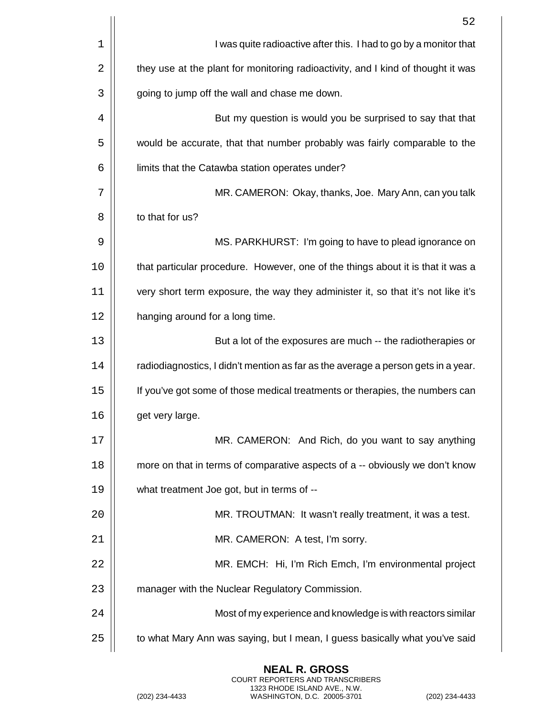|    | 52                                                                                |
|----|-----------------------------------------------------------------------------------|
| 1  | I was quite radioactive after this. I had to go by a monitor that                 |
| 2  | they use at the plant for monitoring radioactivity, and I kind of thought it was  |
| 3  | going to jump off the wall and chase me down.                                     |
| 4  | But my question is would you be surprised to say that that                        |
| 5  | would be accurate, that that number probably was fairly comparable to the         |
| 6  | limits that the Catawba station operates under?                                   |
| 7  | MR. CAMERON: Okay, thanks, Joe. Mary Ann, can you talk                            |
| 8  | to that for us?                                                                   |
| 9  | MS. PARKHURST: I'm going to have to plead ignorance on                            |
| 10 | that particular procedure. However, one of the things about it is that it was a   |
| 11 | very short term exposure, the way they administer it, so that it's not like it's  |
| 12 | hanging around for a long time.                                                   |
| 13 | But a lot of the exposures are much -- the radiotherapies or                      |
| 14 | radiodiagnostics, I didn't mention as far as the average a person gets in a year. |
| 15 | If you've got some of those medical treatments or therapies, the numbers can      |
| 16 | get very large.                                                                   |
| 17 | MR. CAMERON: And Rich, do you want to say anything                                |
| 18 | more on that in terms of comparative aspects of a -- obviously we don't know      |
| 19 | what treatment Joe got, but in terms of --                                        |
| 20 | MR. TROUTMAN: It wasn't really treatment, it was a test.                          |
| 21 | MR. CAMERON: A test, I'm sorry.                                                   |
| 22 | MR. EMCH: Hi, I'm Rich Emch, I'm environmental project                            |
| 23 | manager with the Nuclear Regulatory Commission.                                   |
| 24 | Most of my experience and knowledge is with reactors similar                      |
| 25 | to what Mary Ann was saying, but I mean, I guess basically what you've said       |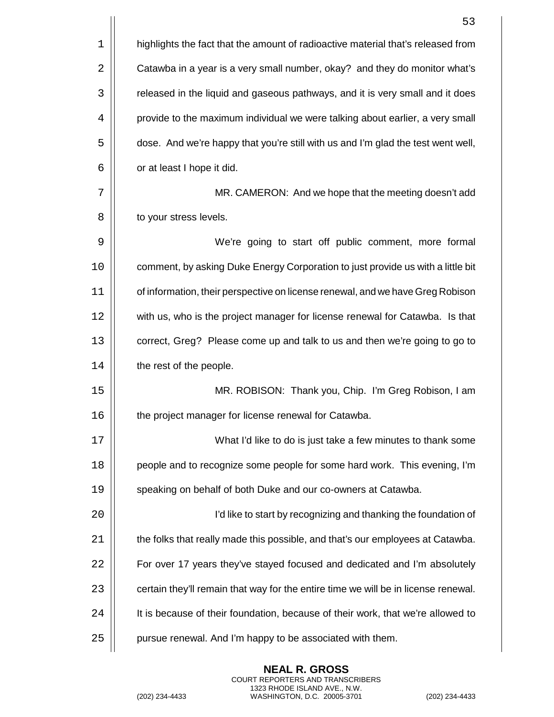|    | 53                                                                                 |
|----|------------------------------------------------------------------------------------|
| 1  | highlights the fact that the amount of radioactive material that's released from   |
| 2  | Catawba in a year is a very small number, okay? and they do monitor what's         |
| 3  | released in the liquid and gaseous pathways, and it is very small and it does      |
| 4  | provide to the maximum individual we were talking about earlier, a very small      |
| 5  | dose. And we're happy that you're still with us and I'm glad the test went well,   |
| 6  | or at least I hope it did.                                                         |
| 7  | MR. CAMERON: And we hope that the meeting doesn't add                              |
| 8  | to your stress levels.                                                             |
| 9  | We're going to start off public comment, more formal                               |
| 10 | comment, by asking Duke Energy Corporation to just provide us with a little bit    |
| 11 | of information, their perspective on license renewal, and we have Greg Robison     |
| 12 | with us, who is the project manager for license renewal for Catawba. Is that       |
| 13 | correct, Greg? Please come up and talk to us and then we're going to go to         |
| 14 | the rest of the people.                                                            |
| 15 | MR. ROBISON: Thank you, Chip. I'm Greg Robison, I am                               |
| 16 | the project manager for license renewal for Catawba.                               |
| 17 | What I'd like to do is just take a few minutes to thank some                       |
| 18 | people and to recognize some people for some hard work. This evening, I'm          |
| 19 | speaking on behalf of both Duke and our co-owners at Catawba.                      |
| 20 | I'd like to start by recognizing and thanking the foundation of                    |
| 21 | the folks that really made this possible, and that's our employees at Catawba.     |
| 22 | For over 17 years they've stayed focused and dedicated and I'm absolutely          |
| 23 | certain they'll remain that way for the entire time we will be in license renewal. |
| 24 | It is because of their foundation, because of their work, that we're allowed to    |
| 25 | pursue renewal. And I'm happy to be associated with them.                          |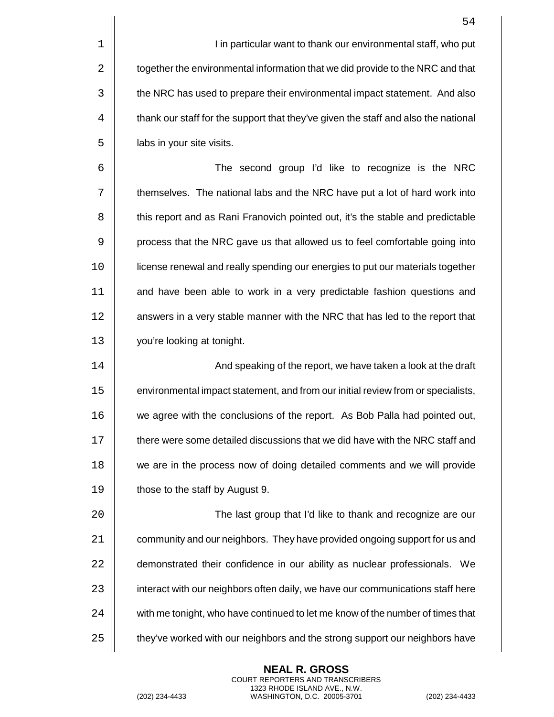1 I in particular want to thank our environmental staff, who put 2  $\parallel$  together the environmental information that we did provide to the NRC and that 3 | the NRC has used to prepare their environmental impact statement. And also 4  $\parallel$  thank our staff for the support that they've given the staff and also the national  $5 \parallel$  labs in your site visits.

6 The second group I'd like to recognize is the NRC 7 | themselves. The national labs and the NRC have put a lot of hard work into 8  $\vert$  this report and as Rani Franovich pointed out, it's the stable and predictable 9 | process that the NRC gave us that allowed us to feel comfortable going into 10 license renewal and really spending our energies to put our materials together 11 | and have been able to work in a very predictable fashion questions and 12 | answers in a very stable manner with the NRC that has led to the report that 13 | vou're looking at tonight.

 And speaking of the report, we have taken a look at the draft environmental impact statement, and from our initial review from or specialists, 16 | we agree with the conclusions of the report. As Bob Palla had pointed out,  $\parallel$  there were some detailed discussions that we did have with the NRC staff and **we are in the process now of doing detailed comments and we will provide** 19 | those to the staff by August 9.

 The last group that I'd like to thank and recognize are our **Fig.** community and our neighbors. They have provided ongoing support for us and  $\vert$  demonstrated their confidence in our ability as nuclear professionals. We 23 | interact with our neighbors often daily, we have our communications staff here  $\vert$  with me tonight, who have continued to let me know of the number of times that  $\vert$  they've worked with our neighbors and the strong support our neighbors have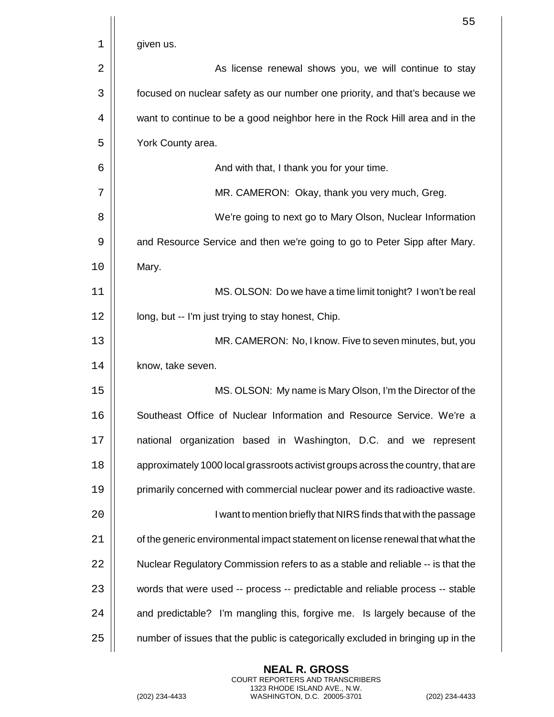|    | 55                                                                               |
|----|----------------------------------------------------------------------------------|
| 1  | given us.                                                                        |
| 2  | As license renewal shows you, we will continue to stay                           |
| 3  | focused on nuclear safety as our number one priority, and that's because we      |
| 4  | want to continue to be a good neighbor here in the Rock Hill area and in the     |
| 5  | York County area.                                                                |
| 6  | And with that, I thank you for your time.                                        |
| 7  | MR. CAMERON: Okay, thank you very much, Greg.                                    |
| 8  | We're going to next go to Mary Olson, Nuclear Information                        |
| 9  | and Resource Service and then we're going to go to Peter Sipp after Mary.        |
| 10 | Mary.                                                                            |
| 11 | MS. OLSON: Do we have a time limit tonight? I won't be real                      |
| 12 | long, but -- I'm just trying to stay honest, Chip.                               |
| 13 | MR. CAMERON: No, I know. Five to seven minutes, but, you                         |
| 14 | know, take seven.                                                                |
| 15 | MS. OLSON: My name is Mary Olson, I'm the Director of the                        |
| 16 | Southeast Office of Nuclear Information and Resource Service. We're a            |
| 17 | national organization based in Washington, D.C. and we represent                 |
| 18 | approximately 1000 local grassroots activist groups across the country, that are |
| 19 | primarily concerned with commercial nuclear power and its radioactive waste.     |
| 20 | I want to mention briefly that NIRS finds that with the passage                  |
| 21 | of the generic environmental impact statement on license renewal that what the   |
| 22 | Nuclear Regulatory Commission refers to as a stable and reliable -- is that the  |
| 23 | words that were used -- process -- predictable and reliable process -- stable    |
| 24 | and predictable? I'm mangling this, forgive me. Is largely because of the        |
| 25 | number of issues that the public is categorically excluded in bringing up in the |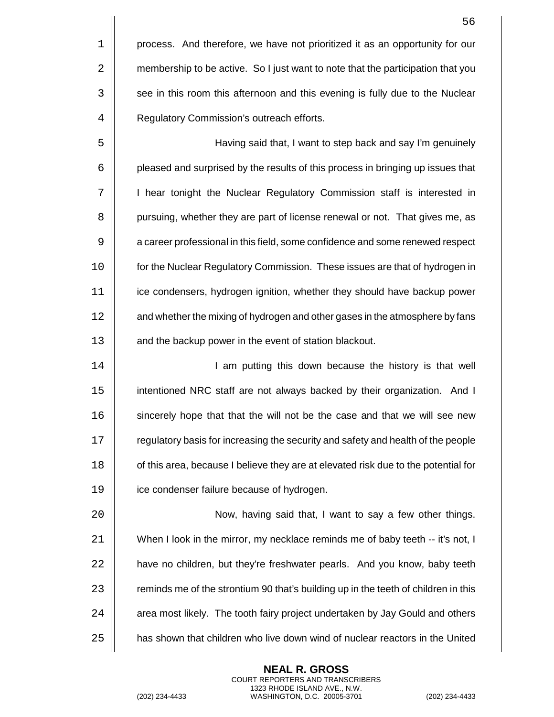|    | 56                                                                                 |
|----|------------------------------------------------------------------------------------|
| 1  | process. And therefore, we have not prioritized it as an opportunity for our       |
| 2  | membership to be active. So I just want to note that the participation that you    |
| 3  | see in this room this afternoon and this evening is fully due to the Nuclear       |
| 4  | Regulatory Commission's outreach efforts.                                          |
| 5  | Having said that, I want to step back and say I'm genuinely                        |
| 6  | pleased and surprised by the results of this process in bringing up issues that    |
| 7  | I hear tonight the Nuclear Regulatory Commission staff is interested in            |
| 8  | pursuing, whether they are part of license renewal or not. That gives me, as       |
| 9  | a career professional in this field, some confidence and some renewed respect      |
| 10 | for the Nuclear Regulatory Commission. These issues are that of hydrogen in        |
| 11 | ice condensers, hydrogen ignition, whether they should have backup power           |
| 12 | and whether the mixing of hydrogen and other gases in the atmosphere by fans       |
| 13 | and the backup power in the event of station blackout.                             |
| 14 | I am putting this down because the history is that well                            |
| 15 | intentioned NRC staff are not always backed by their organization. And I           |
| 16 | sincerely hope that that the will not be the case and that we will see new         |
| 17 | regulatory basis for increasing the security and safety and health of the people   |
| 18 | of this area, because I believe they are at elevated risk due to the potential for |

19 | ice condenser failure because of hydrogen.

20 || Now, having said that, I want to say a few other things. | When I look in the mirror, my necklace reminds me of baby teeth -- it's not, I  $\parallel$  have no children, but they're freshwater pearls. And you know, baby teeth  $\parallel$  reminds me of the strontium 90 that's building up in the teeth of children in this  $\vert\vert$  area most likely. The tooth fairy project undertaken by Jay Gould and others  $\parallel$  has shown that children who live down wind of nuclear reactors in the United

> **NEAL R. GROSS** COURT REPORTERS AND TRANSCRIBERS 1323 RHODE ISLAND AVE., N.W.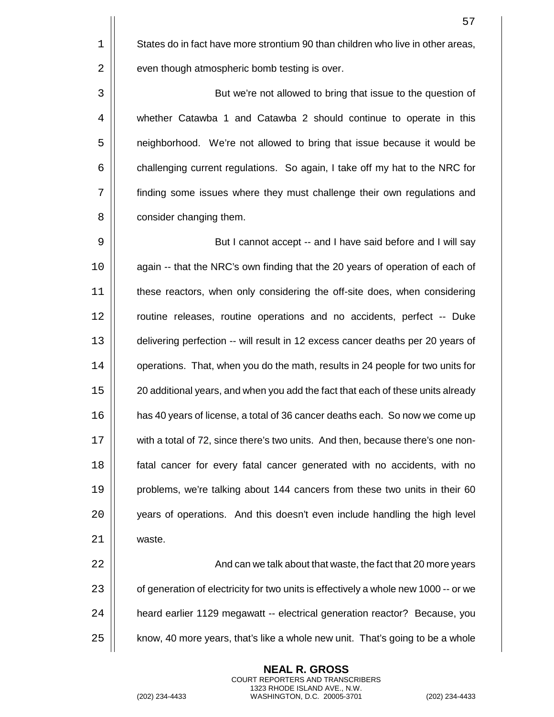1 States do in fact have more strontium 90 than children who live in other areas,  $2 \parallel$  even though atmospheric bomb testing is over.

3 | But we're not allowed to bring that issue to the question of 4 whether Catawba 1 and Catawba 2 should continue to operate in this 5 | neighborhood. We're not allowed to bring that issue because it would be  $6$   $\vert$  challenging current regulations. So again, I take off my hat to the NRC for 7 finding some issues where they must challenge their own regulations and 8 | consider changing them.

9 | But I cannot accept -- and I have said before and I will say 10 || again -- that the NRC's own finding that the 20 years of operation of each of 11 | these reactors, when only considering the off-site does, when considering 12 | routine releases, routine operations and no accidents, perfect -- Duke 13 delivering perfection -- will result in 12 excess cancer deaths per 20 years of 14 | operations. That, when you do the math, results in 24 people for two units for 15 | 20 additional years, and when you add the fact that each of these units already 16 has 40 years of license, a total of 36 cancer deaths each. So now we come up 17 with a total of 72, since there's two units. And then, because there's one non-18 **fatal cancer for every fatal cancer generated with no accidents, with no** 19 **problems, we're talking about 144 cancers from these two units in their 60** 20 | vears of operations. And this doesn't even include handling the high level 21 | waste.

 And can we talk about that waste, the fact that 20 more years  $\vert$  of generation of electricity for two units is effectively a whole new 1000 -- or we **heard earlier 1129 megawatt -- electrical generation reactor?** Because, you 25 | know, 40 more years, that's like a whole new unit. That's going to be a whole

> **NEAL R. GROSS** COURT REPORTERS AND TRANSCRIBERS 1323 RHODE ISLAND AVE., N.W.

(202) 234-4433 WASHINGTON, D.C. 20005-3701 (202) 234-4433

57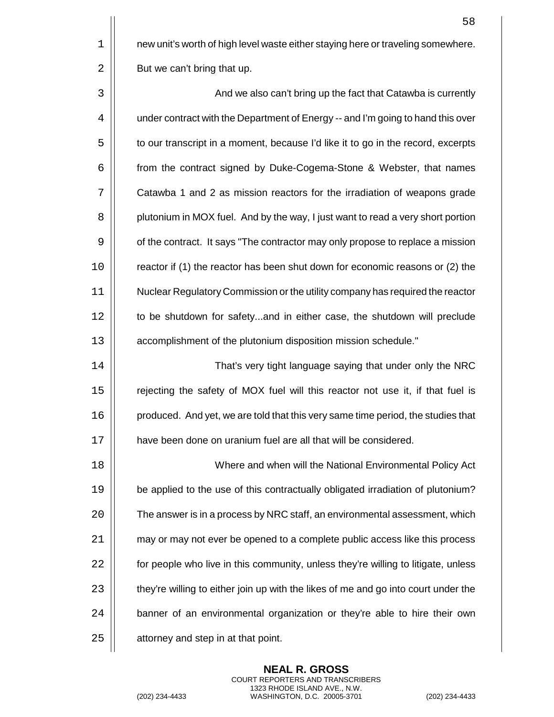$1 \parallel$  new unit's worth of high level waste either staying here or traveling somewhere.  $2 \parallel$  But we can't bring that up.

3 | And we also can't bring up the fact that Catawba is currently 4 | under contract with the Department of Energy -- and I'm going to hand this over 5  $\vert\vert$  to our transcript in a moment, because I'd like it to go in the record, excerpts 6 **f** from the contract signed by Duke-Cogema-Stone & Webster, that names 7 Catawba 1 and 2 as mission reactors for the irradiation of weapons grade 8 | plutonium in MOX fuel. And by the way, I just want to read a very short portion 9  $\vert\vert$  of the contract. It says "The contractor may only propose to replace a mission 10 | reactor if (1) the reactor has been shut down for economic reasons or (2) the 11 Nuclear Regulatory Commission or the utility company has required the reactor 12 | to be shutdown for safety...and in either case, the shutdown will preclude 13 accomplishment of the plutonium disposition mission schedule."

14 That's very tight language saying that under only the NRC 15 | rejecting the safety of MOX fuel will this reactor not use it, if that fuel is 16 | produced. And yet, we are told that this very same time period, the studies that 17 **have been done on uranium fuel are all that will be considered.** 

 Where and when will the National Environmental Policy Act be applied to the use of this contractually obligated irradiation of plutonium?  $\vert$  The answer is in a process by NRC staff, an environmental assessment, which **1** may or may not ever be opened to a complete public access like this process  $\parallel$  for people who live in this community, unless they're willing to litigate, unless  $\vert$  they're willing to either join up with the likes of me and go into court under the  $\vert$  banner of an environmental organization or they're able to hire their own  $\parallel$  attorney and step in at that point.

> **NEAL R. GROSS** COURT REPORTERS AND TRANSCRIBERS 1323 RHODE ISLAND AVE., N.W.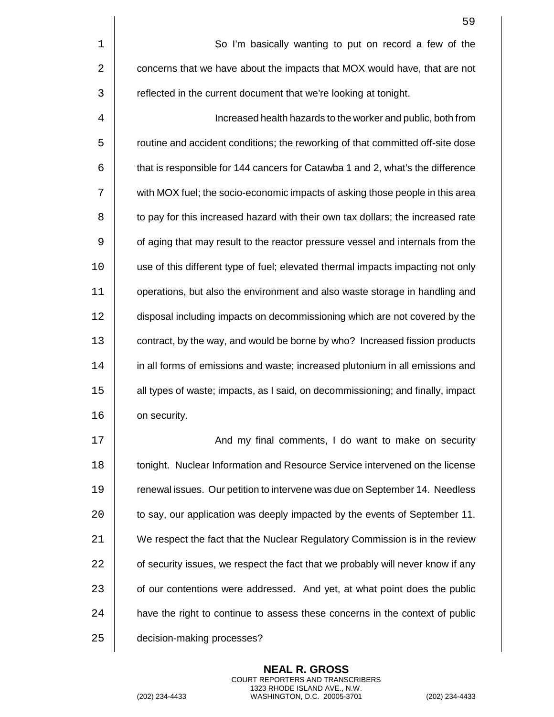|    | 59                                                                              |
|----|---------------------------------------------------------------------------------|
| 1  | So I'm basically wanting to put on record a few of the                          |
| 2  | concerns that we have about the impacts that MOX would have, that are not       |
| 3  | reflected in the current document that we're looking at tonight.                |
| 4  | Increased health hazards to the worker and public, both from                    |
| 5  | routine and accident conditions; the reworking of that committed off-site dose  |
| 6  | that is responsible for 144 cancers for Catawba 1 and 2, what's the difference  |
| 7  | with MOX fuel; the socio-economic impacts of asking those people in this area   |
| 8  | to pay for this increased hazard with their own tax dollars; the increased rate |
| 9  | of aging that may result to the reactor pressure vessel and internals from the  |
| 10 | use of this different type of fuel; elevated thermal impacts impacting not only |
| 11 | operations, but also the environment and also waste storage in handling and     |
| 12 | disposal including impacts on decommissioning which are not covered by the      |
| 13 | contract, by the way, and would be borne by who? Increased fission products     |
| 14 | in all forms of emissions and waste; increased plutonium in all emissions and   |
| 15 | all types of waste; impacts, as I said, on decommissioning; and finally, impact |
| 16 | on security.                                                                    |
| 17 | And my final comments, I do want to make on security                            |
| 18 | tonight. Nuclear Information and Resource Service intervened on the license     |
| 19 | renewal issues. Our petition to intervene was due on September 14. Needless     |
| 20 | to say, our application was deeply impacted by the events of September 11.      |
| 21 | We respect the fact that the Nuclear Regulatory Commission is in the review     |
| 22 | of security issues, we respect the fact that we probably will never know if any |
| 23 | of our contentions were addressed. And yet, at what point does the public       |
| 24 | have the right to continue to assess these concerns in the context of public    |
| 25 | decision-making processes?                                                      |

(202) 234-4433 WASHINGTON, D.C. 20005-3701 (202) 234-4433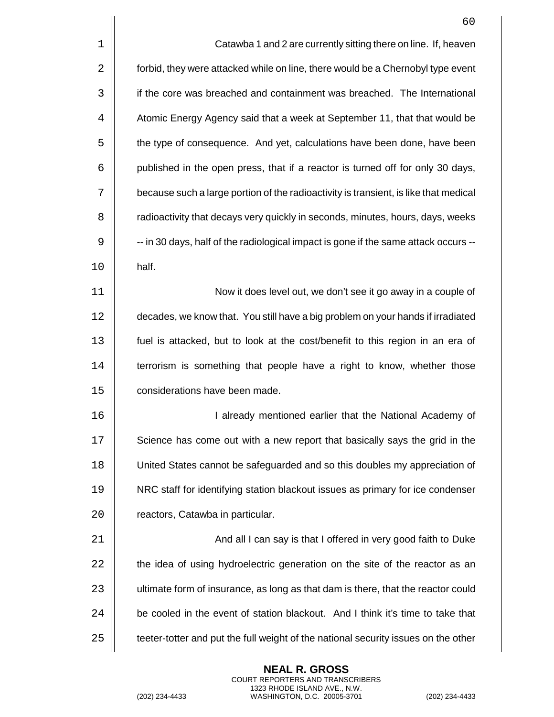|    | 60                                                                                   |
|----|--------------------------------------------------------------------------------------|
| 1  | Catawba 1 and 2 are currently sitting there on line. If, heaven                      |
| 2  | forbid, they were attacked while on line, there would be a Chernobyl type event      |
| 3  | if the core was breached and containment was breached. The International             |
| 4  | Atomic Energy Agency said that a week at September 11, that that would be            |
| 5  | the type of consequence. And yet, calculations have been done, have been             |
| 6  | published in the open press, that if a reactor is turned off for only 30 days,       |
| 7  | because such a large portion of the radioactivity is transient, is like that medical |
| 8  | radioactivity that decays very quickly in seconds, minutes, hours, days, weeks       |
| 9  | -- in 30 days, half of the radiological impact is gone if the same attack occurs --  |
| 10 | half.                                                                                |
| 11 | Now it does level out, we don't see it go away in a couple of                        |
| 12 | decades, we know that. You still have a big problem on your hands if irradiated      |
| 13 | fuel is attacked, but to look at the cost/benefit to this region in an era of        |
| 14 | terrorism is something that people have a right to know, whether those               |
| 15 | considerations have been made.                                                       |
| 16 | I already mentioned earlier that the National Academy of                             |
| 17 | Science has come out with a new report that basically says the grid in the           |
| 18 | United States cannot be safeguarded and so this doubles my appreciation of           |
| 19 | NRC staff for identifying station blackout issues as primary for ice condenser       |
| 20 | reactors, Catawba in particular.                                                     |
| 21 | And all I can say is that I offered in very good faith to Duke                       |
| 22 | the idea of using hydroelectric generation on the site of the reactor as an          |
| 23 | ultimate form of insurance, as long as that dam is there, that the reactor could     |
| 24 | be cooled in the event of station blackout. And I think it's time to take that       |
| 25 | teeter-totter and put the full weight of the national security issues on the other   |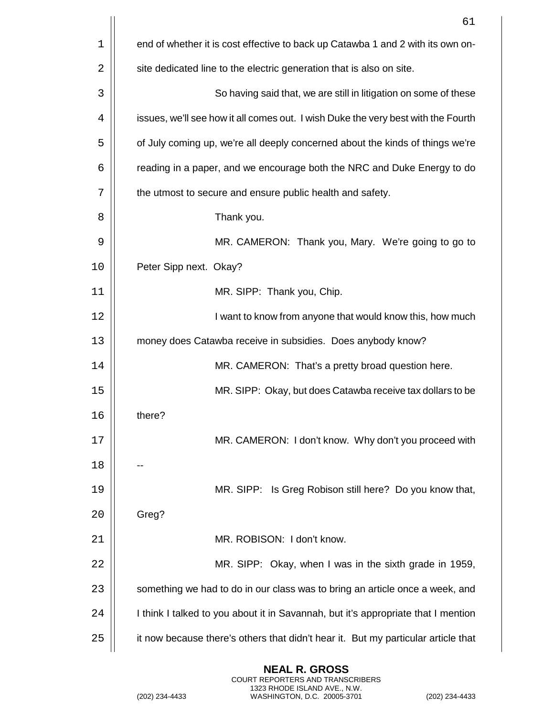|    | 61                                                                                |
|----|-----------------------------------------------------------------------------------|
| 1  | end of whether it is cost effective to back up Catawba 1 and 2 with its own on-   |
| 2  | site dedicated line to the electric generation that is also on site.              |
| 3  | So having said that, we are still in litigation on some of these                  |
| 4  | issues, we'll see how it all comes out. I wish Duke the very best with the Fourth |
| 5  | of July coming up, we're all deeply concerned about the kinds of things we're     |
| 6  | reading in a paper, and we encourage both the NRC and Duke Energy to do           |
| 7  | the utmost to secure and ensure public health and safety.                         |
| 8  | Thank you.                                                                        |
| 9  | MR. CAMERON: Thank you, Mary. We're going to go to                                |
| 10 | Peter Sipp next. Okay?                                                            |
| 11 | MR. SIPP: Thank you, Chip.                                                        |
| 12 | I want to know from anyone that would know this, how much                         |
| 13 | money does Catawba receive in subsidies. Does anybody know?                       |
| 14 | MR. CAMERON: That's a pretty broad question here.                                 |
| 15 | MR. SIPP: Okay, but does Catawba receive tax dollars to be                        |
| 16 | there?                                                                            |
| 17 | MR. CAMERON: I don't know. Why don't you proceed with                             |
| 18 |                                                                                   |
| 19 | MR. SIPP: Is Greg Robison still here? Do you know that,                           |
| 20 | Greg?                                                                             |
| 21 | MR. ROBISON: I don't know.                                                        |
| 22 | MR. SIPP: Okay, when I was in the sixth grade in 1959,                            |
| 23 | something we had to do in our class was to bring an article once a week, and      |
| 24 | I think I talked to you about it in Savannah, but it's appropriate that I mention |
| 25 | it now because there's others that didn't hear it. But my particular article that |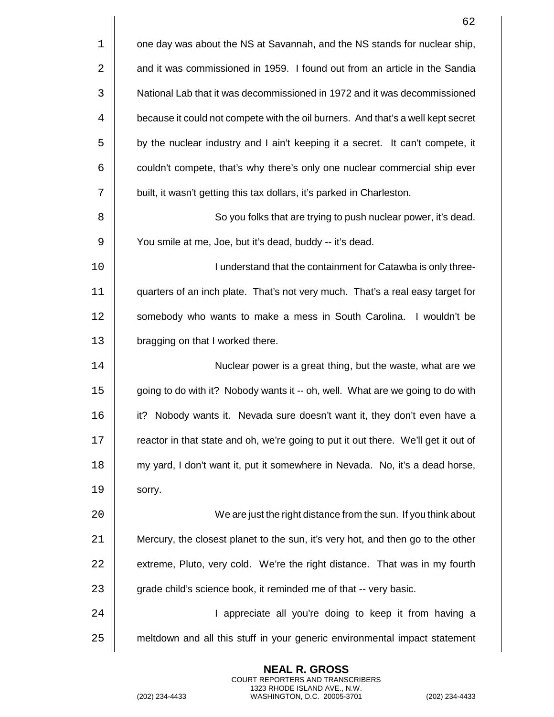|    | 62                                                                                 |
|----|------------------------------------------------------------------------------------|
| 1  | one day was about the NS at Savannah, and the NS stands for nuclear ship,          |
| 2  | and it was commissioned in 1959. I found out from an article in the Sandia         |
| 3  | National Lab that it was decommissioned in 1972 and it was decommissioned          |
| 4  | because it could not compete with the oil burners. And that's a well kept secret   |
| 5  | by the nuclear industry and I ain't keeping it a secret. It can't compete, it      |
| 6  | couldn't compete, that's why there's only one nuclear commercial ship ever         |
| 7  | built, it wasn't getting this tax dollars, it's parked in Charleston.              |
| 8  | So you folks that are trying to push nuclear power, it's dead.                     |
| 9  | You smile at me, Joe, but it's dead, buddy -- it's dead.                           |
| 10 | I understand that the containment for Catawba is only three-                       |
| 11 | quarters of an inch plate. That's not very much. That's a real easy target for     |
| 12 | somebody who wants to make a mess in South Carolina. I wouldn't be                 |
| 13 | bragging on that I worked there.                                                   |
| 14 | Nuclear power is a great thing, but the waste, what are we                         |
| 15 | going to do with it? Nobody wants it -- oh, well. What are we going to do with     |
| 16 | it? Nobody wants it. Nevada sure doesn't want it, they don't even have a           |
| 17 | reactor in that state and oh, we're going to put it out there. We'll get it out of |
| 18 | my yard, I don't want it, put it somewhere in Nevada. No, it's a dead horse,       |
| 19 | sorry.                                                                             |
| 20 | We are just the right distance from the sun. If you think about                    |
| 21 | Mercury, the closest planet to the sun, it's very hot, and then go to the other    |
| 22 | extreme, Pluto, very cold. We're the right distance. That was in my fourth         |
| 23 | grade child's science book, it reminded me of that -- very basic.                  |
| 24 | I appreciate all you're doing to keep it from having a                             |
| 25 | meltdown and all this stuff in your generic environmental impact statement         |
|    |                                                                                    |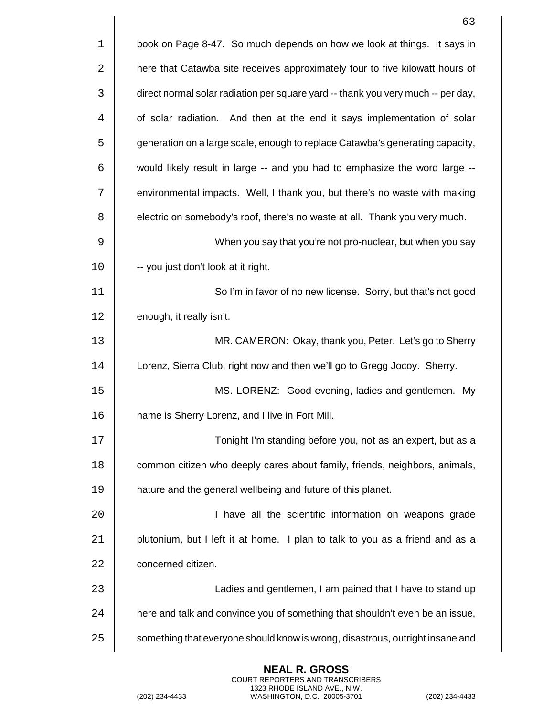|    | 63                                                                               |
|----|----------------------------------------------------------------------------------|
| 1  | book on Page 8-47. So much depends on how we look at things. It says in          |
| 2  | here that Catawba site receives approximately four to five kilowatt hours of     |
| 3  | direct normal solar radiation per square yard -- thank you very much -- per day, |
| 4  | of solar radiation. And then at the end it says implementation of solar          |
| 5  | generation on a large scale, enough to replace Catawba's generating capacity,    |
| 6  | would likely result in large -- and you had to emphasize the word large --       |
| 7  | environmental impacts. Well, I thank you, but there's no waste with making       |
| 8  | electric on somebody's roof, there's no waste at all. Thank you very much.       |
| 9  | When you say that you're not pro-nuclear, but when you say                       |
| 10 | -- you just don't look at it right.                                              |
| 11 | So I'm in favor of no new license. Sorry, but that's not good                    |
| 12 | enough, it really isn't.                                                         |
| 13 | MR. CAMERON: Okay, thank you, Peter. Let's go to Sherry                          |
| 14 | Lorenz, Sierra Club, right now and then we'll go to Gregg Jocoy. Sherry.         |
| 15 | MS. LORENZ: Good evening, ladies and gentlemen. My                               |
| 16 | name is Sherry Lorenz, and I live in Fort Mill.                                  |
| 17 | Tonight I'm standing before you, not as an expert, but as a                      |
| 18 | common citizen who deeply cares about family, friends, neighbors, animals,       |
| 19 | nature and the general wellbeing and future of this planet.                      |
| 20 | I have all the scientific information on weapons grade                           |
| 21 | plutonium, but I left it at home. I plan to talk to you as a friend and as a     |
| 22 | concerned citizen.                                                               |
| 23 | Ladies and gentlemen, I am pained that I have to stand up                        |
| 24 | here and talk and convince you of something that shouldn't even be an issue,     |
| 25 | something that everyone should know is wrong, disastrous, outright insane and    |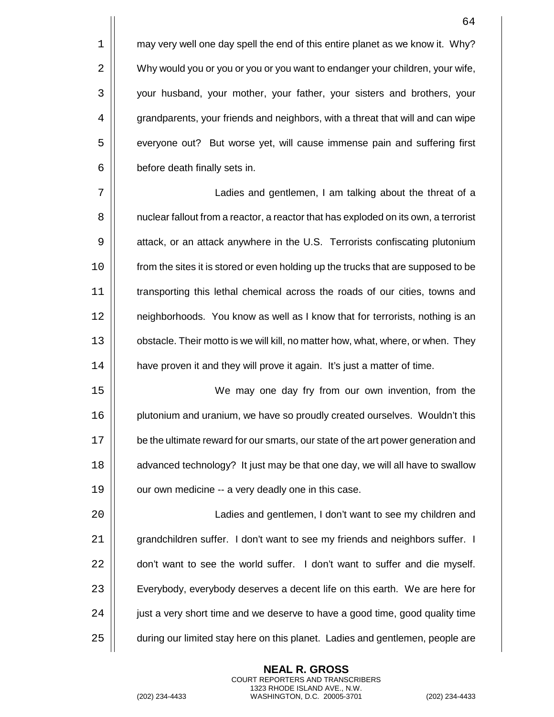$1 \parallel$  may very well one day spell the end of this entire planet as we know it. Why? 2  $\vert$  Why would you or you or you or you want to endanger your children, your wife, 3 | your husband, your mother, your father, your sisters and brothers, your 4  $\parallel$  grandparents, your friends and neighbors, with a threat that will and can wipe 5 | everyone out? But worse yet, will cause immense pain and suffering first  $6$  | before death finally sets in.

 Ladies and gentlemen, I am talking about the threat of a  $\vert\vert$  nuclear fallout from a reactor, a reactor that has exploded on its own, a terrorist 9 | attack, or an attack anywhere in the U.S. Terrorists confiscating plutonium 10 | from the sites it is stored or even holding up the trucks that are supposed to be transporting this lethal chemical across the roads of our cities, towns and 12 | neighborhoods. You know as well as I know that for terrorists, nothing is an  $\vert\vert$  obstacle. Their motto is we will kill, no matter how, what, where, or when. They **H** have proven it and they will prove it again. It's just a matter of time.

15 We may one day fry from our own invention, from the 16 | plutonium and uranium, we have so proudly created ourselves. Wouldn't this 17 | be the ultimate reward for our smarts, our state of the art power generation and 18 **a** dvanced technology? It just may be that one day, we will all have to swallow  $19$  |  $\degree$  our own medicine -- a very deadly one in this case.

 Ladies and gentlemen, I don't want to see my children and 21 | grandchildren suffer. I don't want to see my friends and neighbors suffer. I  $\parallel$  don't want to see the world suffer. I don't want to suffer and die myself. 23 | Everybody, everybody deserves a decent life on this earth. We are here for  $\vert$  iust a very short time and we deserve to have a good time, good quality time  $\vert$  during our limited stay here on this planet. Ladies and gentlemen, people are

> **NEAL R. GROSS** COURT REPORTERS AND TRANSCRIBERS 1323 RHODE ISLAND AVE., N.W.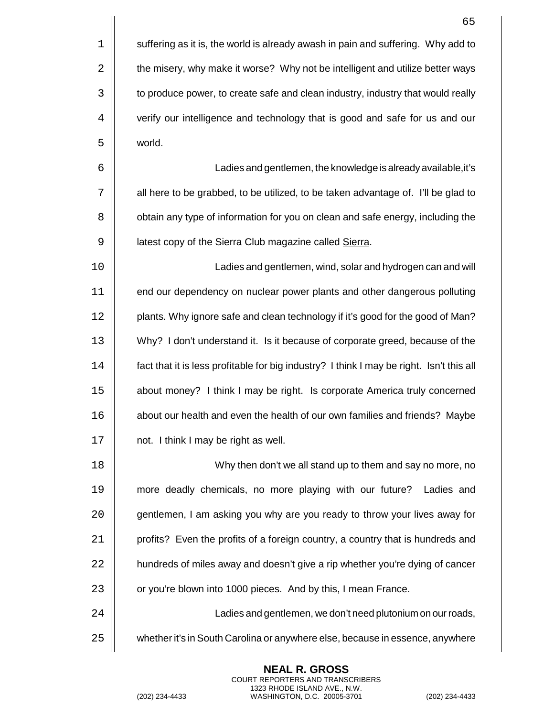$1 \parallel$  suffering as it is, the world is already awash in pain and suffering. Why add to 2 | the misery, why make it worse? Why not be intelligent and utilize better ways 3  $\vert$  to produce power, to create safe and clean industry, industry that would really 4 | verify our intelligence and technology that is good and safe for us and our 5 world.

 Ladies and gentlemen, the knowledge is already available,it's  $\parallel$  all here to be grabbed, to be utilized, to be taken advantage of. I'll be glad to  $\vert\vert$  obtain any type of information for you on clean and safe energy, including the 9 | latest copy of the Sierra Club magazine called Sierra.

10 Ladies and gentlemen, wind, solar and hydrogen can and will 11 | end our dependency on nuclear power plants and other dangerous polluting 12 | plants. Why ignore safe and clean technology if it's good for the good of Man? 13 Why? I don't understand it. Is it because of corporate greed, because of the 14 | fact that it is less profitable for big industry? I think I may be right. Isn't this all 15 about money? I think I may be right. Is corporate America truly concerned 16 | about our health and even the health of our own families and friends? Maybe 17 | not. I think I may be right as well.

18 || Why then don't we all stand up to them and say no more, no 19 more deadly chemicals, no more playing with our future? Ladies and 20  $\vert$  gentlemen, I am asking you why are you ready to throw your lives away for 21 | profits? Even the profits of a foreign country, a country that is hundreds and 22 | hundreds of miles away and doesn't give a rip whether you're dying of cancer 23 | or you're blown into 1000 pieces. And by this, I mean France.

24 Ladies and gentlemen, we don't need plutonium on our roads, 25 whether it's in South Carolina or anywhere else, because in essence, anywhere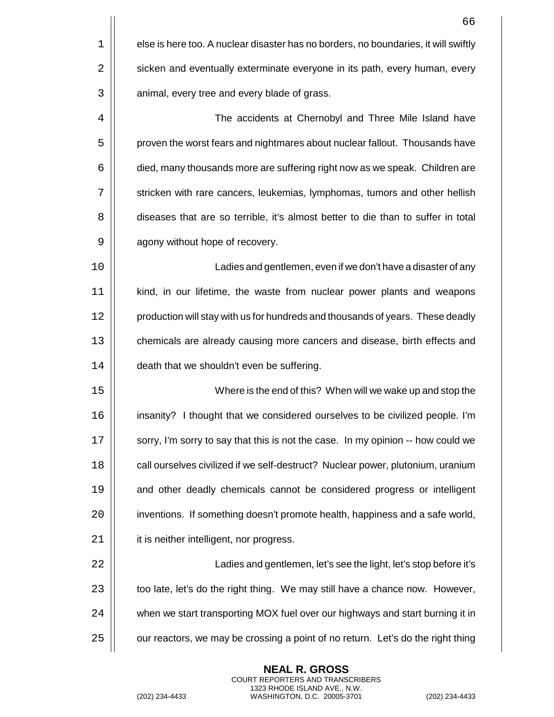|    | 66                                                                                  |
|----|-------------------------------------------------------------------------------------|
| 1  | else is here too. A nuclear disaster has no borders, no boundaries, it will swiftly |
| 2  | sicken and eventually exterminate everyone in its path, every human, every          |
| 3  | animal, every tree and every blade of grass.                                        |
| 4  | The accidents at Chernobyl and Three Mile Island have                               |
| 5  | proven the worst fears and nightmares about nuclear fallout. Thousands have         |
| 6  | died, many thousands more are suffering right now as we speak. Children are         |
| 7  | stricken with rare cancers, leukemias, lymphomas, tumors and other hellish          |
| 8  | diseases that are so terrible, it's almost better to die than to suffer in total    |
| 9  | agony without hope of recovery.                                                     |
| 10 | Ladies and gentlemen, even if we don't have a disaster of any                       |
| 11 | kind, in our lifetime, the waste from nuclear power plants and weapons              |
| 12 | production will stay with us for hundreds and thousands of years. These deadly      |
| 13 | chemicals are already causing more cancers and disease, birth effects and           |
| 14 | death that we shouldn't even be suffering.                                          |
| 15 | Where is the end of this? When will we wake up and stop the                         |
| 16 | insanity? I thought that we considered ourselves to be civilized people. I'm        |
| 17 | sorry, I'm sorry to say that this is not the case. In my opinion -- how could we    |
| 18 | call ourselves civilized if we self-destruct? Nuclear power, plutonium, uranium     |
| 19 | and other deadly chemicals cannot be considered progress or intelligent             |
| 20 | inventions. If something doesn't promote health, happiness and a safe world,        |
| 21 | it is neither intelligent, nor progress.                                            |
| 22 | Ladies and gentlemen, let's see the light, let's stop before it's                   |
| 23 | too late, let's do the right thing. We may still have a chance now. However,        |
| 24 | when we start transporting MOX fuel over our highways and start burning it in       |
| 25 | our reactors, we may be crossing a point of no return. Let's do the right thing     |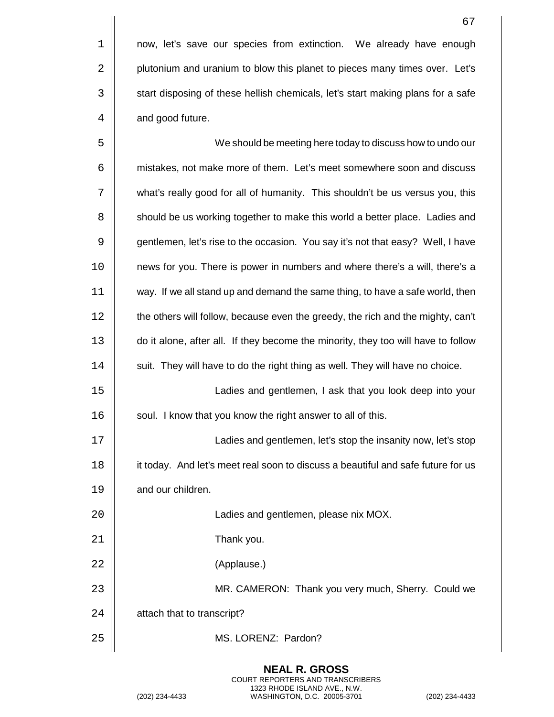1 | now, let's save our species from extinction. We already have enough 2 **plutonium and uranium to blow this planet to pieces many times over.** Let's 3 | start disposing of these hellish chemicals, let's start making plans for a safe  $4 \mid \cdot \rangle$  and good future.

 We should be meeting here today to discuss how to undo our 6 | mistakes, not make more of them. Let's meet somewhere soon and discuss 7 | what's really good for all of humanity. This shouldn't be us versus you, this  $\vert$  should be us working together to make this world a better place. Ladies and  $\vert\vert$  gentlemen, let's rise to the occasion. You say it's not that easy? Well, I have news for you. There is power in numbers and where there's a will, there's a way. If we all stand up and demand the same thing, to have a safe world, then 12 | the others will follow, because even the greedy, the rich and the mighty, can't do it alone, after all. If they become the minority, they too will have to follow 14 | suit. They will have to do the right thing as well. They will have no choice. Ladies and gentlemen, I ask that you look deep into your 16 | soul. I know that you know the right answer to all of this. Ladies and gentlemen, let's stop the insanity now, let's stop 18 | it today. And let's meet real soon to discuss a beautiful and safe future for us **I** and our children. Ladies and gentlemen, please nix MOX. Thank you. (Applause.) MR. CAMERON: Thank you very much, Sherry. Could we  $\parallel$  attach that to transcript? 25 || MS. LORENZ: Pardon?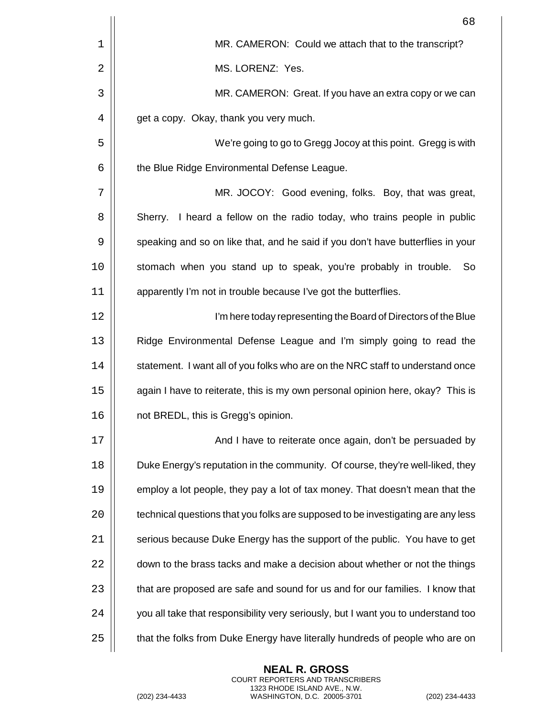|    | 68                                                                                |
|----|-----------------------------------------------------------------------------------|
| 1  | MR. CAMERON: Could we attach that to the transcript?                              |
| 2  | MS. LORENZ: Yes.                                                                  |
| 3  | MR. CAMERON: Great. If you have an extra copy or we can                           |
| 4  | get a copy. Okay, thank you very much.                                            |
| 5  | We're going to go to Gregg Jocoy at this point. Gregg is with                     |
| 6  | the Blue Ridge Environmental Defense League.                                      |
| 7  | MR. JOCOY: Good evening, folks. Boy, that was great,                              |
| 8  | Sherry. I heard a fellow on the radio today, who trains people in public          |
| 9  | speaking and so on like that, and he said if you don't have butterflies in your   |
| 10 | stomach when you stand up to speak, you're probably in trouble.<br>So             |
| 11 | apparently I'm not in trouble because I've got the butterflies.                   |
| 12 | I'm here today representing the Board of Directors of the Blue                    |
| 13 | Ridge Environmental Defense League and I'm simply going to read the               |
| 14 | statement. I want all of you folks who are on the NRC staff to understand once    |
| 15 | again I have to reiterate, this is my own personal opinion here, okay? This is    |
| 16 | not BREDL, this is Gregg's opinion.                                               |
| 17 | And I have to reiterate once again, don't be persuaded by                         |
| 18 | Duke Energy's reputation in the community. Of course, they're well-liked, they    |
| 19 | employ a lot people, they pay a lot of tax money. That doesn't mean that the      |
| 20 | technical questions that you folks are supposed to be investigating are any less  |
| 21 | serious because Duke Energy has the support of the public. You have to get        |
| 22 | down to the brass tacks and make a decision about whether or not the things       |
| 23 | that are proposed are safe and sound for us and for our families. I know that     |
| 24 | you all take that responsibility very seriously, but I want you to understand too |
| 25 | that the folks from Duke Energy have literally hundreds of people who are on      |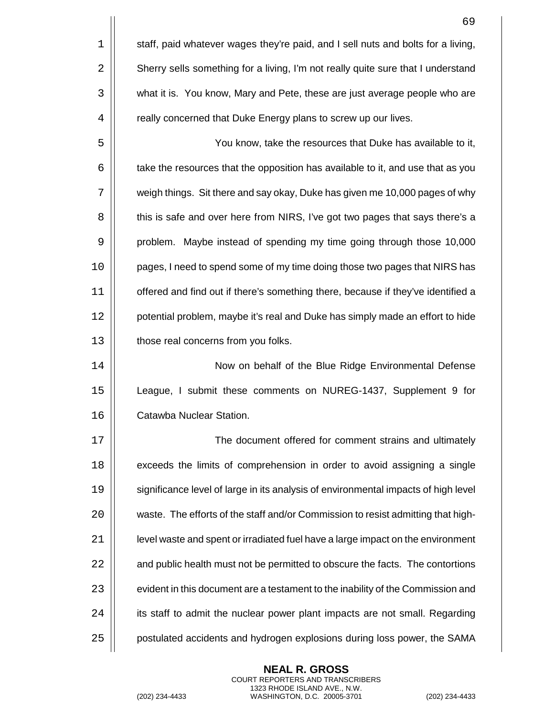|    | 69                                                                                 |
|----|------------------------------------------------------------------------------------|
| 1  | staff, paid whatever wages they're paid, and I sell nuts and bolts for a living,   |
| 2  | Sherry sells something for a living, I'm not really quite sure that I understand   |
| 3  | what it is. You know, Mary and Pete, these are just average people who are         |
| 4  | really concerned that Duke Energy plans to screw up our lives.                     |
| 5  | You know, take the resources that Duke has available to it,                        |
| 6  | take the resources that the opposition has available to it, and use that as you    |
| 7  | weigh things. Sit there and say okay, Duke has given me 10,000 pages of why        |
| 8  | this is safe and over here from NIRS, I've got two pages that says there's a       |
| 9  | problem. Maybe instead of spending my time going through those 10,000              |
| 10 | pages, I need to spend some of my time doing those two pages that NIRS has         |
| 11 | offered and find out if there's something there, because if they've identified a   |
| 12 | potential problem, maybe it's real and Duke has simply made an effort to hide      |
| 13 | those real concerns from you folks.                                                |
| 14 | Now on behalf of the Blue Ridge Environmental Defense                              |
| 15 | League, I submit these comments on NUREG-1437, Supplement 9 for                    |
| 16 | Catawba Nuclear Station.                                                           |
| 17 | The document offered for comment strains and ultimately                            |
| 18 | exceeds the limits of comprehension in order to avoid assigning a single           |
| 19 | significance level of large in its analysis of environmental impacts of high level |
| 20 | waste. The efforts of the staff and/or Commission to resist admitting that high-   |
| 21 | level waste and spent or irradiated fuel have a large impact on the environment    |
| 22 | and public health must not be permitted to obscure the facts. The contortions      |
| 23 | evident in this document are a testament to the inability of the Commission and    |
| 24 | its staff to admit the nuclear power plant impacts are not small. Regarding        |
| 25 | postulated accidents and hydrogen explosions during loss power, the SAMA           |

COURT REPORTERS AND TRANSCRIBERS

**NEAL R. GROSS**

1323 RHODE ISLAND AVE., N.W.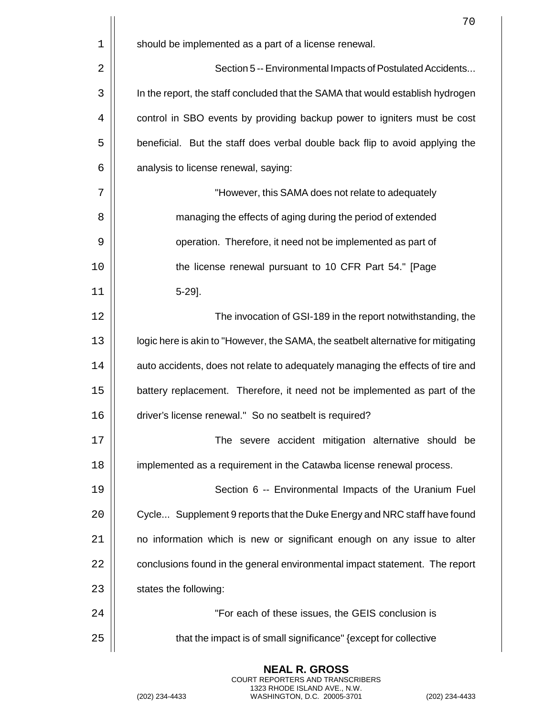|             | 70                                                                                |
|-------------|-----------------------------------------------------------------------------------|
| $\mathbf 1$ | should be implemented as a part of a license renewal.                             |
| 2           | Section 5 -- Environmental Impacts of Postulated Accidents                        |
| 3           | In the report, the staff concluded that the SAMA that would establish hydrogen    |
| 4           | control in SBO events by providing backup power to igniters must be cost          |
| 5           | beneficial. But the staff does verbal double back flip to avoid applying the      |
| 6           | analysis to license renewal, saying:                                              |
| 7           | "However, this SAMA does not relate to adequately                                 |
| 8           | managing the effects of aging during the period of extended                       |
| 9           | operation. Therefore, it need not be implemented as part of                       |
| 10          | the license renewal pursuant to 10 CFR Part 54." [Page                            |
| 11          | $5-29$ ].                                                                         |
| 12          | The invocation of GSI-189 in the report notwithstanding, the                      |
| 13          | logic here is akin to "However, the SAMA, the seatbelt alternative for mitigating |
| 14          | auto accidents, does not relate to adequately managing the effects of tire and    |
| 15          | battery replacement. Therefore, it need not be implemented as part of the         |
| 16          | driver's license renewal." So no seatbelt is required?                            |
| 17          | The severe accident mitigation alternative should be                              |
| 18          | implemented as a requirement in the Catawba license renewal process.              |
| 19          | Section 6 -- Environmental Impacts of the Uranium Fuel                            |
| 20          | Cycle Supplement 9 reports that the Duke Energy and NRC staff have found          |
| 21          | no information which is new or significant enough on any issue to alter           |
| 22          | conclusions found in the general environmental impact statement. The report       |
| 23          | states the following:                                                             |
| 24          | "For each of these issues, the GEIS conclusion is                                 |
| 25          | that the impact is of small significance" {except for collective                  |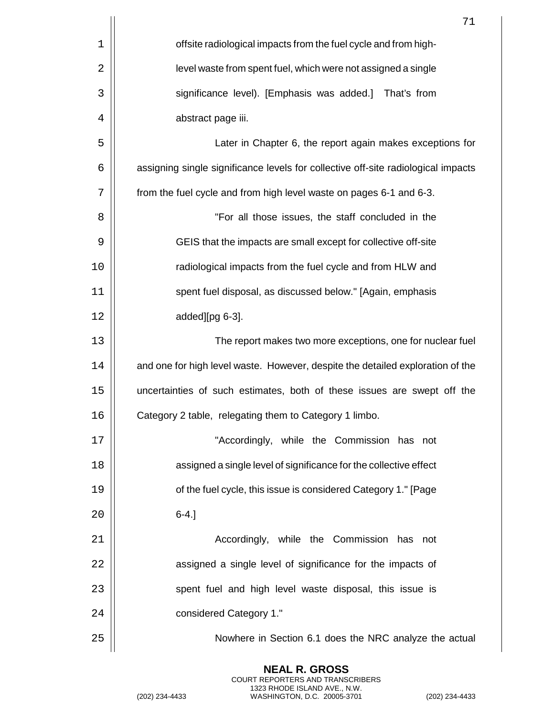|             | 71                                                                                |
|-------------|-----------------------------------------------------------------------------------|
| $\mathbf 1$ | offsite radiological impacts from the fuel cycle and from high-                   |
| 2           | level waste from spent fuel, which were not assigned a single                     |
| 3           | significance level). [Emphasis was added.] That's from                            |
| 4           | abstract page iii.                                                                |
| 5           | Later in Chapter 6, the report again makes exceptions for                         |
| 6           | assigning single significance levels for collective off-site radiological impacts |
| 7           | from the fuel cycle and from high level waste on pages 6-1 and 6-3.               |
| 8           | "For all those issues, the staff concluded in the                                 |
| 9           | GEIS that the impacts are small except for collective off-site                    |
| 10          | radiological impacts from the fuel cycle and from HLW and                         |
| 11          | spent fuel disposal, as discussed below." [Again, emphasis                        |
| 12          | added][pg 6-3].                                                                   |
| 13          | The report makes two more exceptions, one for nuclear fuel                        |
| 14          | and one for high level waste. However, despite the detailed exploration of the    |
| 15          | uncertainties of such estimates, both of these issues are swept off the           |
| 16          | Category 2 table, relegating them to Category 1 limbo.                            |
| 17          | "Accordingly, while the Commission has not                                        |
| 18          | assigned a single level of significance for the collective effect                 |
| 19          | of the fuel cycle, this issue is considered Category 1." [Page                    |
| 20          | $6-4.$ ]                                                                          |
| 21          | Accordingly, while the Commission has not                                         |
| 22          | assigned a single level of significance for the impacts of                        |
| 23          | spent fuel and high level waste disposal, this issue is                           |
| 24          | considered Category 1."                                                           |
| 25          | Nowhere in Section 6.1 does the NRC analyze the actual                            |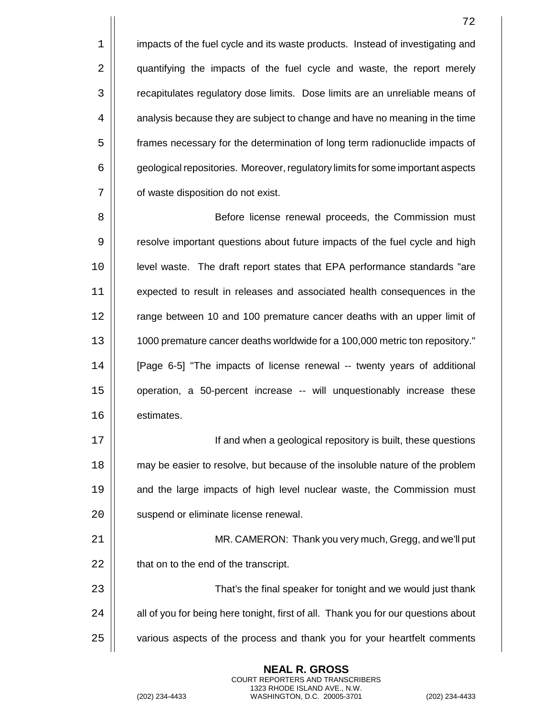$1$  | impacts of the fuel cycle and its waste products. Instead of investigating and 2 | quantifying the impacts of the fuel cycle and waste, the report merely 3 recapitulates regulatory dose limits. Dose limits are an unreliable means of  $4 \mid \mid$  analysis because they are subject to change and have no meaning in the time 5 frames necessary for the determination of long term radionuclide impacts of 6 geological repositories. Moreover, regulatory limits for some important aspects 7 | of waste disposition do not exist.

8 | Before license renewal proceeds, the Commission must 9 | resolve important questions about future impacts of the fuel cycle and high 10 level waste. The draft report states that EPA performance standards "are 11 expected to result in releases and associated health consequences in the 12 | range between 10 and 100 premature cancer deaths with an upper limit of 13 1000 premature cancer deaths worldwide for a 100,000 metric ton repository." 14 [Page 6-5] "The impacts of license renewal -- twenty years of additional 15 operation, a 50-percent increase -- will unquestionably increase these 16 | estimates.

17 If and when a geological repository is built, these questions 18 **may be easier to resolve, but because of the insoluble nature of the problem** 19 | and the large impacts of high level nuclear waste, the Commission must 20 | suspend or eliminate license renewal.

21 MR. CAMERON: Thank you very much, Gregg, and we'll put  $22$   $\parallel$  that on to the end of the transcript.

23 | Casa That's the final speaker for tonight and we would just thank  $24$   $\parallel$  all of you for being here tonight, first of all. Thank you for our questions about 25 | various aspects of the process and thank you for your heartfelt comments

> **NEAL R. GROSS** COURT REPORTERS AND TRANSCRIBERS 1323 RHODE ISLAND AVE., N.W.